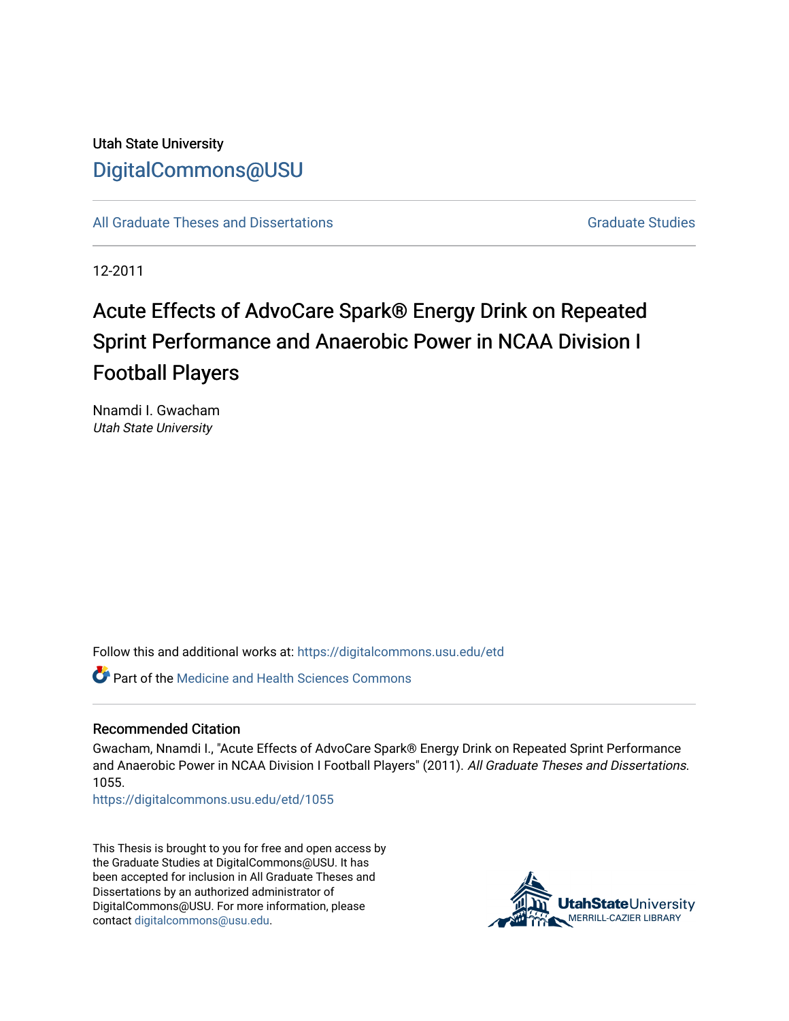# Utah State University [DigitalCommons@USU](https://digitalcommons.usu.edu/)

[All Graduate Theses and Dissertations](https://digitalcommons.usu.edu/etd) [Graduate Studies](https://digitalcommons.usu.edu/gradstudies) Graduate Studies

12-2011

# Acute Effects of AdvoCare Spark® Energy Drink on Repeated Sprint Performance and Anaerobic Power in NCAA Division I Football Players

Nnamdi I. Gwacham Utah State University

Follow this and additional works at: [https://digitalcommons.usu.edu/etd](https://digitalcommons.usu.edu/etd?utm_source=digitalcommons.usu.edu%2Fetd%2F1055&utm_medium=PDF&utm_campaign=PDFCoverPages) 

Part of the [Medicine and Health Sciences Commons](http://network.bepress.com/hgg/discipline/648?utm_source=digitalcommons.usu.edu%2Fetd%2F1055&utm_medium=PDF&utm_campaign=PDFCoverPages) 

# Recommended Citation

Gwacham, Nnamdi I., "Acute Effects of AdvoCare Spark® Energy Drink on Repeated Sprint Performance and Anaerobic Power in NCAA Division I Football Players" (2011). All Graduate Theses and Dissertations. 1055.

[https://digitalcommons.usu.edu/etd/1055](https://digitalcommons.usu.edu/etd/1055?utm_source=digitalcommons.usu.edu%2Fetd%2F1055&utm_medium=PDF&utm_campaign=PDFCoverPages)

This Thesis is brought to you for free and open access by the Graduate Studies at DigitalCommons@USU. It has been accepted for inclusion in All Graduate Theses and Dissertations by an authorized administrator of DigitalCommons@USU. For more information, please contact [digitalcommons@usu.edu](mailto:digitalcommons@usu.edu).

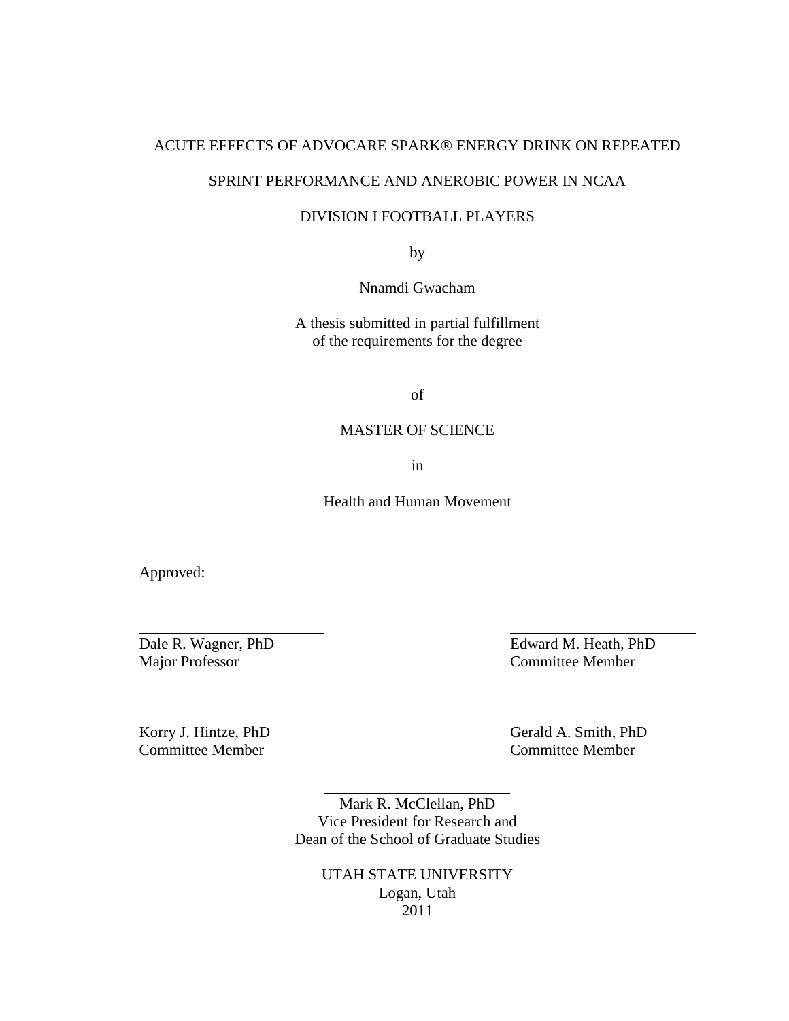# ACUTE EFFECTS OF ADVOCARE SPARK® ENERGY DRINK ON REPEATED

# SPRINT PERFORMANCE AND ANEROBIC POWER IN NCAA

# DIVISION I FOOTBALL PLAYERS

by

Nnamdi Gwacham

A thesis submitted in partial fulfillment of the requirements for the degree

of

# MASTER OF SCIENCE

in

Health and Human Movement

Approved:

Major Professor Committee Member

Dale R. Wagner, PhD Edward M. Heath, PhD

Committee Member Committee Member

Korry J. Hintze, PhD Gerald A. Smith, PhD

Mark R. McClellan, PhD Vice President for Research and Dean of the School of Graduate Studies

> UTAH STATE UNIVERSITY Logan, Utah 2011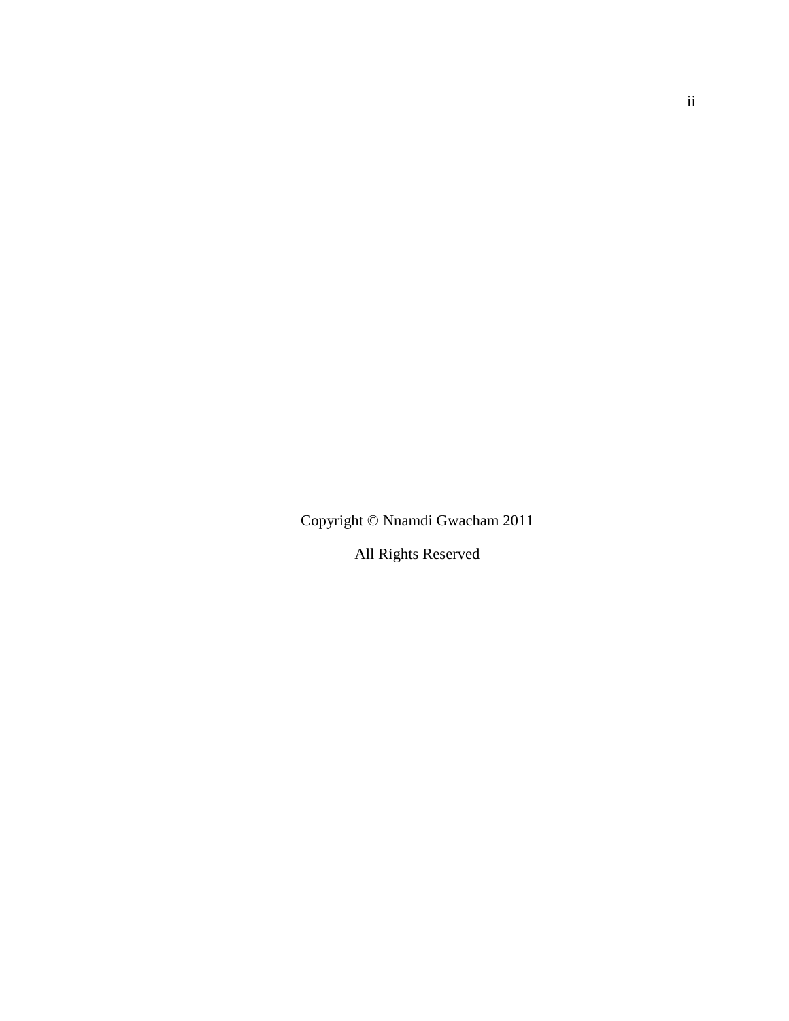Copyright © Nnamdi Gwacham 2011

All Rights Reserved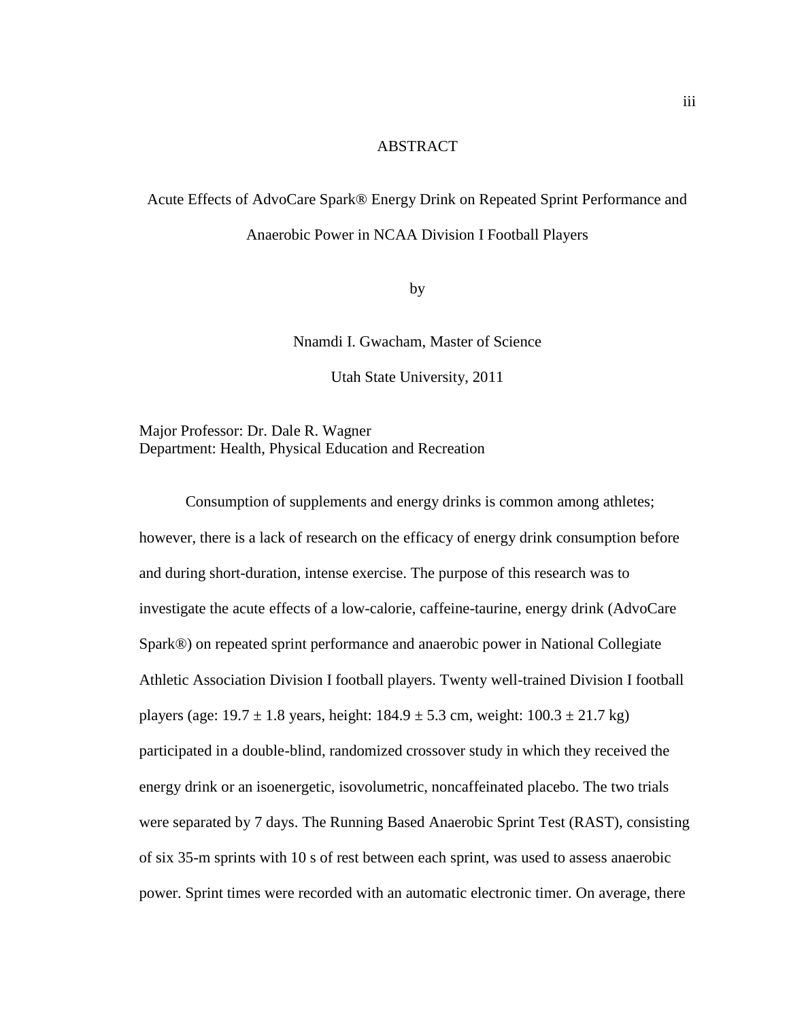# **ABSTRACT**

# Acute Effects of AdvoCare Spark® Energy Drink on Repeated Sprint Performance and Anaerobic Power in NCAA Division I Football Players

by

Nnamdi I. Gwacham, Master of Science

Utah State University, 2011

Major Professor: Dr. Dale R. Wagner Department: Health, Physical Education and Recreation

Consumption of supplements and energy drinks is common among athletes; however, there is a lack of research on the efficacy of energy drink consumption before and during short-duration, intense exercise. The purpose of this research was to investigate the acute effects of a low-calorie, caffeine-taurine, energy drink (AdvoCare Spark®) on repeated sprint performance and anaerobic power in National Collegiate Athletic Association Division I football players. Twenty well-trained Division I football players (age:  $19.7 \pm 1.8$  years, height:  $184.9 \pm 5.3$  cm, weight:  $100.3 \pm 21.7$  kg) participated in a double-blind, randomized crossover study in which they received the energy drink or an isoenergetic, isovolumetric, noncaffeinated placebo. The two trials were separated by 7 days. The Running Based Anaerobic Sprint Test (RAST), consisting of six 35-m sprints with 10 s of rest between each sprint, was used to assess anaerobic power. Sprint times were recorded with an automatic electronic timer. On average, there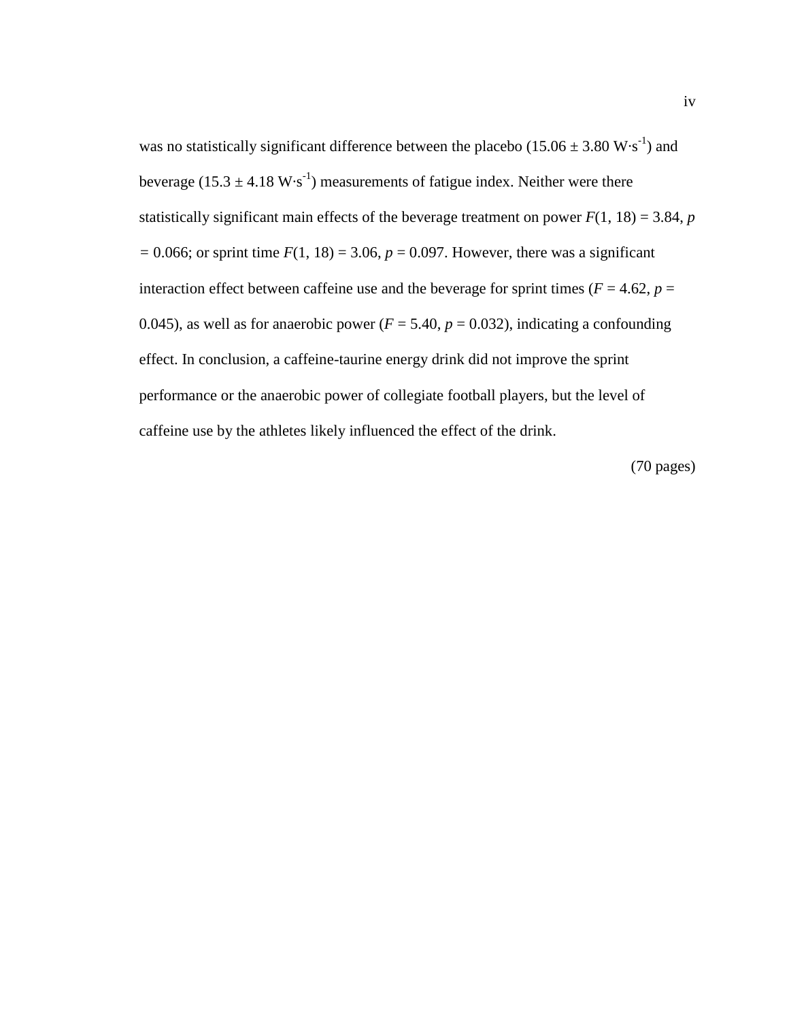was no statistically significant difference between the placebo  $(15.06 \pm 3.80 \text{ W} \cdot \text{s}^{-1})$  and beverage (15.3  $\pm$  4.18 W·s<sup>-1</sup>) measurements of fatigue index. Neither were there statistically significant main effects of the beverage treatment on power  $F(1, 18) = 3.84$ , *p*  $= 0.066$ ; or sprint time  $F(1, 18) = 3.06$ ,  $p = 0.097$ . However, there was a significant interaction effect between caffeine use and the beverage for sprint times ( $F = 4.62$ ,  $p =$ 0.045), as well as for anaerobic power ( $F = 5.40$ ,  $p = 0.032$ ), indicating a confounding effect. In conclusion, a caffeine-taurine energy drink did not improve the sprint performance or the anaerobic power of collegiate football players, but the level of caffeine use by the athletes likely influenced the effect of the drink.

(70 pages)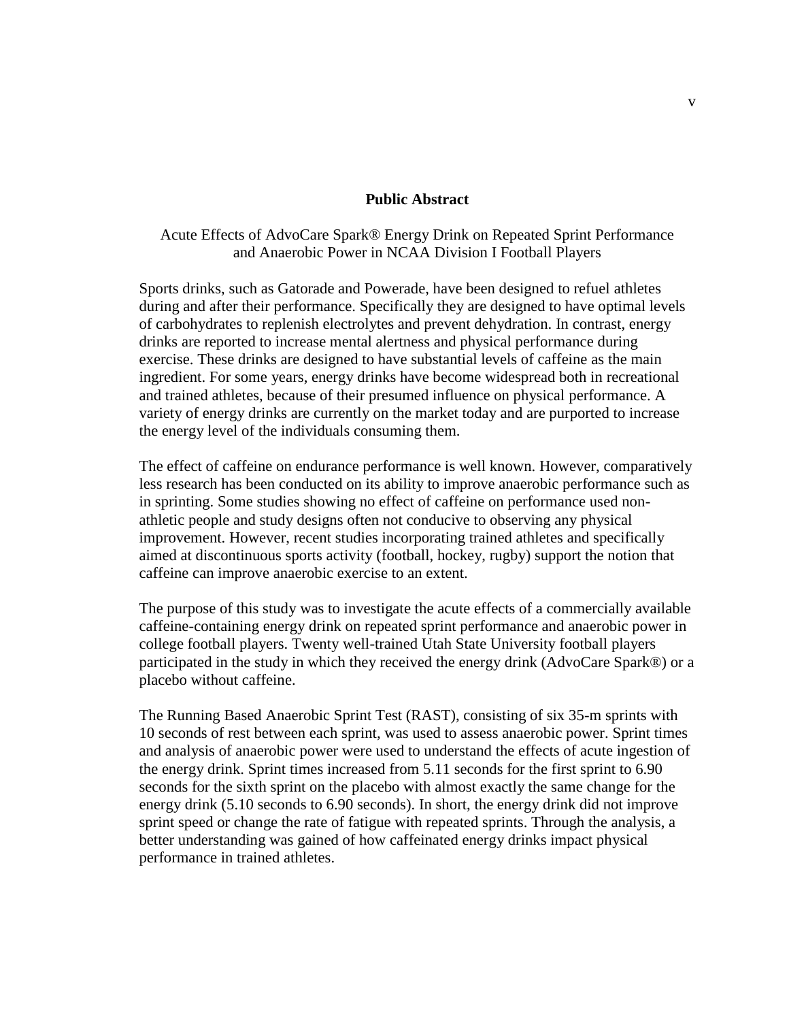# **Public Abstract**

Acute Effects of AdvoCare Spark® Energy Drink on Repeated Sprint Performance and Anaerobic Power in NCAA Division I Football Players

Sports drinks, such as Gatorade and Powerade, have been designed to refuel athletes during and after their performance. Specifically they are designed to have optimal levels of carbohydrates to replenish electrolytes and prevent dehydration. In contrast, energy drinks are reported to increase mental alertness and physical performance during exercise. These drinks are designed to have substantial levels of caffeine as the main ingredient. For some years, energy drinks have become widespread both in recreational and trained athletes, because of their presumed influence on physical performance. A variety of energy drinks are currently on the market today and are purported to increase the energy level of the individuals consuming them.

The effect of caffeine on endurance performance is well known. However, comparatively less research has been conducted on its ability to improve anaerobic performance such as in sprinting. Some studies showing no effect of caffeine on performance used nonathletic people and study designs often not conducive to observing any physical improvement. However, recent studies incorporating trained athletes and specifically aimed at discontinuous sports activity (football, hockey, rugby) support the notion that caffeine can improve anaerobic exercise to an extent.

The purpose of this study was to investigate the acute effects of a commercially available caffeine-containing energy drink on repeated sprint performance and anaerobic power in college football players. Twenty well-trained Utah State University football players participated in the study in which they received the energy drink (AdvoCare Spark®) or a placebo without caffeine.

The Running Based Anaerobic Sprint Test (RAST), consisting of six 35-m sprints with 10 seconds of rest between each sprint, was used to assess anaerobic power. Sprint times and analysis of anaerobic power were used to understand the effects of acute ingestion of the energy drink. Sprint times increased from 5.11 seconds for the first sprint to 6.90 seconds for the sixth sprint on the placebo with almost exactly the same change for the energy drink (5.10 seconds to 6.90 seconds). In short, the energy drink did not improve sprint speed or change the rate of fatigue with repeated sprints. Through the analysis, a better understanding was gained of how caffeinated energy drinks impact physical performance in trained athletes.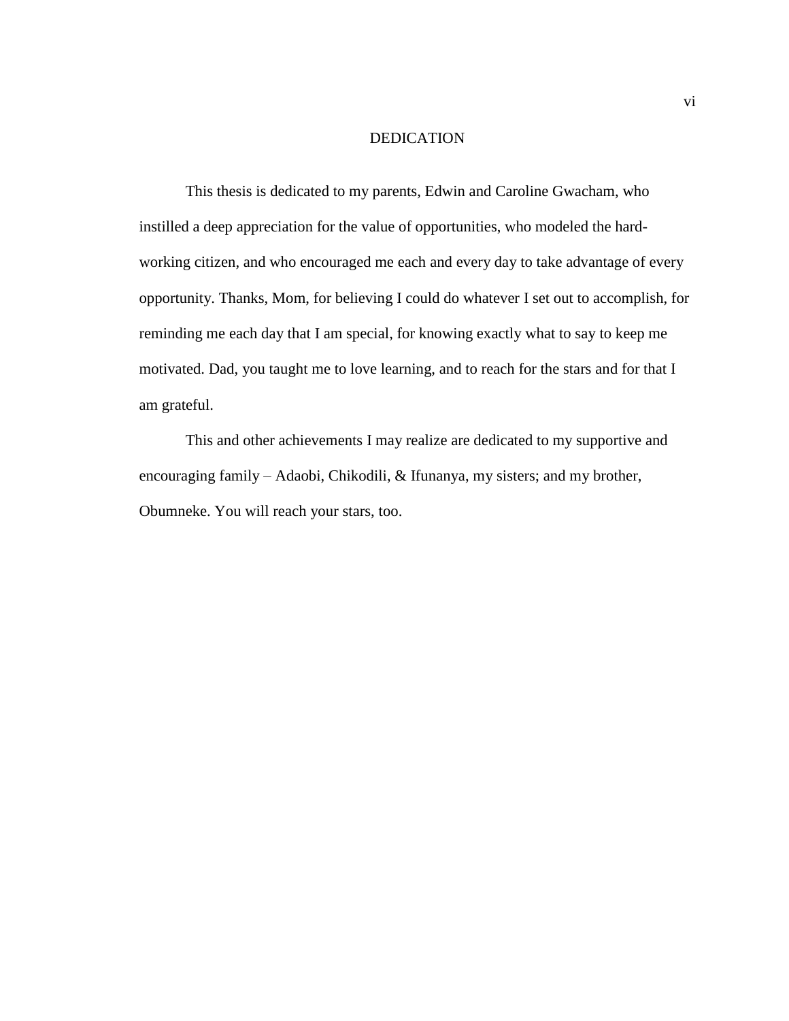# DEDICATION

This thesis is dedicated to my parents, Edwin and Caroline Gwacham, who instilled a deep appreciation for the value of opportunities, who modeled the hardworking citizen, and who encouraged me each and every day to take advantage of every opportunity. Thanks, Mom, for believing I could do whatever I set out to accomplish, for reminding me each day that I am special, for knowing exactly what to say to keep me motivated. Dad, you taught me to love learning, and to reach for the stars and for that I am grateful.

This and other achievements I may realize are dedicated to my supportive and encouraging family – Adaobi, Chikodili, & Ifunanya, my sisters; and my brother, Obumneke. You will reach your stars, too.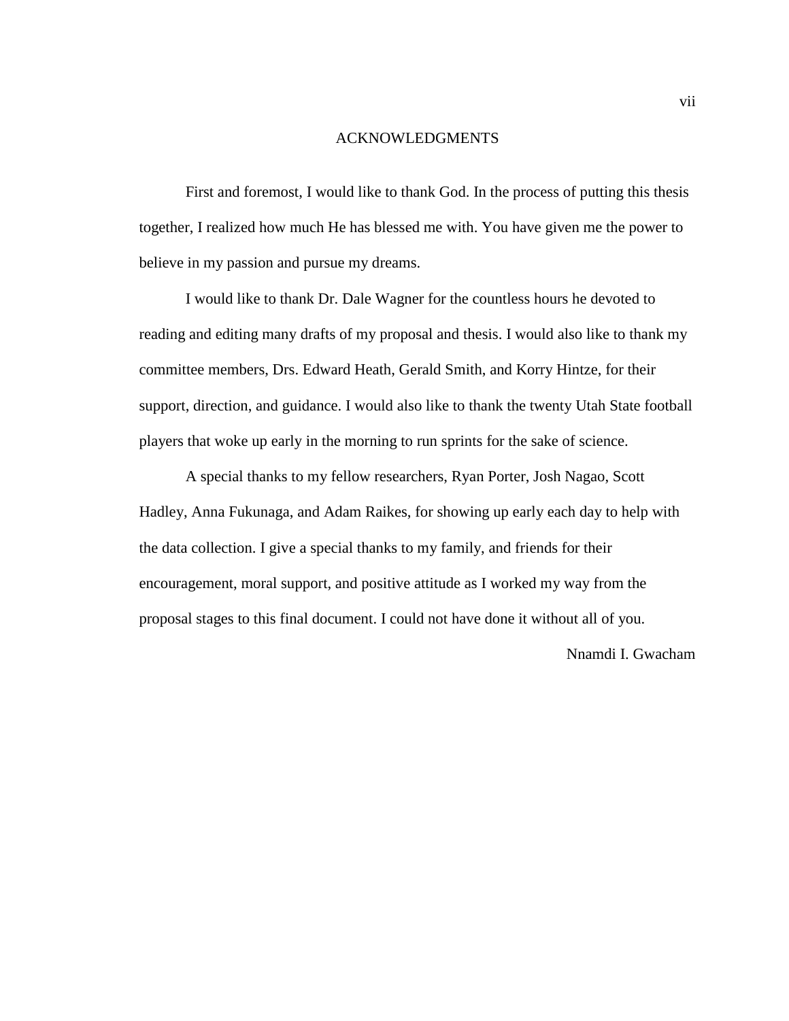## ACKNOWLEDGMENTS

First and foremost, I would like to thank God. In the process of putting this thesis together, I realized how much He has blessed me with. You have given me the power to believe in my passion and pursue my dreams.

I would like to thank Dr. Dale Wagner for the countless hours he devoted to reading and editing many drafts of my proposal and thesis. I would also like to thank my committee members, Drs. Edward Heath, Gerald Smith, and Korry Hintze, for their support, direction, and guidance. I would also like to thank the twenty Utah State football players that woke up early in the morning to run sprints for the sake of science.

A special thanks to my fellow researchers, Ryan Porter, Josh Nagao, Scott Hadley, Anna Fukunaga, and Adam Raikes, for showing up early each day to help with the data collection. I give a special thanks to my family, and friends for their encouragement, moral support, and positive attitude as I worked my way from the proposal stages to this final document. I could not have done it without all of you.

Nnamdi I. Gwacham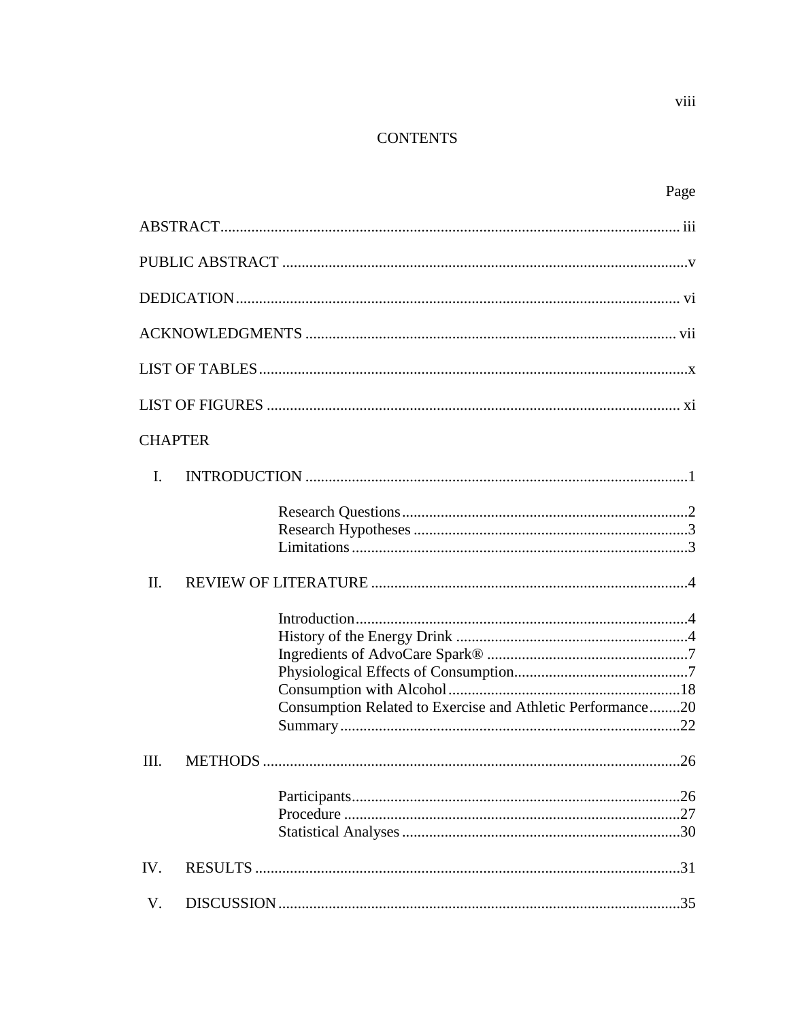# **CONTENTS**

| Page                                                       |
|------------------------------------------------------------|
|                                                            |
|                                                            |
|                                                            |
|                                                            |
|                                                            |
|                                                            |
| <b>CHAPTER</b>                                             |
| I.                                                         |
|                                                            |
| $\Pi$ .                                                    |
| Consumption Related to Exercise and Athletic Performance20 |
| III.<br>26<br>METHODS.                                     |
|                                                            |
| IV.                                                        |
| V.                                                         |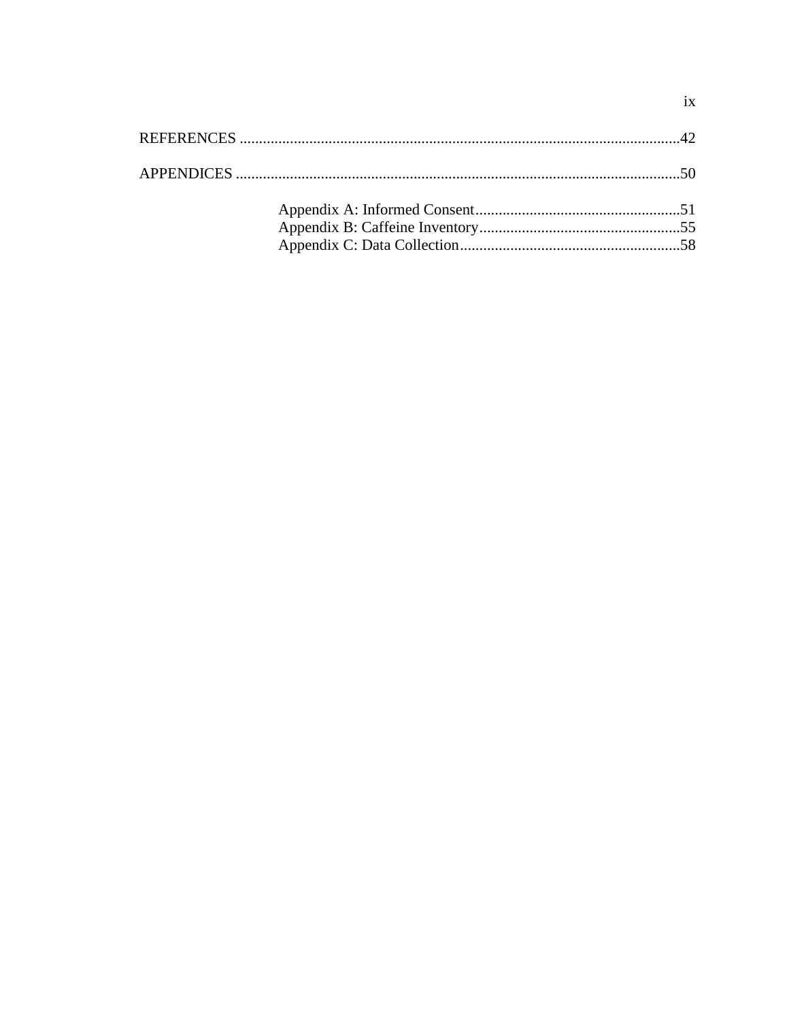$i\mathbf{x}$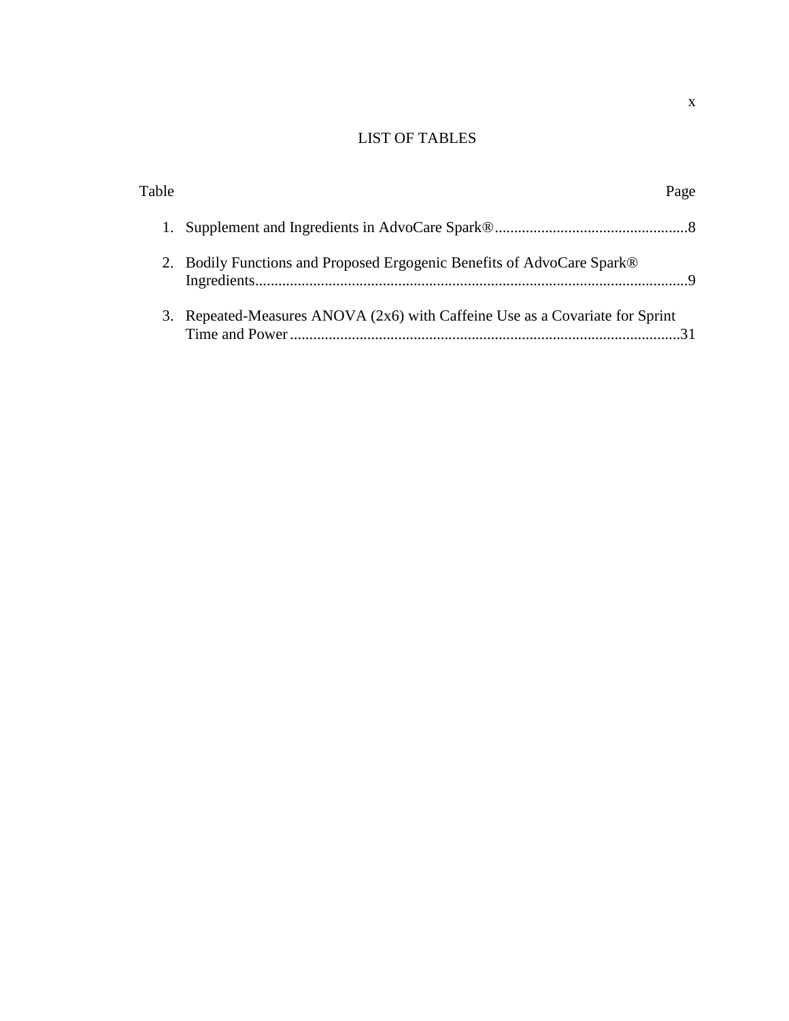# LIST OF TABLES

| Table |                                                                              | Page |
|-------|------------------------------------------------------------------------------|------|
|       |                                                                              |      |
|       | 2. Bodily Functions and Proposed Ergogenic Benefits of AdvoCare Spark®       |      |
|       | 3. Repeated-Measures ANOVA (2x6) with Caffeine Use as a Covariate for Sprint |      |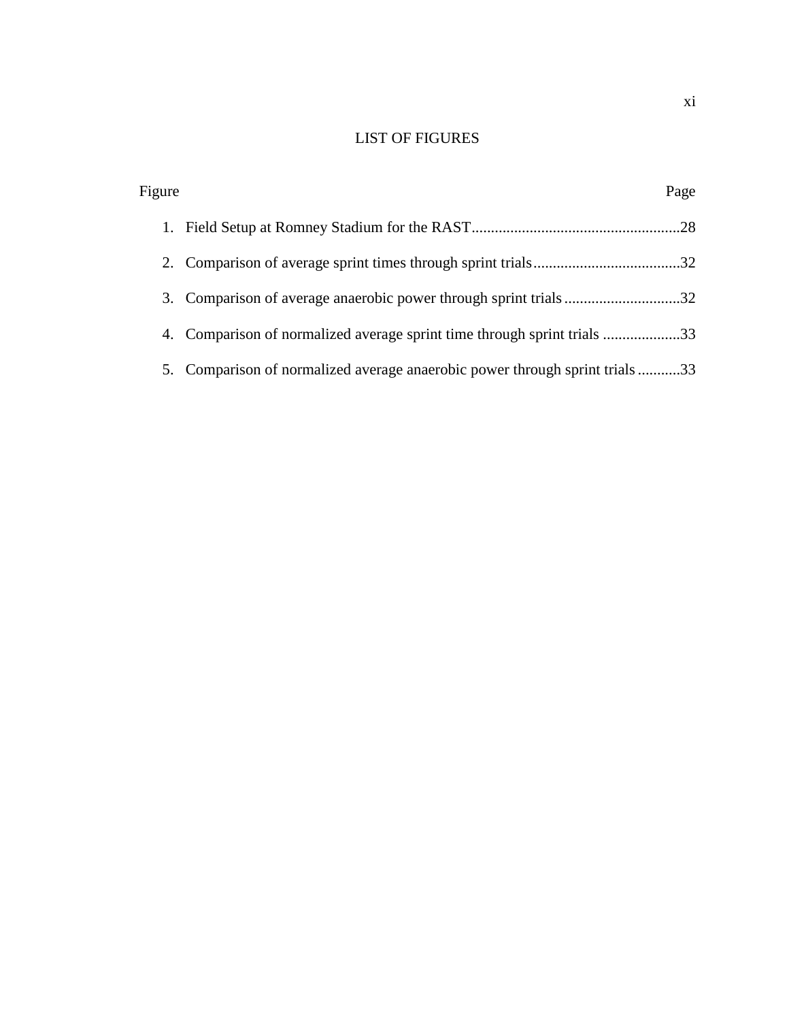# LIST OF FIGURES

| Figure |                                                                          | Page |
|--------|--------------------------------------------------------------------------|------|
|        |                                                                          |      |
|        |                                                                          |      |
|        | 3. Comparison of average anaerobic power through sprint trials32         |      |
|        | 4. Comparison of normalized average sprint time through sprint trials 33 |      |
| 5.     | Comparison of normalized average anaerobic power through sprint trials33 |      |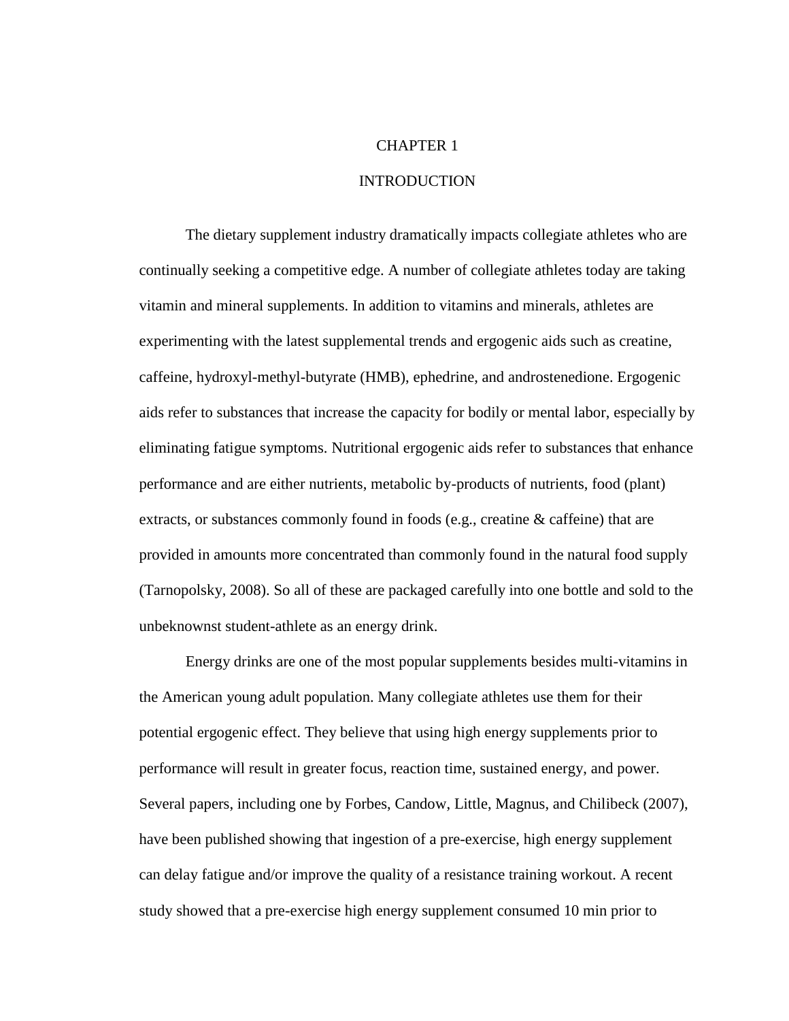# CHAPTER 1

# INTRODUCTION

The dietary supplement industry dramatically impacts collegiate athletes who are continually seeking a competitive edge. A number of collegiate athletes today are taking vitamin and mineral supplements. In addition to vitamins and minerals, athletes are experimenting with the latest supplemental trends and ergogenic aids such as creatine, caffeine, hydroxyl-methyl-butyrate (HMB), ephedrine, and androstenedione. Ergogenic aids refer to substances that increase the capacity for bodily or mental labor, especially by eliminating fatigue symptoms. Nutritional ergogenic aids refer to substances that enhance performance and are either nutrients, metabolic by-products of nutrients, food (plant) extracts, or substances commonly found in foods (e.g., creatine & caffeine) that are provided in amounts more concentrated than commonly found in the natural food supply (Tarnopolsky, 2008). So all of these are packaged carefully into one bottle and sold to the unbeknownst student-athlete as an energy drink.

Energy drinks are one of the most popular supplements besides multi-vitamins in the American young adult population. Many collegiate athletes use them for their potential ergogenic effect. They believe that using high energy supplements prior to performance will result in greater focus, reaction time, sustained energy, and power. Several papers, including one by Forbes, Candow, Little, Magnus, and Chilibeck (2007), have been published showing that ingestion of a pre-exercise, high energy supplement can delay fatigue and/or improve the quality of a resistance training workout. A recent study showed that a pre-exercise high energy supplement consumed 10 min prior to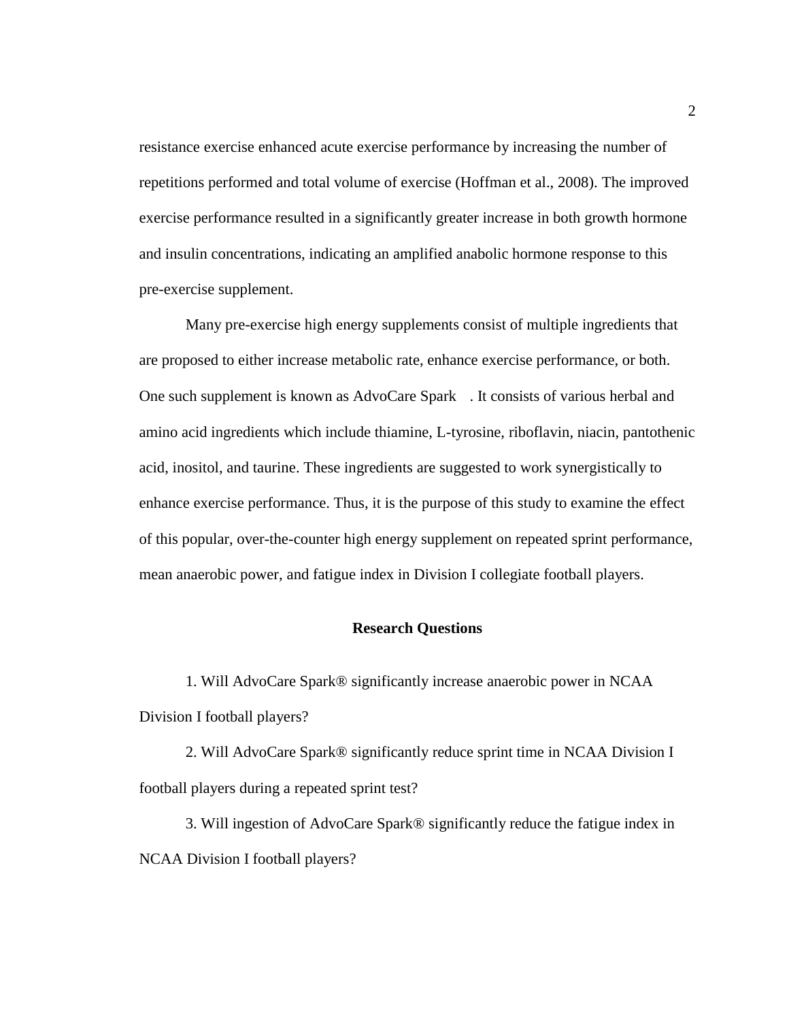resistance exercise enhanced acute exercise performance by increasing the number of repetitions performed and total volume of exercise (Hoffman et al., 2008). The improved exercise performance resulted in a significantly greater increase in both growth hormone and insulin concentrations, indicating an amplified anabolic hormone response to this pre-exercise supplement.

Many pre-exercise high energy supplements consist of multiple ingredients that are proposed to either increase metabolic rate, enhance exercise performance, or both. One such supplement is known as AdvoCare Spark . It consists of various herbal and amino acid ingredients which include thiamine, L-tyrosine, riboflavin, niacin, pantothenic acid, inositol, and taurine. These ingredients are suggested to work synergistically to enhance exercise performance. Thus, it is the purpose of this study to examine the effect of this popular, over-the-counter high energy supplement on repeated sprint performance, mean anaerobic power, and fatigue index in Division I collegiate football players.

# **Research Questions**

1. Will AdvoCare Spark® significantly increase anaerobic power in NCAA Division I football players?

2. Will AdvoCare Spark® significantly reduce sprint time in NCAA Division I football players during a repeated sprint test?

3. Will ingestion of AdvoCare Spark® significantly reduce the fatigue index in NCAA Division I football players?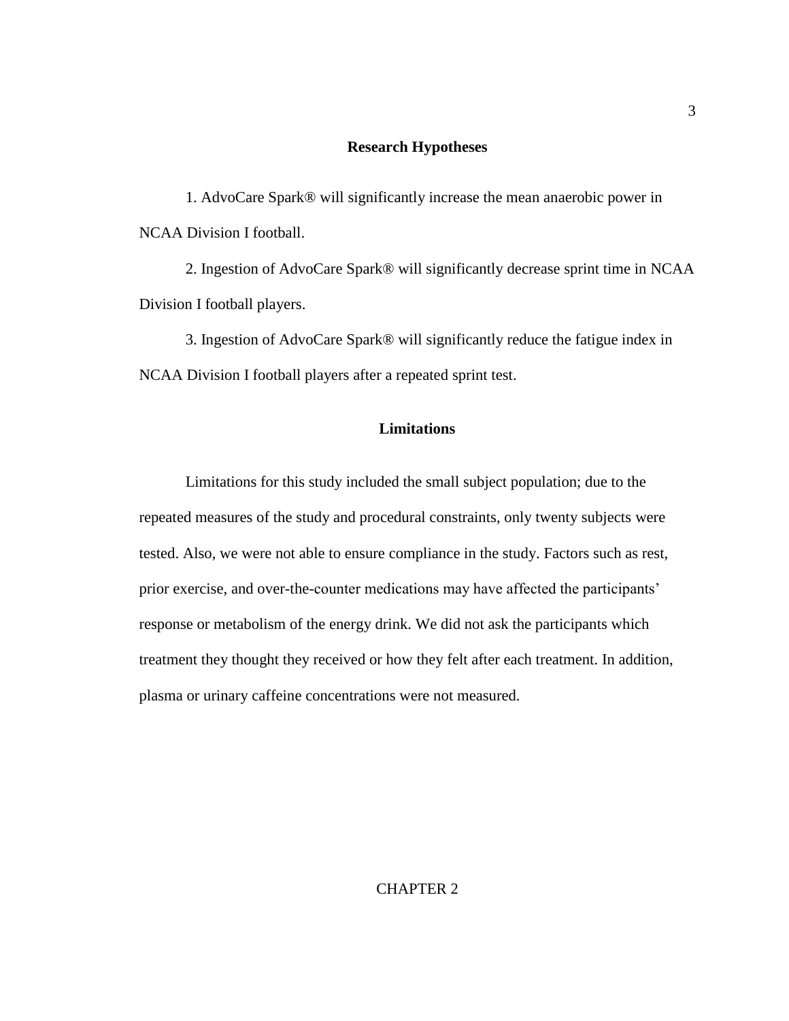## **Research Hypotheses**

1. AdvoCare Spark® will significantly increase the mean anaerobic power in NCAA Division I football.

2. Ingestion of AdvoCare Spark® will significantly decrease sprint time in NCAA Division I football players.

3. Ingestion of AdvoCare Spark® will significantly reduce the fatigue index in NCAA Division I football players after a repeated sprint test.

# **Limitations**

Limitations for this study included the small subject population; due to the repeated measures of the study and procedural constraints, only twenty subjects were tested. Also, we were not able to ensure compliance in the study. Factors such as rest, prior exercise, and over-the-counter medications may have affected the participants' response or metabolism of the energy drink. We did not ask the participants which treatment they thought they received or how they felt after each treatment. In addition, plasma or urinary caffeine concentrations were not measured.

# CHAPTER 2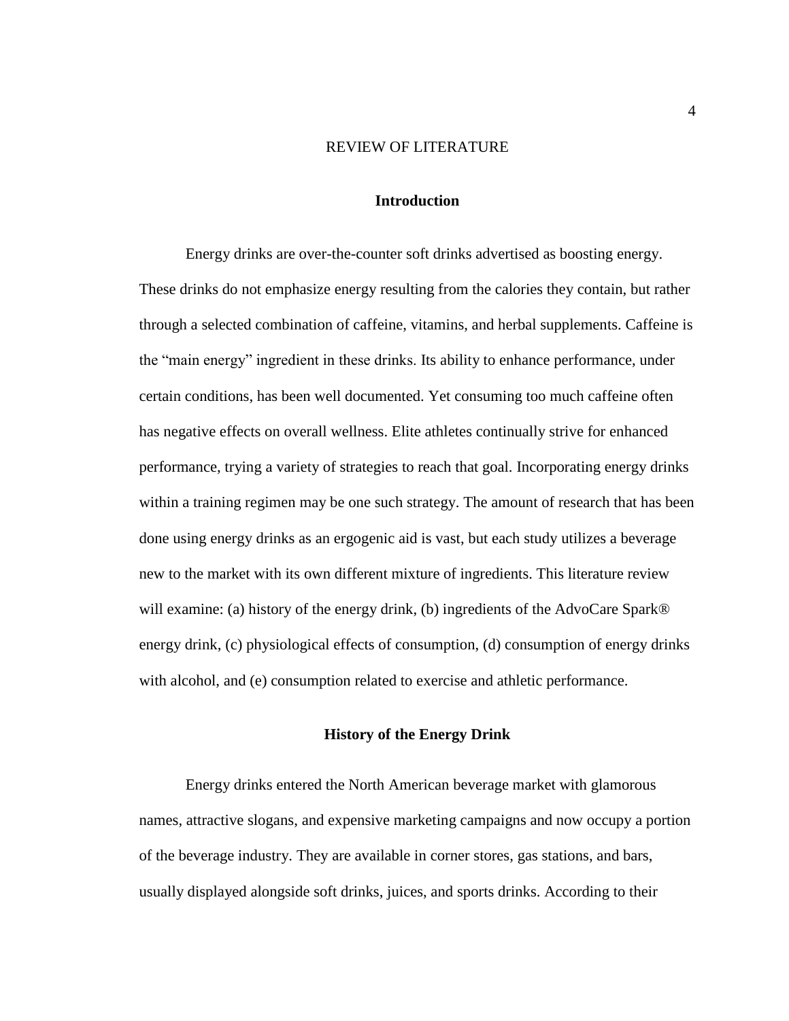#### REVIEW OF LITERATURE

### **Introduction**

Energy drinks are over-the-counter soft drinks advertised as boosting energy. These drinks do not emphasize energy resulting from the calories they contain, but rather through a selected combination of caffeine, vitamins, and herbal supplements. Caffeine is the "main energy" ingredient in these drinks. Its ability to enhance performance, under certain conditions, has been well documented. Yet consuming too much caffeine often has negative effects on overall wellness. Elite athletes continually strive for enhanced performance, trying a variety of strategies to reach that goal. Incorporating energy drinks within a training regimen may be one such strategy. The amount of research that has been done using energy drinks as an ergogenic aid is vast, but each study utilizes a beverage new to the market with its own different mixture of ingredients. This literature review will examine: (a) history of the energy drink, (b) ingredients of the AdvoCare Spark® energy drink, (c) physiological effects of consumption, (d) consumption of energy drinks with alcohol, and (e) consumption related to exercise and athletic performance.

# **History of the Energy Drink**

Energy drinks entered the North American beverage market with glamorous names, attractive slogans, and expensive marketing campaigns and now occupy a portion of the beverage industry. They are available in corner stores, gas stations, and bars, usually displayed alongside soft drinks, juices, and sports drinks. According to their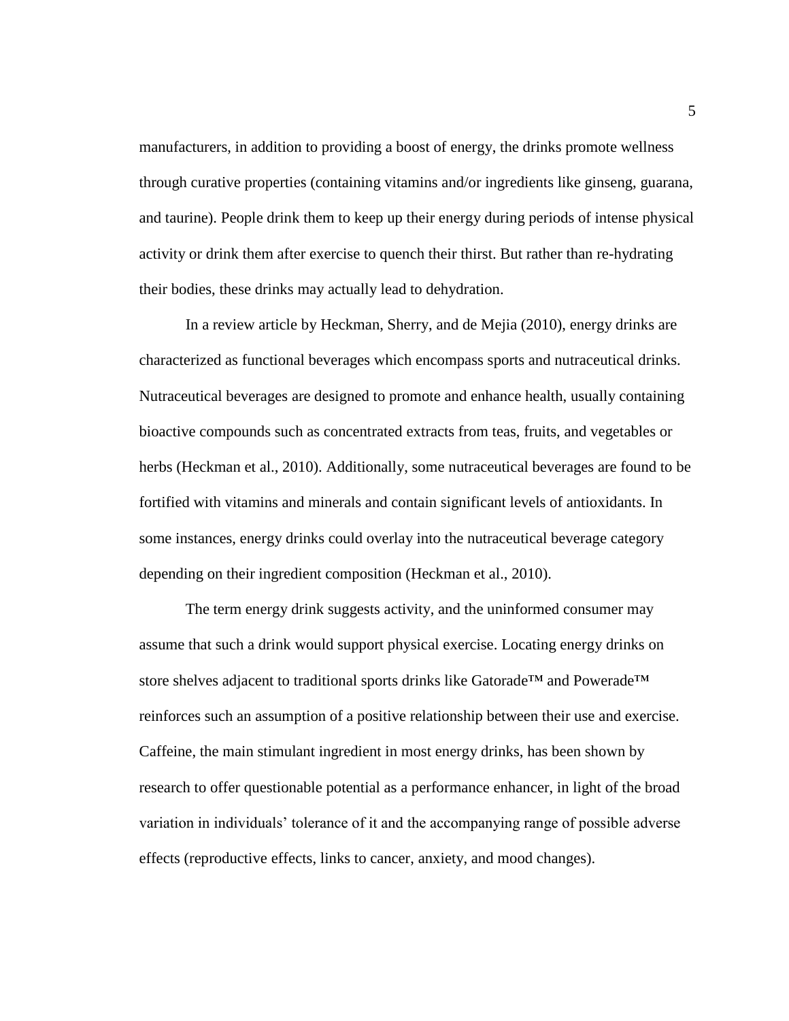manufacturers, in addition to providing a boost of energy, the drinks promote wellness through curative properties (containing vitamins and/or ingredients like ginseng, guarana, and taurine). People drink them to keep up their energy during periods of intense physical activity or drink them after exercise to quench their thirst. But rather than re-hydrating their bodies, these drinks may actually lead to dehydration.

In a review article by Heckman, Sherry, and de Mejia (2010), energy drinks are characterized as functional beverages which encompass sports and nutraceutical drinks. Nutraceutical beverages are designed to promote and enhance health, usually containing bioactive compounds such as concentrated extracts from teas, fruits, and vegetables or herbs (Heckman et al., 2010). Additionally, some nutraceutical beverages are found to be fortified with vitamins and minerals and contain significant levels of antioxidants. In some instances, energy drinks could overlay into the nutraceutical beverage category depending on their ingredient composition (Heckman et al., 2010).

The term energy drink suggests activity, and the uninformed consumer may assume that such a drink would support physical exercise. Locating energy drinks on store shelves adjacent to traditional sports drinks like Gatorade™ and Powerade™ reinforces such an assumption of a positive relationship between their use and exercise. Caffeine, the main stimulant ingredient in most energy drinks, has been shown by research to offer questionable potential as a performance enhancer, in light of the broad variation in individuals' tolerance of it and the accompanying range of possible adverse effects (reproductive effects, links to cancer, anxiety, and mood changes).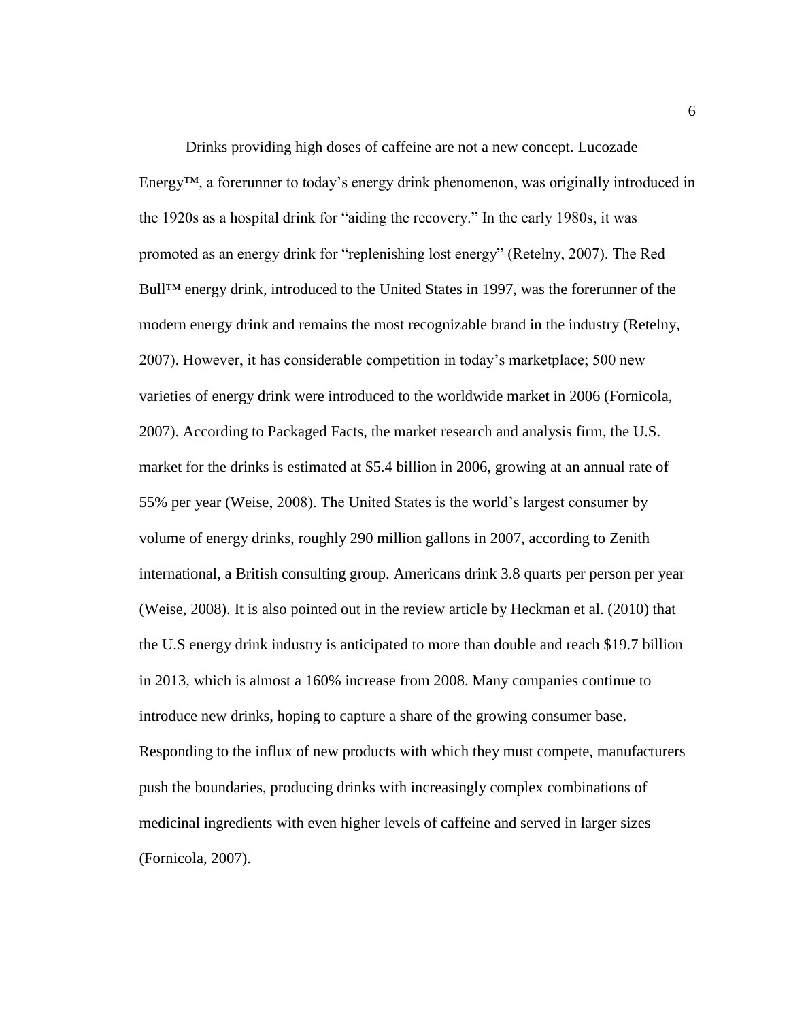Drinks providing high doses of caffeine are not a new concept. Lucozade Energy™, a forerunner to today's energy drink phenomenon, was originally introduced in the 1920s as a hospital drink for "aiding the recovery." In the early 1980s, it was promoted as an energy drink for "replenishing lost energy" (Retelny, 2007). The Red Bull™ energy drink, introduced to the United States in 1997, was the forerunner of the modern energy drink and remains the most recognizable brand in the industry (Retelny, 2007). However, it has considerable competition in today's marketplace; 500 new varieties of energy drink were introduced to the worldwide market in 2006 (Fornicola, 2007). According to Packaged Facts, the market research and analysis firm, the U.S. market for the drinks is estimated at \$5.4 billion in 2006, growing at an annual rate of 55% per year (Weise, 2008). The United States is the world's largest consumer by volume of energy drinks, roughly 290 million gallons in 2007, according to Zenith international, a British consulting group. Americans drink 3.8 quarts per person per year (Weise, 2008). It is also pointed out in the review article by Heckman et al. (2010) that the U.S energy drink industry is anticipated to more than double and reach \$19.7 billion in 2013, which is almost a 160% increase from 2008. Many companies continue to introduce new drinks, hoping to capture a share of the growing consumer base. Responding to the influx of new products with which they must compete, manufacturers push the boundaries, producing drinks with increasingly complex combinations of medicinal ingredients with even higher levels of caffeine and served in larger sizes (Fornicola, 2007).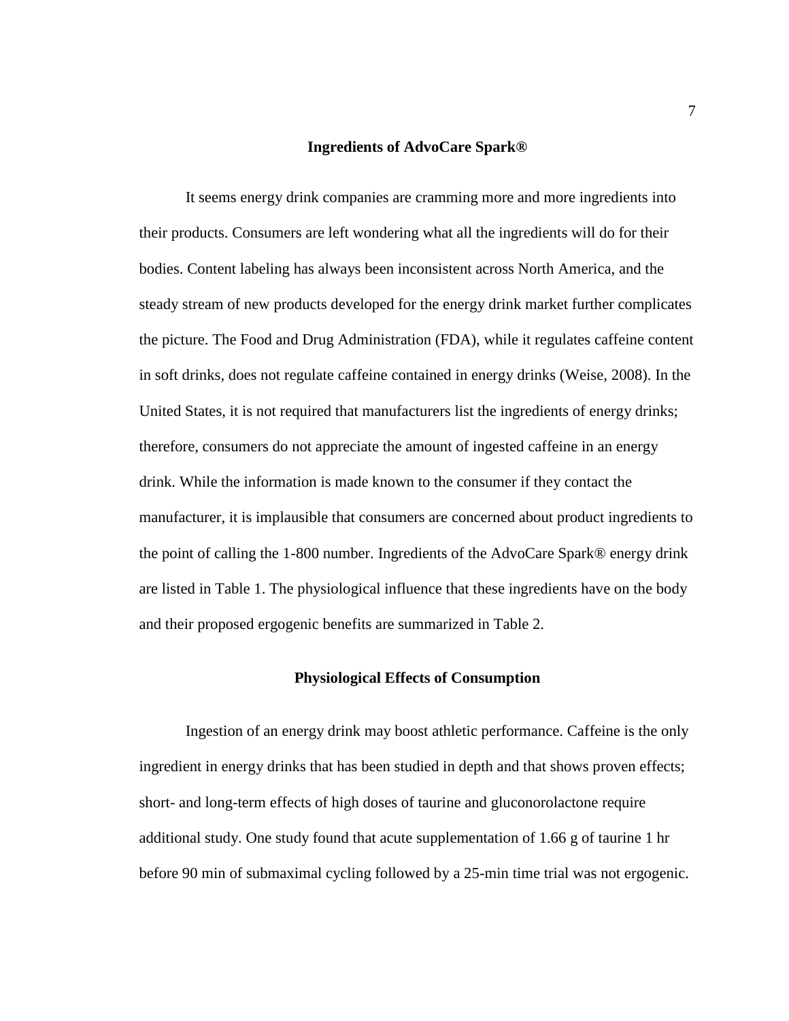#### **Ingredients of AdvoCare Spark®**

It seems energy drink companies are cramming more and more ingredients into their products. Consumers are left wondering what all the ingredients will do for their bodies. Content labeling has always been inconsistent across North America, and the steady stream of new products developed for the energy drink market further complicates the picture. The Food and Drug Administration (FDA), while it regulates caffeine content in soft drinks, does not regulate caffeine contained in energy drinks (Weise, 2008). In the United States, it is not required that manufacturers list the ingredients of energy drinks; therefore, consumers do not appreciate the amount of ingested caffeine in an energy drink. While the information is made known to the consumer if they contact the manufacturer, it is implausible that consumers are concerned about product ingredients to the point of calling the 1-800 number. Ingredients of the AdvoCare Spark® energy drink are listed in Table 1. The physiological influence that these ingredients have on the body and their proposed ergogenic benefits are summarized in Table 2.

#### **Physiological Effects of Consumption**

Ingestion of an energy drink may boost athletic performance. Caffeine is the only ingredient in energy drinks that has been studied in depth and that shows proven effects; short- and long-term effects of high doses of taurine and gluconorolactone require additional study. One study found that acute supplementation of 1.66 g of taurine 1 hr before 90 min of submaximal cycling followed by a 25-min time trial was not ergogenic.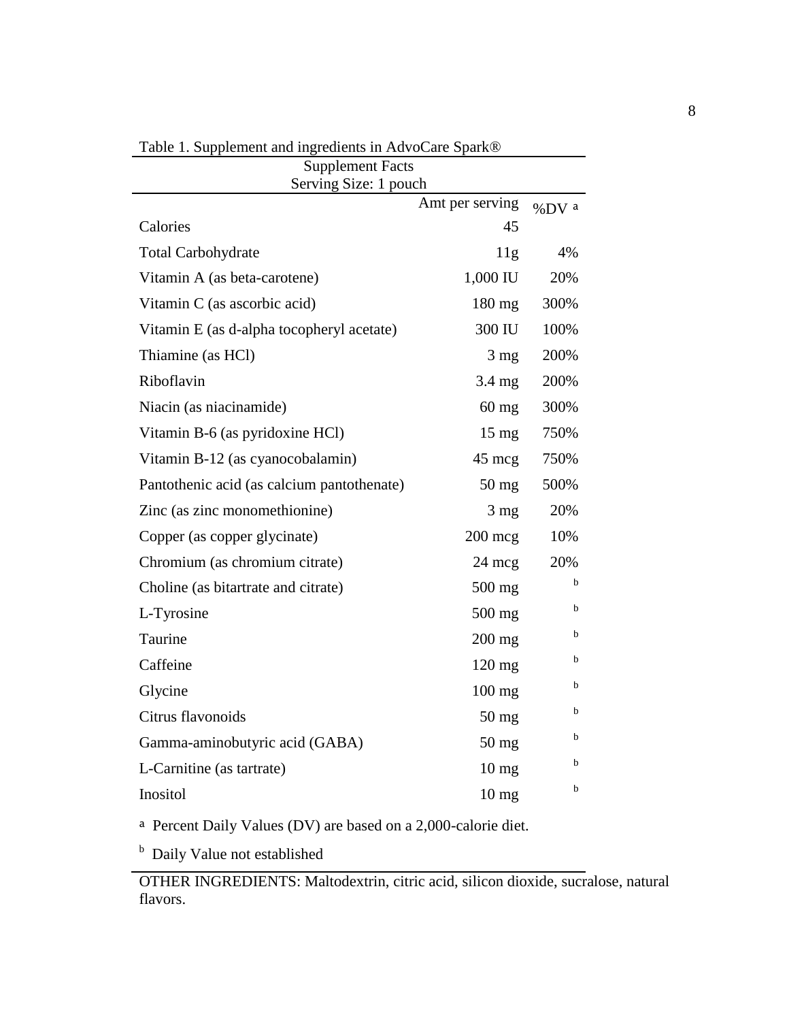| <b>Supplement Facts</b><br>Serving Size: 1 pouch |                  |         |  |  |  |  |  |  |
|--------------------------------------------------|------------------|---------|--|--|--|--|--|--|
|                                                  | Amt per serving  | $%DV$ a |  |  |  |  |  |  |
| Calories                                         | 45               |         |  |  |  |  |  |  |
| <b>Total Carbohydrate</b>                        | 11g              | 4%      |  |  |  |  |  |  |
| Vitamin A (as beta-carotene)                     | 1,000 IU         | 20%     |  |  |  |  |  |  |
| Vitamin C (as ascorbic acid)                     | $180 \text{ mg}$ | 300%    |  |  |  |  |  |  |
| Vitamin E (as d-alpha tocopheryl acetate)        | 300 IU           | 100%    |  |  |  |  |  |  |
| Thiamine (as HCl)                                | $3 \text{ mg}$   | 200%    |  |  |  |  |  |  |
| Riboflavin                                       | $3.4 \text{ mg}$ | 200%    |  |  |  |  |  |  |
| Niacin (as niacinamide)                          | $60 \text{ mg}$  | 300%    |  |  |  |  |  |  |
| Vitamin B-6 (as pyridoxine HCl)                  | $15 \text{ mg}$  | 750%    |  |  |  |  |  |  |
| Vitamin B-12 (as cyanocobalamin)                 | $45 \text{ mcg}$ | 750%    |  |  |  |  |  |  |
| Pantothenic acid (as calcium pantothenate)       | $50 \text{ mg}$  | 500%    |  |  |  |  |  |  |
| Zinc (as zinc monomethionine)                    | $3 \text{ mg}$   | 20%     |  |  |  |  |  |  |
| Copper (as copper glycinate)                     | $200$ mcg        | 10%     |  |  |  |  |  |  |
| Chromium (as chromium citrate)                   | $24 \text{ mcg}$ | 20%     |  |  |  |  |  |  |
| Choline (as bitartrate and citrate)              | $500$ mg         | b.      |  |  |  |  |  |  |
| L-Tyrosine                                       | $500$ mg         | b       |  |  |  |  |  |  |
| Taurine                                          | $200$ mg         | b       |  |  |  |  |  |  |
| Caffeine                                         | $120 \text{ mg}$ | b       |  |  |  |  |  |  |
| Glycine                                          | $100$ mg         | b       |  |  |  |  |  |  |
| Citrus flavonoids                                | $50$ mg          | b       |  |  |  |  |  |  |
| Gamma-aminobutyric acid (GABA)                   | $50$ mg          | b       |  |  |  |  |  |  |
| L-Carnitine (as tartrate)                        | $10 \text{ mg}$  | b       |  |  |  |  |  |  |
| Inositol                                         | $10 \text{ mg}$  | b       |  |  |  |  |  |  |

Table 1. Supplement and ingredients in AdvoCare Spark®

<sup>a</sup> Percent Daily Values (DV) are based on a 2,000-calorie diet.

<sup>b</sup> Daily Value not established

OTHER INGREDIENTS: Maltodextrin, citric acid, silicon dioxide, sucralose, natural flavors.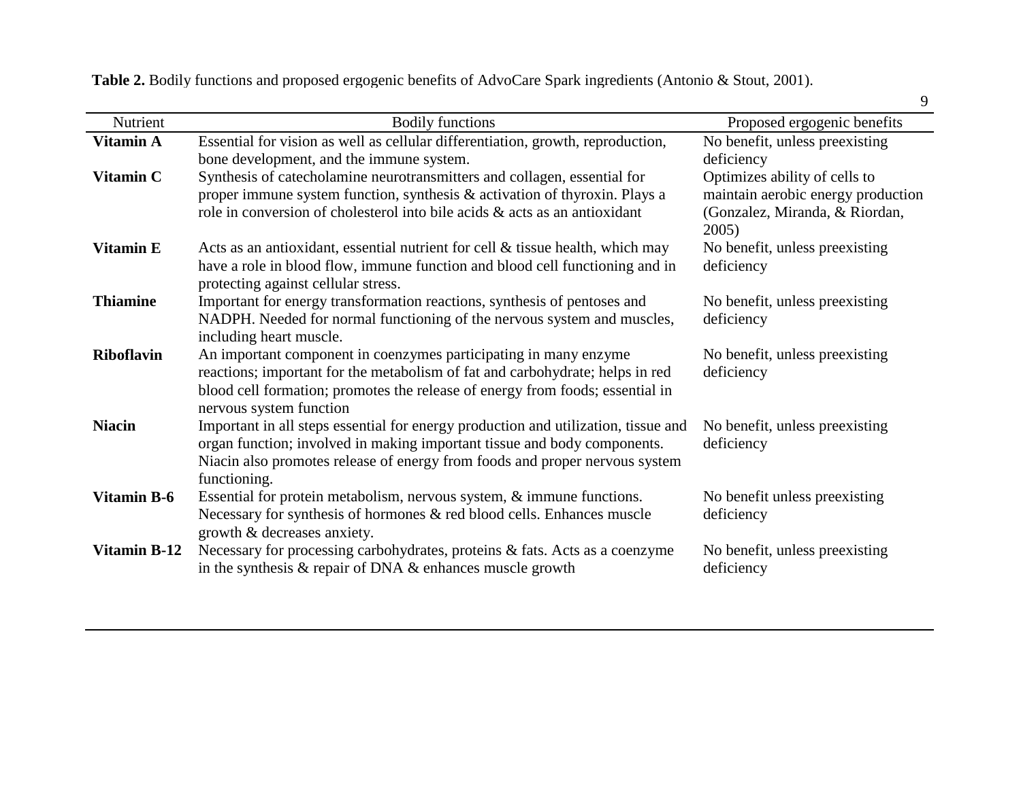**Table 2.** Bodily functions and proposed ergogenic benefits of AdvoCare Spark ingredients (Antonio & Stout, 2001).

|                    |                                                                                                                     | 9                                          |
|--------------------|---------------------------------------------------------------------------------------------------------------------|--------------------------------------------|
| <b>Nutrient</b>    | <b>Bodily functions</b>                                                                                             | Proposed ergogenic benefits                |
| Vitamin A          | Essential for vision as well as cellular differentiation, growth, reproduction,                                     | No benefit, unless preexisting             |
|                    | bone development, and the immune system.                                                                            | deficiency                                 |
| <b>Vitamin C</b>   | Synthesis of catecholamine neurotransmitters and collagen, essential for                                            | Optimizes ability of cells to              |
|                    | proper immune system function, synthesis & activation of thyroxin. Plays a                                          | maintain aerobic energy production         |
|                    | role in conversion of cholesterol into bile acids & acts as an antioxidant                                          | (Gonzalez, Miranda, & Riordan,<br>$2005$ ) |
| <b>Vitamin E</b>   | Acts as an antioxidant, essential nutrient for cell $\&$ tissue health, which may                                   | No benefit, unless preexisting             |
|                    | have a role in blood flow, immune function and blood cell functioning and in<br>protecting against cellular stress. | deficiency                                 |
| <b>Thiamine</b>    | Important for energy transformation reactions, synthesis of pentoses and                                            | No benefit, unless preexisting             |
|                    | NADPH. Needed for normal functioning of the nervous system and muscles,                                             | deficiency                                 |
|                    | including heart muscle.                                                                                             |                                            |
| <b>Riboflavin</b>  | An important component in coenzymes participating in many enzyme                                                    | No benefit, unless preexisting             |
|                    | reactions; important for the metabolism of fat and carbohydrate; helps in red                                       | deficiency                                 |
|                    | blood cell formation; promotes the release of energy from foods; essential in                                       |                                            |
|                    | nervous system function                                                                                             |                                            |
| <b>Niacin</b>      | Important in all steps essential for energy production and utilization, tissue and                                  | No benefit, unless preexisting             |
|                    | organ function; involved in making important tissue and body components.                                            | deficiency                                 |
|                    | Niacin also promotes release of energy from foods and proper nervous system                                         |                                            |
|                    | functioning.                                                                                                        |                                            |
| <b>Vitamin B-6</b> | Essential for protein metabolism, nervous system, $\&$ immune functions.                                            | No benefit unless preexisting              |
|                    | Necessary for synthesis of hormones & red blood cells. Enhances muscle                                              | deficiency                                 |
|                    | growth & decreases anxiety.                                                                                         |                                            |
| Vitamin B-12       | Necessary for processing carbohydrates, proteins & fats. Acts as a coenzyme                                         | No benefit, unless preexisting             |
|                    | in the synthesis $\&$ repair of DNA $\&$ enhances muscle growth                                                     | deficiency                                 |
|                    |                                                                                                                     |                                            |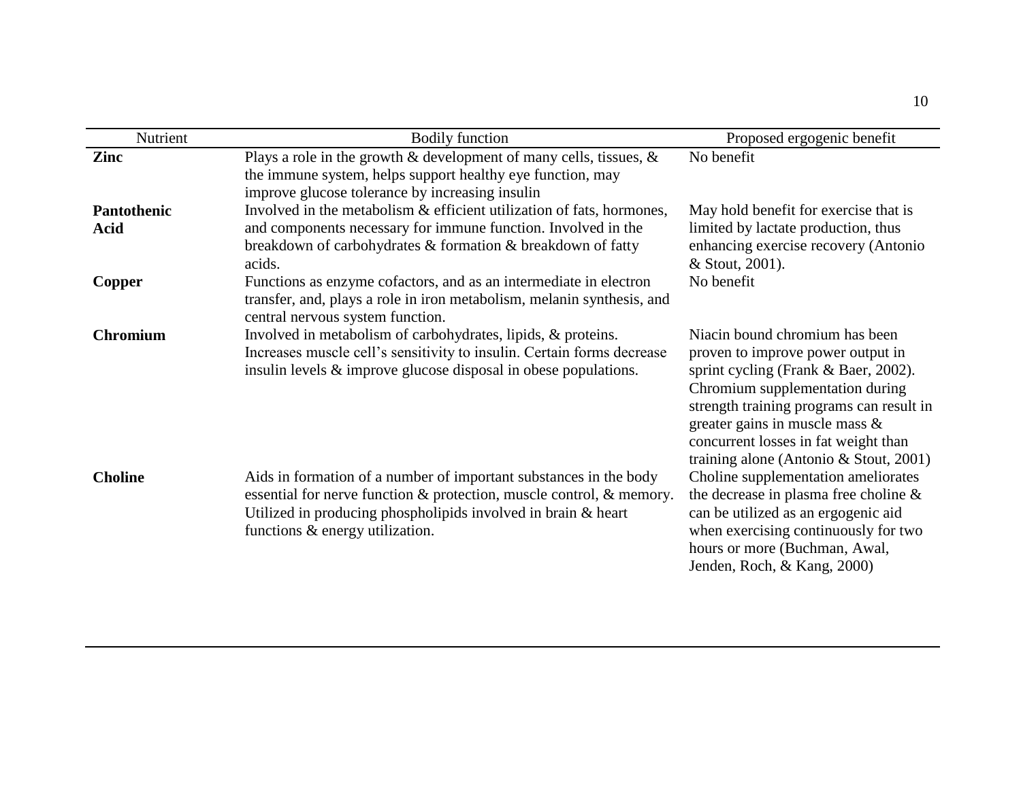| Nutrient                          | <b>Bodily function</b>                                                                                                                                                                                                                        | Proposed ergogenic benefit                                                                                                                                                                                                                                                                                     |
|-----------------------------------|-----------------------------------------------------------------------------------------------------------------------------------------------------------------------------------------------------------------------------------------------|----------------------------------------------------------------------------------------------------------------------------------------------------------------------------------------------------------------------------------------------------------------------------------------------------------------|
| Zinc                              | Plays a role in the growth $\&$ development of many cells, tissues, $\&$<br>the immune system, helps support healthy eye function, may<br>improve glucose tolerance by increasing insulin                                                     | No benefit                                                                                                                                                                                                                                                                                                     |
| <b>Pantothenic</b><br><b>Acid</b> | Involved in the metabolism & efficient utilization of fats, hormones,<br>and components necessary for immune function. Involved in the<br>breakdown of carbohydrates & formation & breakdown of fatty<br>acids.                               | May hold benefit for exercise that is<br>limited by lactate production, thus<br>enhancing exercise recovery (Antonio<br>& Stout, 2001).                                                                                                                                                                        |
| Copper                            | Functions as enzyme cofactors, and as an intermediate in electron<br>transfer, and, plays a role in iron metabolism, melanin synthesis, and<br>central nervous system function.                                                               | No benefit                                                                                                                                                                                                                                                                                                     |
| <b>Chromium</b>                   | Involved in metabolism of carbohydrates, lipids, & proteins.<br>Increases muscle cell's sensitivity to insulin. Certain forms decrease<br>insulin levels & improve glucose disposal in obese populations.                                     | Niacin bound chromium has been<br>proven to improve power output in<br>sprint cycling (Frank & Baer, 2002).<br>Chromium supplementation during<br>strength training programs can result in<br>greater gains in muscle mass &<br>concurrent losses in fat weight than<br>training alone (Antonio & Stout, 2001) |
| <b>Choline</b>                    | Aids in formation of a number of important substances in the body<br>essential for nerve function & protection, muscle control, & memory.<br>Utilized in producing phospholipids involved in brain & heart<br>functions & energy utilization. | Choline supplementation ameliorates<br>the decrease in plasma free choline &<br>can be utilized as an ergogenic aid<br>when exercising continuously for two<br>hours or more (Buchman, Awal,<br>Jenden, Roch, & Kang, 2000)                                                                                    |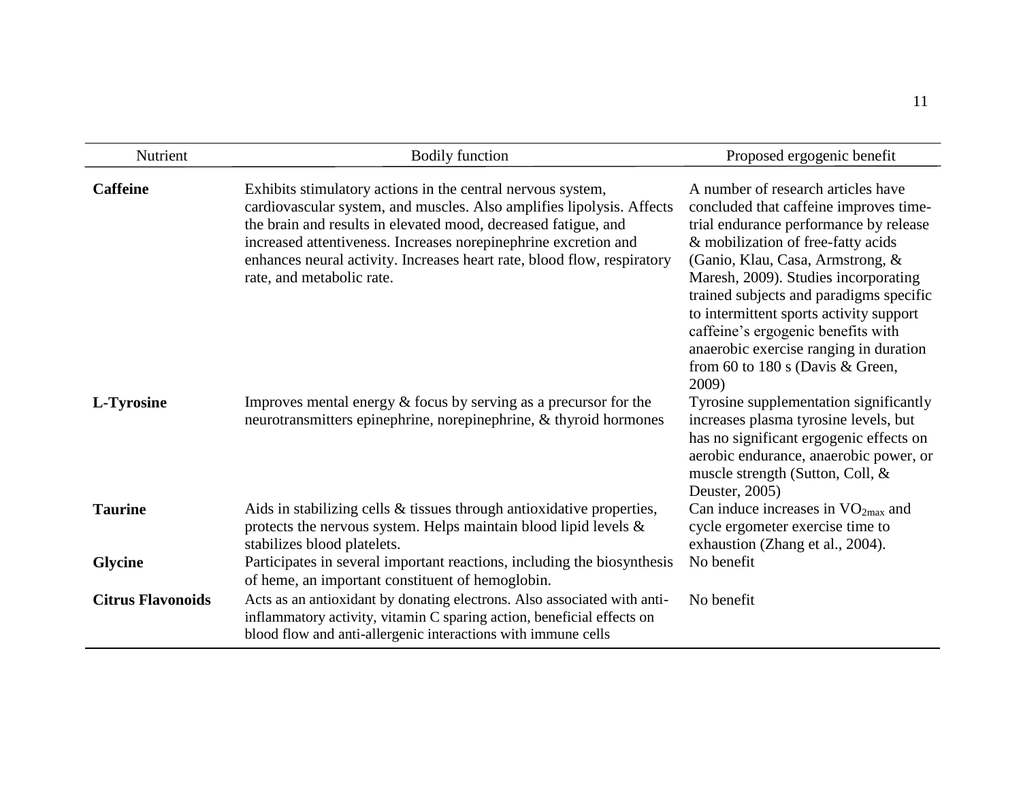| Nutrient                 | <b>Bodily function</b>                                                                                                                                                                                                                                                                                                                                                            | Proposed ergogenic benefit                                                                                                                                                                                                                                                                                                                                                                                                                                  |
|--------------------------|-----------------------------------------------------------------------------------------------------------------------------------------------------------------------------------------------------------------------------------------------------------------------------------------------------------------------------------------------------------------------------------|-------------------------------------------------------------------------------------------------------------------------------------------------------------------------------------------------------------------------------------------------------------------------------------------------------------------------------------------------------------------------------------------------------------------------------------------------------------|
| <b>Caffeine</b>          | Exhibits stimulatory actions in the central nervous system,<br>cardiovascular system, and muscles. Also amplifies lipolysis. Affects<br>the brain and results in elevated mood, decreased fatigue, and<br>increased attentiveness. Increases norepinephrine excretion and<br>enhances neural activity. Increases heart rate, blood flow, respiratory<br>rate, and metabolic rate. | A number of research articles have<br>concluded that caffeine improves time-<br>trial endurance performance by release<br>& mobilization of free-fatty acids<br>(Ganio, Klau, Casa, Armstrong, &<br>Maresh, 2009). Studies incorporating<br>trained subjects and paradigms specific<br>to intermittent sports activity support<br>caffeine's ergogenic benefits with<br>anaerobic exercise ranging in duration<br>from 60 to 180 s (Davis & Green,<br>2009) |
| L-Tyrosine               | Improves mental energy $&$ focus by serving as a precursor for the<br>neurotransmitters epinephrine, norepinephrine, & thyroid hormones                                                                                                                                                                                                                                           | Tyrosine supplementation significantly<br>increases plasma tyrosine levels, but<br>has no significant ergogenic effects on<br>aerobic endurance, anaerobic power, or<br>muscle strength (Sutton, Coll, &<br>Deuster, 2005)                                                                                                                                                                                                                                  |
| <b>Taurine</b>           | Aids in stabilizing cells & tissues through antioxidative properties,<br>protects the nervous system. Helps maintain blood lipid levels &<br>stabilizes blood platelets.                                                                                                                                                                                                          | Can induce increases in $VO_{2max}$ and<br>cycle ergometer exercise time to<br>exhaustion (Zhang et al., 2004).                                                                                                                                                                                                                                                                                                                                             |
| <b>Glycine</b>           | Participates in several important reactions, including the biosynthesis<br>of heme, an important constituent of hemoglobin.                                                                                                                                                                                                                                                       | No benefit                                                                                                                                                                                                                                                                                                                                                                                                                                                  |
| <b>Citrus Flavonoids</b> | Acts as an antioxidant by donating electrons. Also associated with anti-<br>inflammatory activity, vitamin C sparing action, beneficial effects on<br>blood flow and anti-allergenic interactions with immune cells                                                                                                                                                               | No benefit                                                                                                                                                                                                                                                                                                                                                                                                                                                  |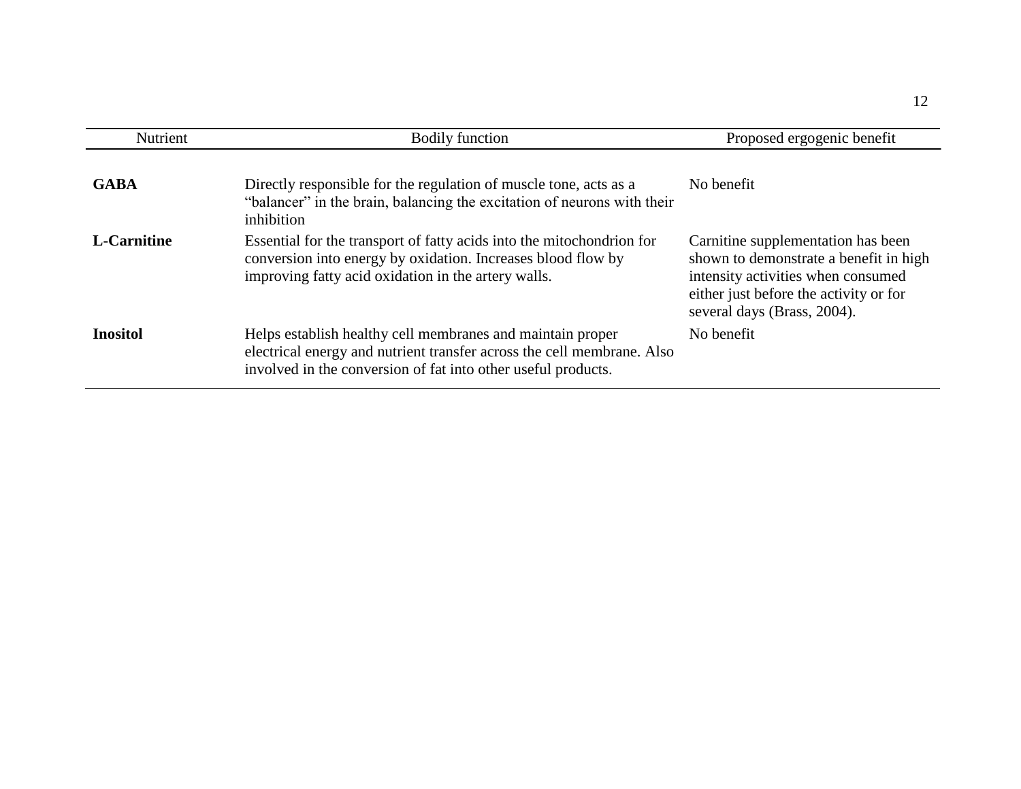| Nutrient        | <b>Bodily function</b>                                                                                                                                                                                | Proposed ergogenic benefit                                                                                                                                                                  |
|-----------------|-------------------------------------------------------------------------------------------------------------------------------------------------------------------------------------------------------|---------------------------------------------------------------------------------------------------------------------------------------------------------------------------------------------|
| <b>GABA</b>     | Directly responsible for the regulation of muscle tone, acts as a<br>"balancer" in the brain, balancing the excitation of neurons with their<br>inhibition                                            | No benefit                                                                                                                                                                                  |
| L-Carnitine     | Essential for the transport of fatty acids into the mitochondrion for<br>conversion into energy by oxidation. Increases blood flow by<br>improving fatty acid oxidation in the artery walls.          | Carnitine supplementation has been<br>shown to demonstrate a benefit in high<br>intensity activities when consumed<br>either just before the activity or for<br>several days (Brass, 2004). |
| <b>Inositol</b> | Helps establish healthy cell membranes and maintain proper<br>electrical energy and nutrient transfer across the cell membrane. Also<br>involved in the conversion of fat into other useful products. | No benefit                                                                                                                                                                                  |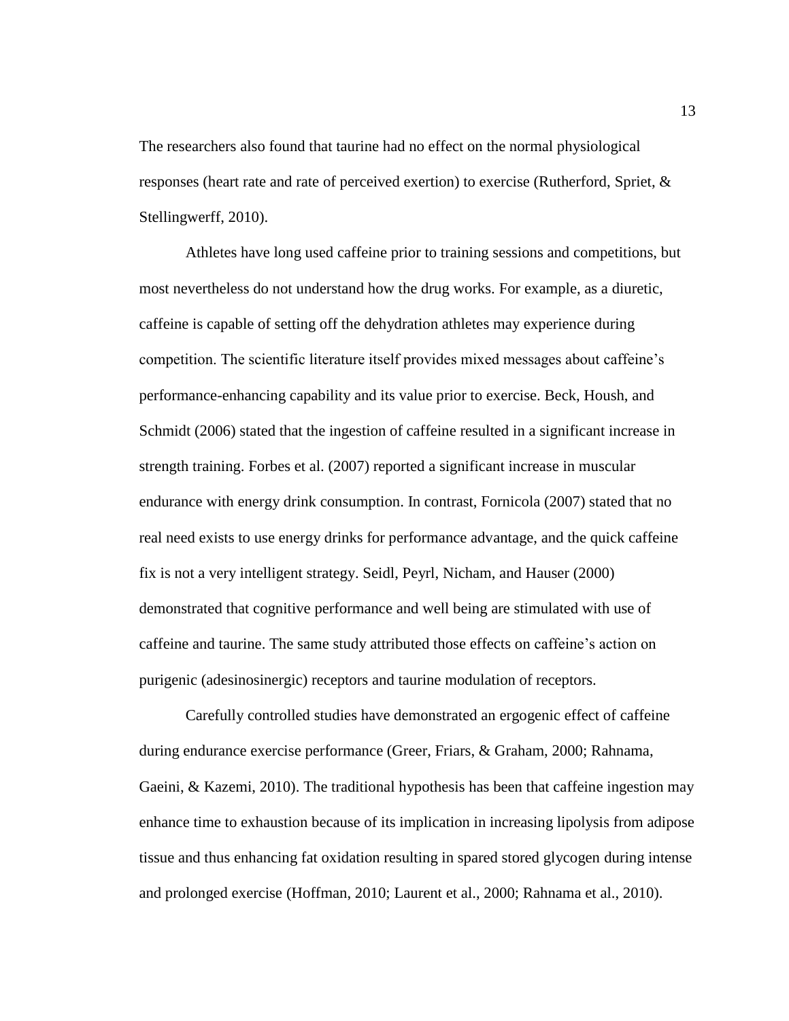The researchers also found that taurine had no effect on the normal physiological responses (heart rate and rate of perceived exertion) to exercise (Rutherford, Spriet, & Stellingwerff, 2010).

Athletes have long used caffeine prior to training sessions and competitions, but most nevertheless do not understand how the drug works. For example, as a diuretic, caffeine is capable of setting off the dehydration athletes may experience during competition. The scientific literature itself provides mixed messages about caffeine's performance-enhancing capability and its value prior to exercise. Beck, Housh, and Schmidt (2006) stated that the ingestion of caffeine resulted in a significant increase in strength training. Forbes et al. (2007) reported a significant increase in muscular endurance with energy drink consumption. In contrast, Fornicola (2007) stated that no real need exists to use energy drinks for performance advantage, and the quick caffeine fix is not a very intelligent strategy. Seidl, Peyrl, Nicham, and Hauser (2000) demonstrated that cognitive performance and well being are stimulated with use of caffeine and taurine. The same study attributed those effects on caffeine's action on purigenic (adesinosinergic) receptors and taurine modulation of receptors.

Carefully controlled studies have demonstrated an ergogenic effect of caffeine during endurance exercise performance (Greer, Friars, & Graham, 2000; Rahnama, Gaeini, & Kazemi, 2010). The traditional hypothesis has been that caffeine ingestion may enhance time to exhaustion because of its implication in increasing lipolysis from adipose tissue and thus enhancing fat oxidation resulting in spared stored glycogen during intense and prolonged exercise (Hoffman, 2010; Laurent et al., 2000; Rahnama et al., 2010).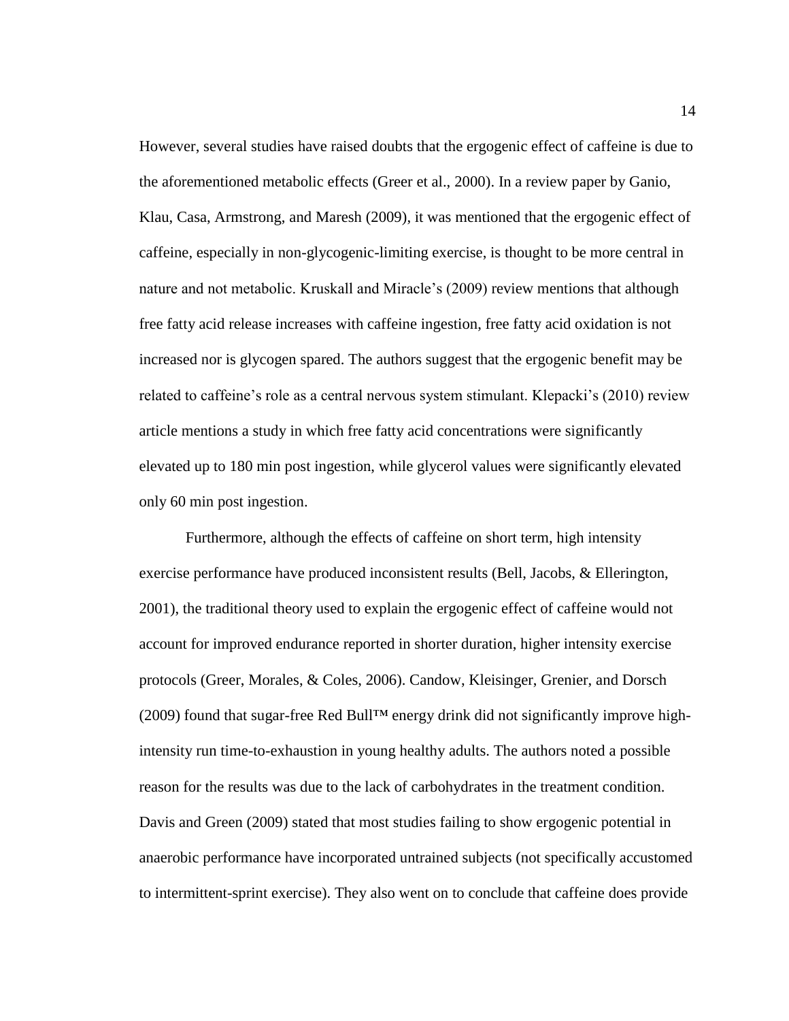However, several studies have raised doubts that the ergogenic effect of caffeine is due to the aforementioned metabolic effects (Greer et al., 2000). In a review paper by Ganio, Klau, Casa, Armstrong, and Maresh (2009), it was mentioned that the ergogenic effect of caffeine, especially in non-glycogenic-limiting exercise, is thought to be more central in nature and not metabolic. Kruskall and Miracle's (2009) review mentions that although free fatty acid release increases with caffeine ingestion, free fatty acid oxidation is not increased nor is glycogen spared. The authors suggest that the ergogenic benefit may be related to caffeine's role as a central nervous system stimulant. Klepacki's (2010) review article mentions a study in which free fatty acid concentrations were significantly elevated up to 180 min post ingestion, while glycerol values were significantly elevated only 60 min post ingestion.

Furthermore, although the effects of caffeine on short term, high intensity exercise performance have produced inconsistent results (Bell, Jacobs, & Ellerington, 2001), the traditional theory used to explain the ergogenic effect of caffeine would not account for improved endurance reported in shorter duration, higher intensity exercise protocols (Greer, Morales, & Coles, 2006). Candow, Kleisinger, Grenier, and Dorsch (2009) found that sugar-free Red Bull™ energy drink did not significantly improve highintensity run time-to-exhaustion in young healthy adults. The authors noted a possible reason for the results was due to the lack of carbohydrates in the treatment condition. Davis and Green (2009) stated that most studies failing to show ergogenic potential in anaerobic performance have incorporated untrained subjects (not specifically accustomed to intermittent-sprint exercise). They also went on to conclude that caffeine does provide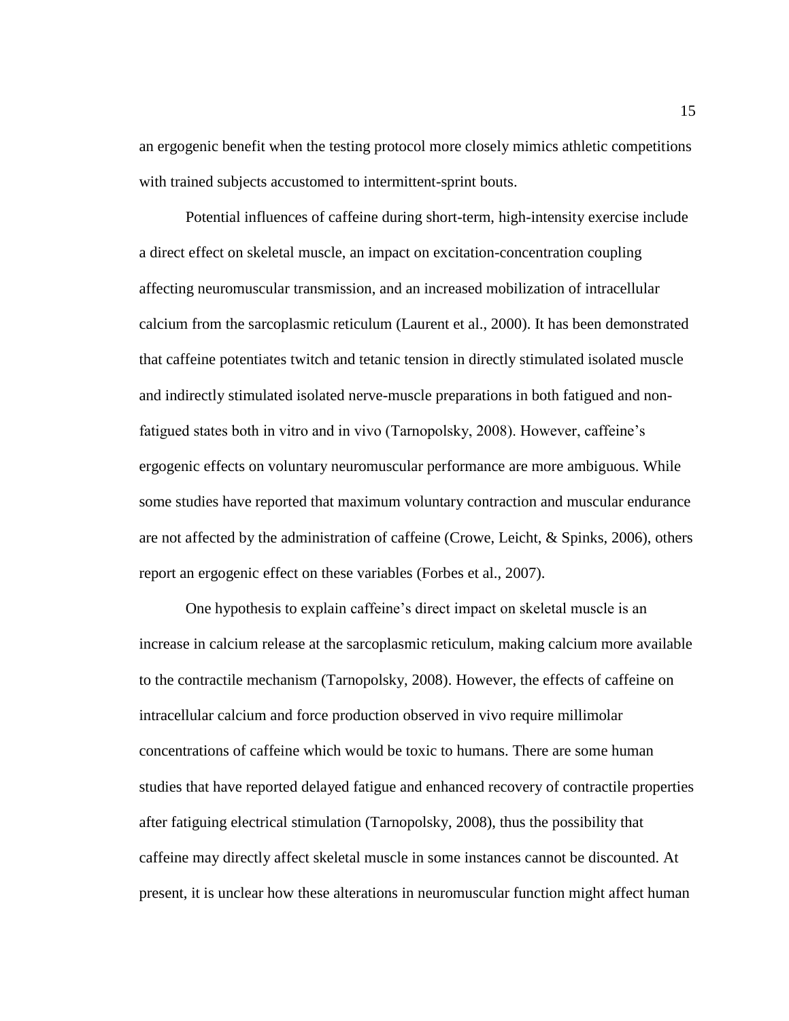an ergogenic benefit when the testing protocol more closely mimics athletic competitions with trained subjects accustomed to intermittent-sprint bouts.

Potential influences of caffeine during short-term, high-intensity exercise include a direct effect on skeletal muscle, an impact on excitation-concentration coupling affecting neuromuscular transmission, and an increased mobilization of intracellular calcium from the sarcoplasmic reticulum (Laurent et al., 2000). It has been demonstrated that caffeine potentiates twitch and tetanic tension in directly stimulated isolated muscle and indirectly stimulated isolated nerve-muscle preparations in both fatigued and nonfatigued states both in vitro and in vivo (Tarnopolsky, 2008). However, caffeine's ergogenic effects on voluntary neuromuscular performance are more ambiguous. While some studies have reported that maximum voluntary contraction and muscular endurance are not affected by the administration of caffeine (Crowe, Leicht, & Spinks, 2006), others report an ergogenic effect on these variables (Forbes et al., 2007).

One hypothesis to explain caffeine's direct impact on skeletal muscle is an increase in calcium release at the sarcoplasmic reticulum, making calcium more available to the contractile mechanism (Tarnopolsky, 2008). However, the effects of caffeine on intracellular calcium and force production observed in vivo require millimolar concentrations of caffeine which would be toxic to humans. There are some human studies that have reported delayed fatigue and enhanced recovery of contractile properties after fatiguing electrical stimulation (Tarnopolsky, 2008), thus the possibility that caffeine may directly affect skeletal muscle in some instances cannot be discounted. At present, it is unclear how these alterations in neuromuscular function might affect human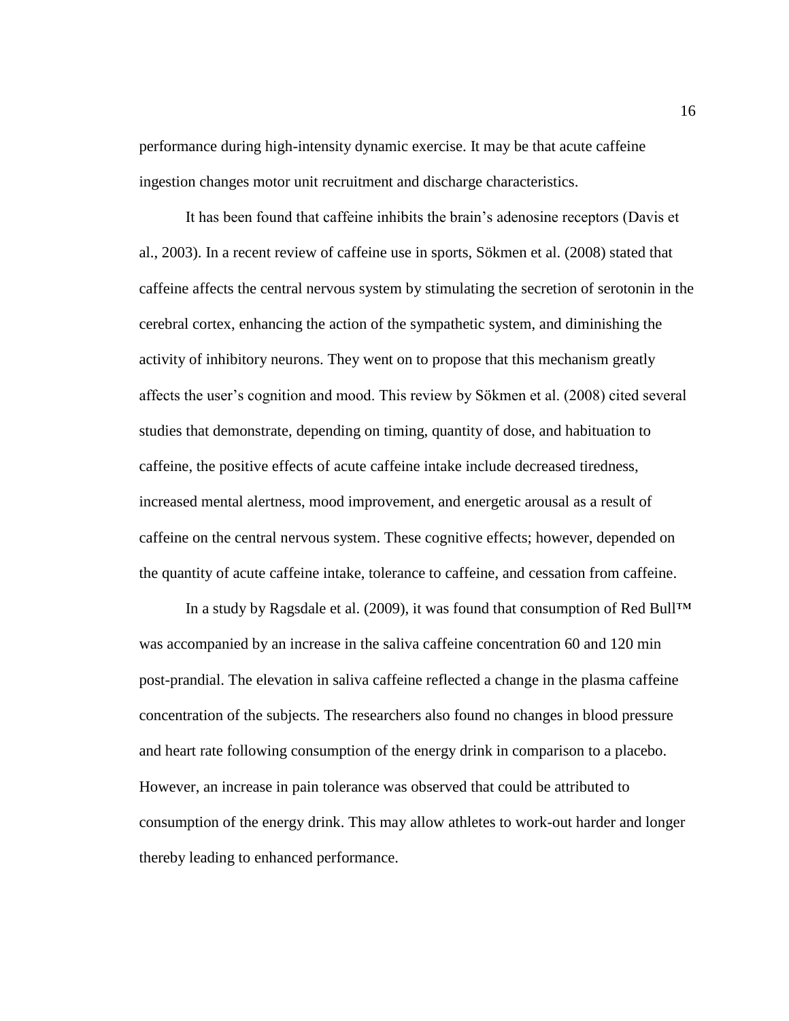performance during high-intensity dynamic exercise. It may be that acute caffeine ingestion changes motor unit recruitment and discharge characteristics.

It has been found that caffeine inhibits the brain's adenosine receptors (Davis et al., 2003). In a recent review of caffeine use in sports, Sökmen et al. (2008) stated that caffeine affects the central nervous system by stimulating the secretion of serotonin in the cerebral cortex, enhancing the action of the sympathetic system, and diminishing the activity of inhibitory neurons. They went on to propose that this mechanism greatly affects the user's cognition and mood. This review by Sökmen et al. (2008) cited several studies that demonstrate, depending on timing, quantity of dose, and habituation to caffeine, the positive effects of acute caffeine intake include decreased tiredness, increased mental alertness, mood improvement, and energetic arousal as a result of caffeine on the central nervous system. These cognitive effects; however, depended on the quantity of acute caffeine intake, tolerance to caffeine, and cessation from caffeine.

In a study by Ragsdale et al. (2009), it was found that consumption of Red Bull™ was accompanied by an increase in the saliva caffeine concentration 60 and 120 min post-prandial. The elevation in saliva caffeine reflected a change in the plasma caffeine concentration of the subjects. The researchers also found no changes in blood pressure and heart rate following consumption of the energy drink in comparison to a placebo. However, an increase in pain tolerance was observed that could be attributed to consumption of the energy drink. This may allow athletes to work-out harder and longer thereby leading to enhanced performance.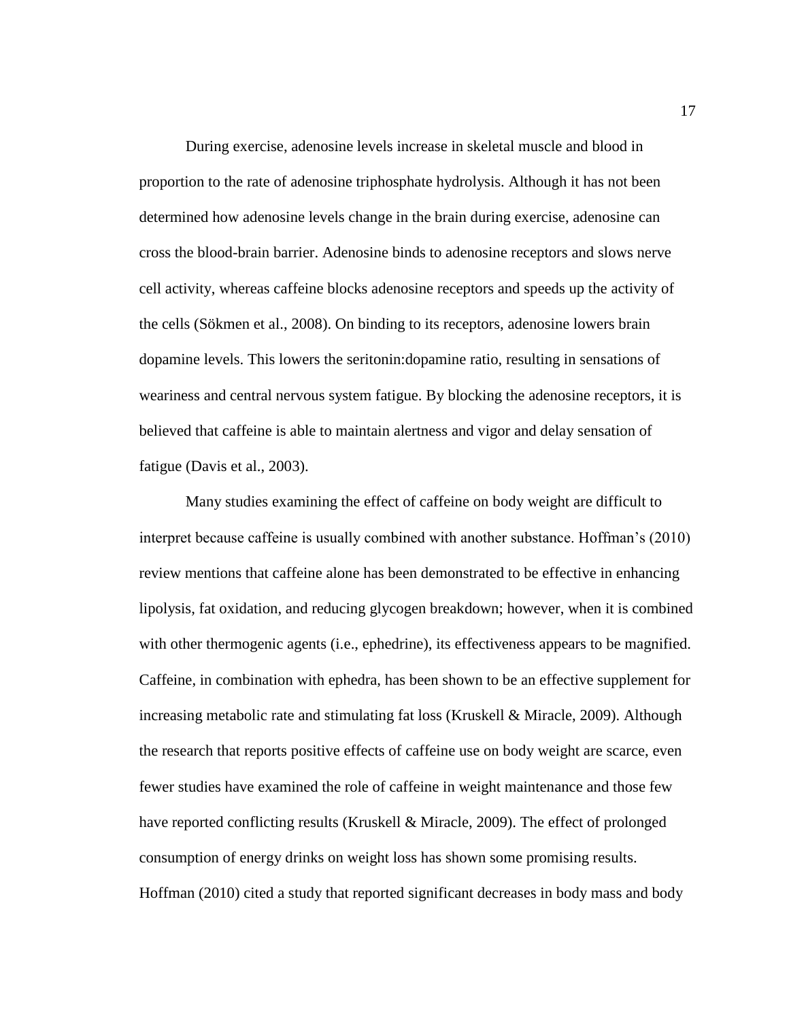During exercise, adenosine levels increase in skeletal muscle and blood in proportion to the rate of adenosine triphosphate hydrolysis. Although it has not been determined how adenosine levels change in the brain during exercise, adenosine can cross the blood-brain barrier. Adenosine binds to adenosine receptors and slows nerve cell activity, whereas caffeine blocks adenosine receptors and speeds up the activity of the cells (Sökmen et al., 2008). On binding to its receptors, adenosine lowers brain dopamine levels. This lowers the seritonin:dopamine ratio, resulting in sensations of weariness and central nervous system fatigue. By blocking the adenosine receptors, it is believed that caffeine is able to maintain alertness and vigor and delay sensation of fatigue (Davis et al., 2003).

Many studies examining the effect of caffeine on body weight are difficult to interpret because caffeine is usually combined with another substance. Hoffman's (2010) review mentions that caffeine alone has been demonstrated to be effective in enhancing lipolysis, fat oxidation, and reducing glycogen breakdown; however, when it is combined with other thermogenic agents (i.e., ephedrine), its effectiveness appears to be magnified. Caffeine, in combination with ephedra, has been shown to be an effective supplement for increasing metabolic rate and stimulating fat loss (Kruskell & Miracle, 2009). Although the research that reports positive effects of caffeine use on body weight are scarce, even fewer studies have examined the role of caffeine in weight maintenance and those few have reported conflicting results (Kruskell & Miracle, 2009). The effect of prolonged consumption of energy drinks on weight loss has shown some promising results. Hoffman (2010) cited a study that reported significant decreases in body mass and body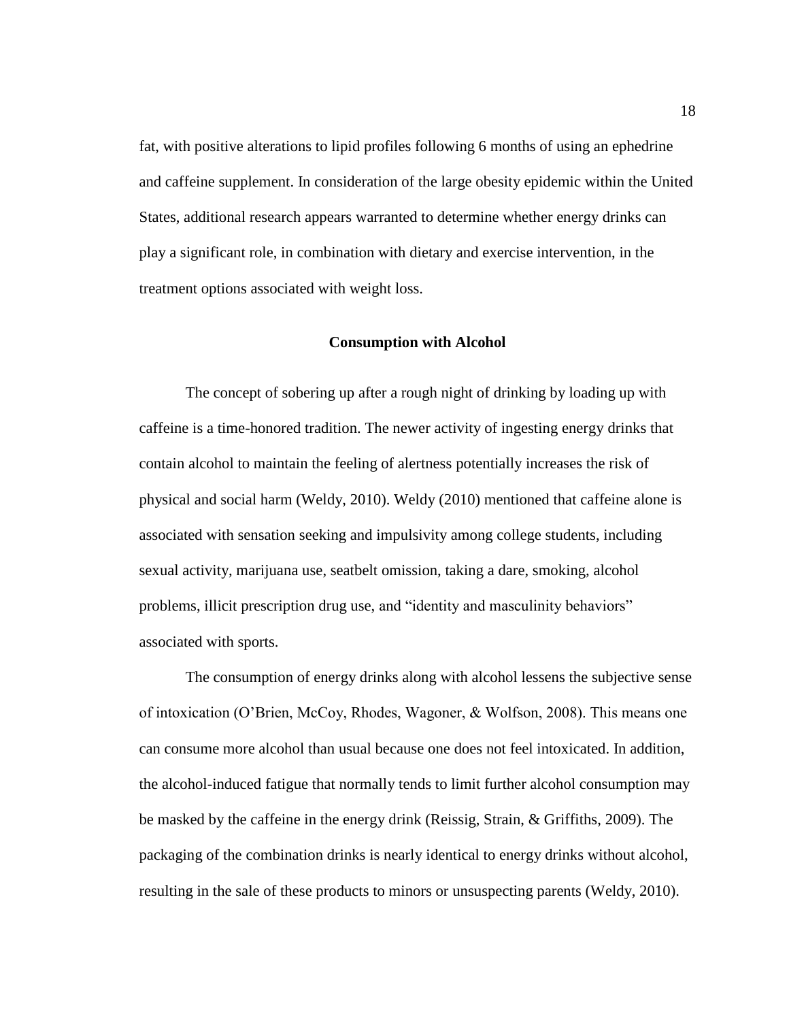fat, with positive alterations to lipid profiles following 6 months of using an ephedrine and caffeine supplement. In consideration of the large obesity epidemic within the United States, additional research appears warranted to determine whether energy drinks can play a significant role, in combination with dietary and exercise intervention, in the treatment options associated with weight loss.

# **Consumption with Alcohol**

The concept of sobering up after a rough night of drinking by loading up with caffeine is a time-honored tradition. The newer activity of ingesting energy drinks that contain alcohol to maintain the feeling of alertness potentially increases the risk of physical and social harm (Weldy, 2010). Weldy (2010) mentioned that caffeine alone is associated with sensation seeking and impulsivity among college students, including sexual activity, marijuana use, seatbelt omission, taking a dare, smoking, alcohol problems, illicit prescription drug use, and "identity and masculinity behaviors" associated with sports.

The consumption of energy drinks along with alcohol lessens the subjective sense of intoxication (O'Brien, McCoy, Rhodes, Wagoner, & Wolfson, 2008). This means one can consume more alcohol than usual because one does not feel intoxicated. In addition, the alcohol-induced fatigue that normally tends to limit further alcohol consumption may be masked by the caffeine in the energy drink (Reissig, Strain, & Griffiths, 2009). The packaging of the combination drinks is nearly identical to energy drinks without alcohol, resulting in the sale of these products to minors or unsuspecting parents (Weldy, 2010).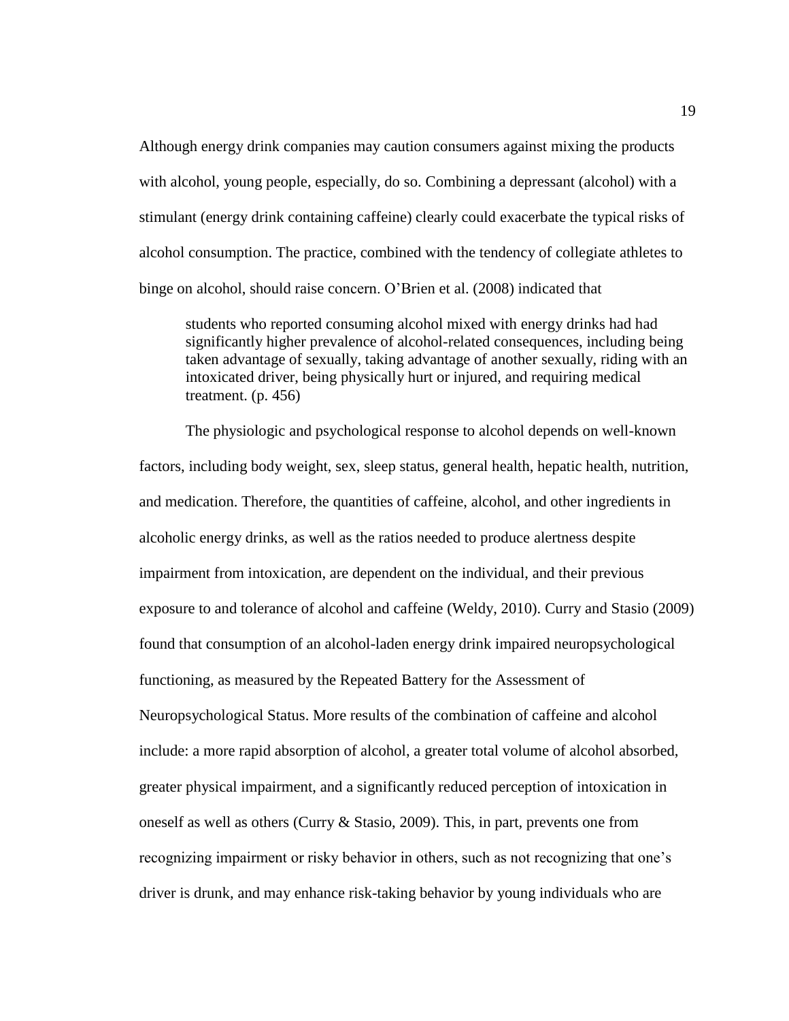Although energy drink companies may caution consumers against mixing the products with alcohol, young people, especially, do so. Combining a depressant (alcohol) with a stimulant (energy drink containing caffeine) clearly could exacerbate the typical risks of alcohol consumption. The practice, combined with the tendency of collegiate athletes to binge on alcohol, should raise concern. O'Brien et al. (2008) indicated that

students who reported consuming alcohol mixed with energy drinks had had significantly higher prevalence of alcohol-related consequences, including being taken advantage of sexually, taking advantage of another sexually, riding with an intoxicated driver, being physically hurt or injured, and requiring medical treatment. (p. 456)

The physiologic and psychological response to alcohol depends on well-known factors, including body weight, sex, sleep status, general health, hepatic health, nutrition, and medication. Therefore, the quantities of caffeine, alcohol, and other ingredients in alcoholic energy drinks, as well as the ratios needed to produce alertness despite impairment from intoxication, are dependent on the individual, and their previous exposure to and tolerance of alcohol and caffeine (Weldy, 2010). Curry and Stasio (2009) found that consumption of an alcohol-laden energy drink impaired neuropsychological functioning, as measured by the Repeated Battery for the Assessment of Neuropsychological Status. More results of the combination of caffeine and alcohol include: a more rapid absorption of alcohol, a greater total volume of alcohol absorbed, greater physical impairment, and a significantly reduced perception of intoxication in oneself as well as others (Curry & Stasio, 2009). This, in part, prevents one from recognizing impairment or risky behavior in others, such as not recognizing that one's driver is drunk, and may enhance risk-taking behavior by young individuals who are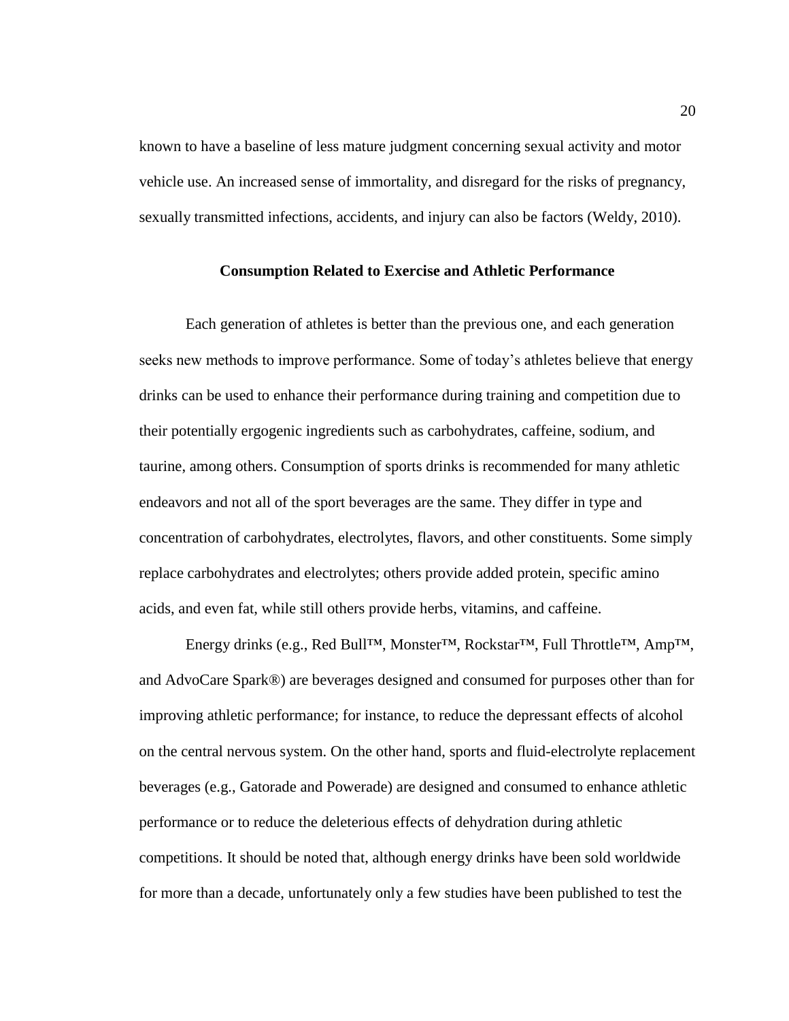known to have a baseline of less mature judgment concerning sexual activity and motor vehicle use. An increased sense of immortality, and disregard for the risks of pregnancy, sexually transmitted infections, accidents, and injury can also be factors (Weldy, 2010).

#### **Consumption Related to Exercise and Athletic Performance**

Each generation of athletes is better than the previous one, and each generation seeks new methods to improve performance. Some of today's athletes believe that energy drinks can be used to enhance their performance during training and competition due to their potentially ergogenic ingredients such as carbohydrates, caffeine, sodium, and taurine, among others. Consumption of sports drinks is recommended for many athletic endeavors and not all of the sport beverages are the same. They differ in type and concentration of carbohydrates, electrolytes, flavors, and other constituents. Some simply replace carbohydrates and electrolytes; others provide added protein, specific amino acids, and even fat, while still others provide herbs, vitamins, and caffeine.

Energy drinks (e.g., Red Bull™, Monster™, Rockstar™, Full Throttle™, Amp™, and AdvoCare Spark®) are beverages designed and consumed for purposes other than for improving athletic performance; for instance, to reduce the depressant effects of alcohol on the central nervous system. On the other hand, sports and fluid-electrolyte replacement beverages (e.g., Gatorade and Powerade) are designed and consumed to enhance athletic performance or to reduce the deleterious effects of dehydration during athletic competitions. It should be noted that, although energy drinks have been sold worldwide for more than a decade, unfortunately only a few studies have been published to test the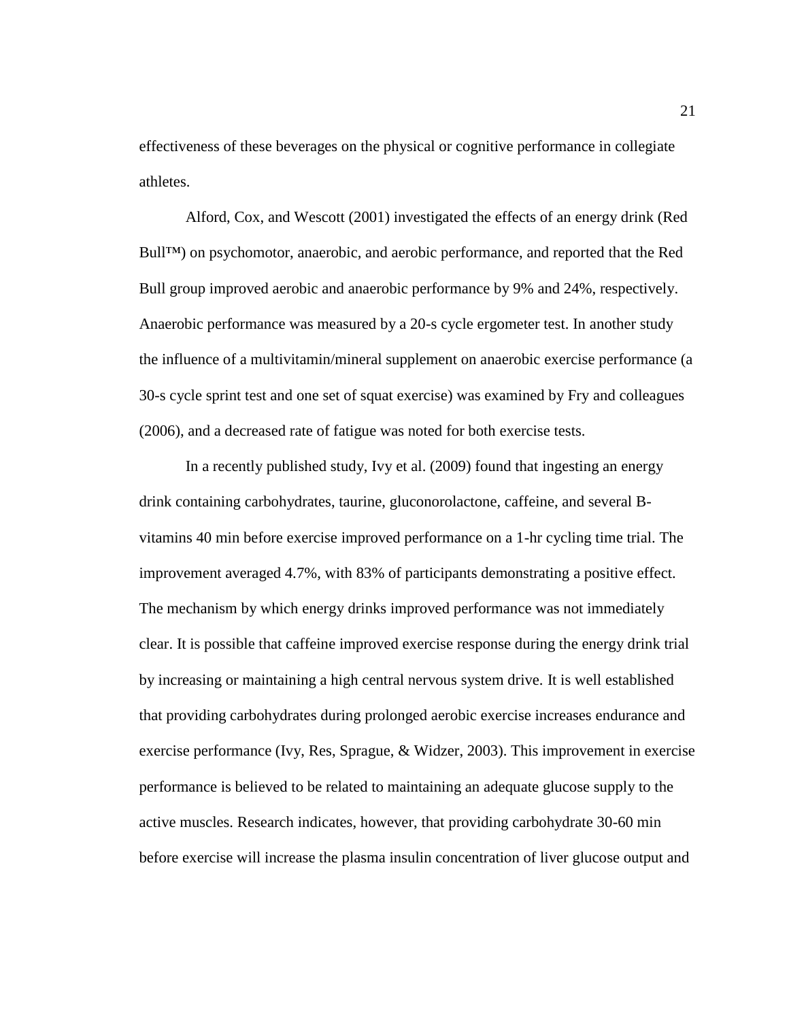effectiveness of these beverages on the physical or cognitive performance in collegiate athletes.

Alford, Cox, and Wescott (2001) investigated the effects of an energy drink (Red Bull™) on psychomotor, anaerobic, and aerobic performance, and reported that the Red Bull group improved aerobic and anaerobic performance by 9% and 24%, respectively. Anaerobic performance was measured by a 20-s cycle ergometer test. In another study the influence of a multivitamin/mineral supplement on anaerobic exercise performance (a 30-s cycle sprint test and one set of squat exercise) was examined by Fry and colleagues (2006), and a decreased rate of fatigue was noted for both exercise tests.

In a recently published study, Ivy et al. (2009) found that ingesting an energy drink containing carbohydrates, taurine, gluconorolactone, caffeine, and several Bvitamins 40 min before exercise improved performance on a 1-hr cycling time trial. The improvement averaged 4.7%, with 83% of participants demonstrating a positive effect. The mechanism by which energy drinks improved performance was not immediately clear. It is possible that caffeine improved exercise response during the energy drink trial by increasing or maintaining a high central nervous system drive. It is well established that providing carbohydrates during prolonged aerobic exercise increases endurance and exercise performance (Ivy, Res, Sprague, & Widzer, 2003). This improvement in exercise performance is believed to be related to maintaining an adequate glucose supply to the active muscles. Research indicates, however, that providing carbohydrate 30-60 min before exercise will increase the plasma insulin concentration of liver glucose output and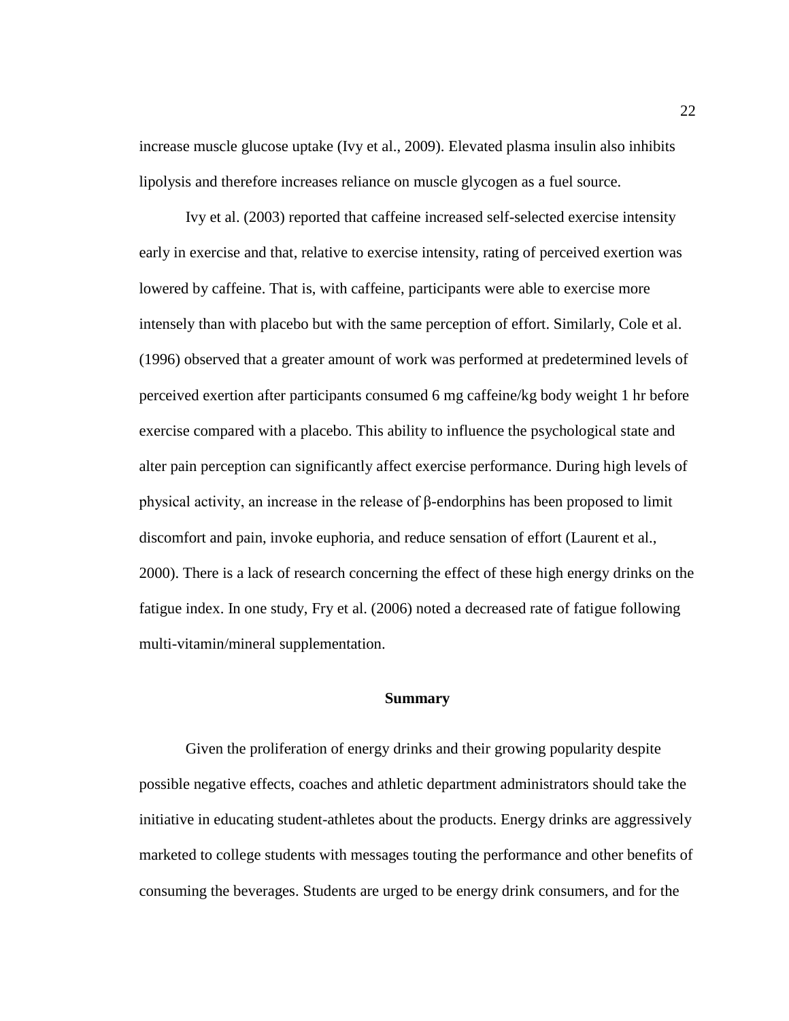increase muscle glucose uptake (Ivy et al., 2009). Elevated plasma insulin also inhibits lipolysis and therefore increases reliance on muscle glycogen as a fuel source.

Ivy et al. (2003) reported that caffeine increased self-selected exercise intensity early in exercise and that, relative to exercise intensity, rating of perceived exertion was lowered by caffeine. That is, with caffeine, participants were able to exercise more intensely than with placebo but with the same perception of effort. Similarly, Cole et al. (1996) observed that a greater amount of work was performed at predetermined levels of perceived exertion after participants consumed 6 mg caffeine/kg body weight 1 hr before exercise compared with a placebo. This ability to influence the psychological state and alter pain perception can significantly affect exercise performance. During high levels of physical activity, an increase in the release of β-endorphins has been proposed to limit discomfort and pain, invoke euphoria, and reduce sensation of effort (Laurent et al., 2000). There is a lack of research concerning the effect of these high energy drinks on the fatigue index. In one study, Fry et al. (2006) noted a decreased rate of fatigue following multi-vitamin/mineral supplementation.

#### **Summary**

Given the proliferation of energy drinks and their growing popularity despite possible negative effects, coaches and athletic department administrators should take the initiative in educating student-athletes about the products. Energy drinks are aggressively marketed to college students with messages touting the performance and other benefits of consuming the beverages. Students are urged to be energy drink consumers, and for the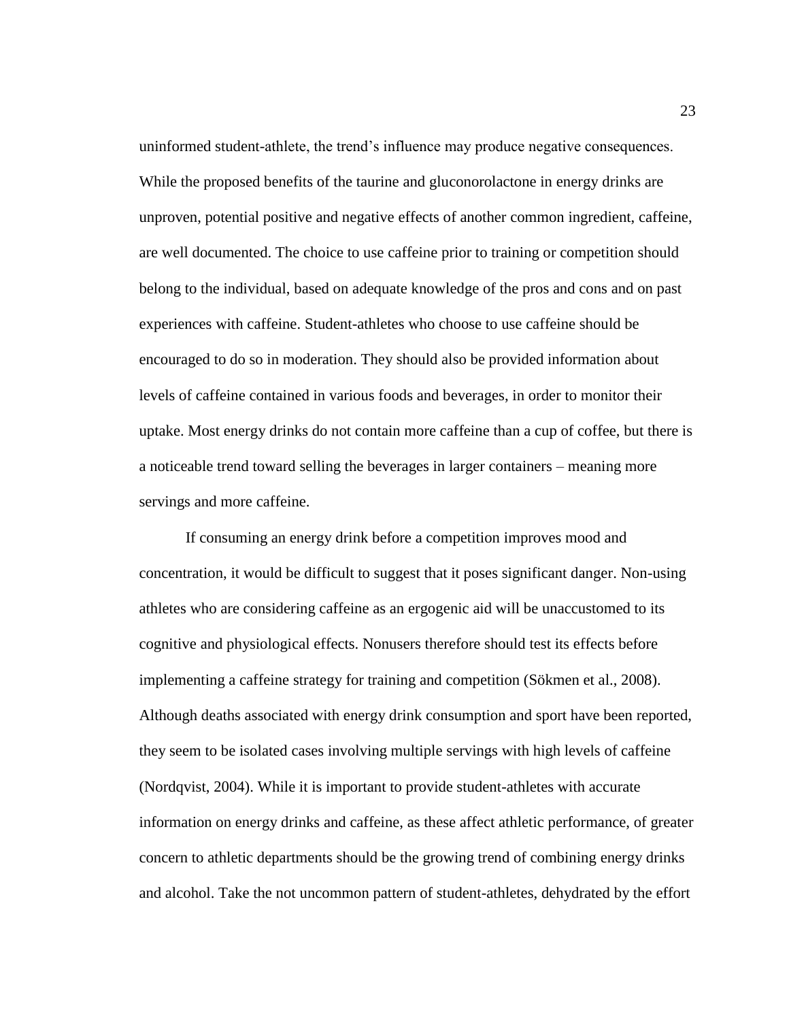uninformed student-athlete, the trend's influence may produce negative consequences. While the proposed benefits of the taurine and gluconorolactone in energy drinks are unproven, potential positive and negative effects of another common ingredient, caffeine, are well documented. The choice to use caffeine prior to training or competition should belong to the individual, based on adequate knowledge of the pros and cons and on past experiences with caffeine. Student-athletes who choose to use caffeine should be encouraged to do so in moderation. They should also be provided information about levels of caffeine contained in various foods and beverages, in order to monitor their uptake. Most energy drinks do not contain more caffeine than a cup of coffee, but there is a noticeable trend toward selling the beverages in larger containers – meaning more servings and more caffeine.

If consuming an energy drink before a competition improves mood and concentration, it would be difficult to suggest that it poses significant danger. Non-using athletes who are considering caffeine as an ergogenic aid will be unaccustomed to its cognitive and physiological effects. Nonusers therefore should test its effects before implementing a caffeine strategy for training and competition (Sökmen et al., 2008). Although deaths associated with energy drink consumption and sport have been reported, they seem to be isolated cases involving multiple servings with high levels of caffeine (Nordqvist, 2004). While it is important to provide student-athletes with accurate information on energy drinks and caffeine, as these affect athletic performance, of greater concern to athletic departments should be the growing trend of combining energy drinks and alcohol. Take the not uncommon pattern of student-athletes, dehydrated by the effort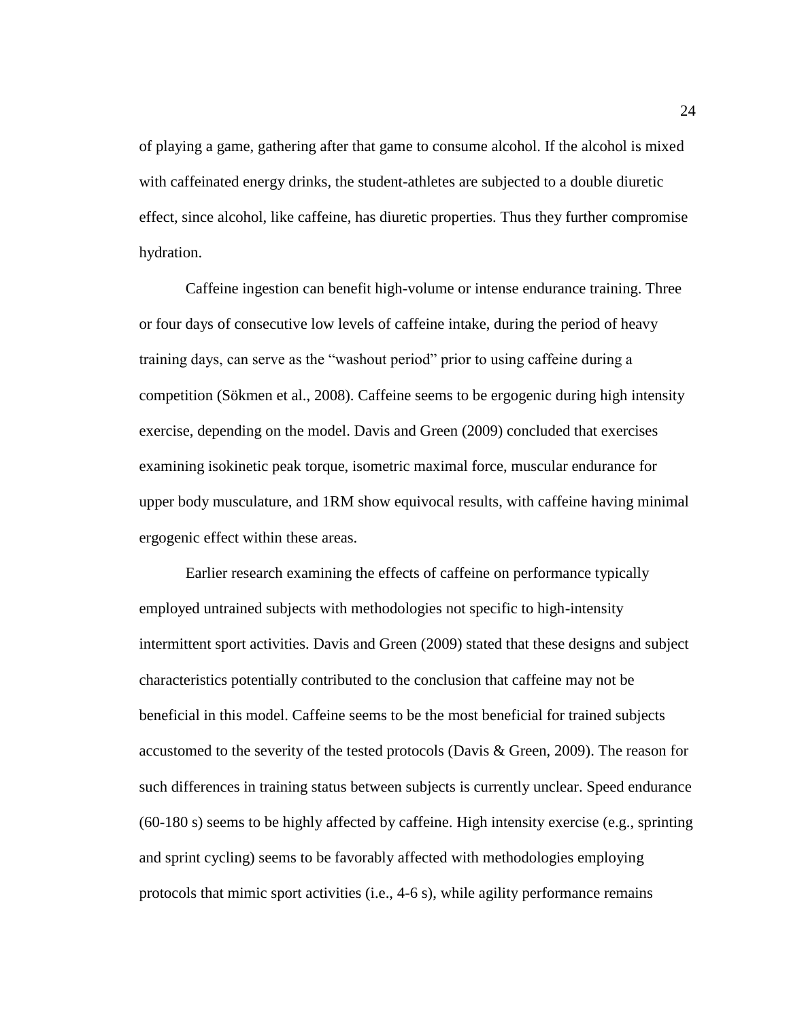of playing a game, gathering after that game to consume alcohol. If the alcohol is mixed with caffeinated energy drinks, the student-athletes are subjected to a double diuretic effect, since alcohol, like caffeine, has diuretic properties. Thus they further compromise hydration.

Caffeine ingestion can benefit high-volume or intense endurance training. Three or four days of consecutive low levels of caffeine intake, during the period of heavy training days, can serve as the "washout period" prior to using caffeine during a competition (Sökmen et al., 2008). Caffeine seems to be ergogenic during high intensity exercise, depending on the model. Davis and Green (2009) concluded that exercises examining isokinetic peak torque, isometric maximal force, muscular endurance for upper body musculature, and 1RM show equivocal results, with caffeine having minimal ergogenic effect within these areas.

Earlier research examining the effects of caffeine on performance typically employed untrained subjects with methodologies not specific to high-intensity intermittent sport activities. Davis and Green (2009) stated that these designs and subject characteristics potentially contributed to the conclusion that caffeine may not be beneficial in this model. Caffeine seems to be the most beneficial for trained subjects accustomed to the severity of the tested protocols (Davis & Green, 2009). The reason for such differences in training status between subjects is currently unclear. Speed endurance (60-180 s) seems to be highly affected by caffeine. High intensity exercise (e.g., sprinting and sprint cycling) seems to be favorably affected with methodologies employing protocols that mimic sport activities (i.e., 4-6 s), while agility performance remains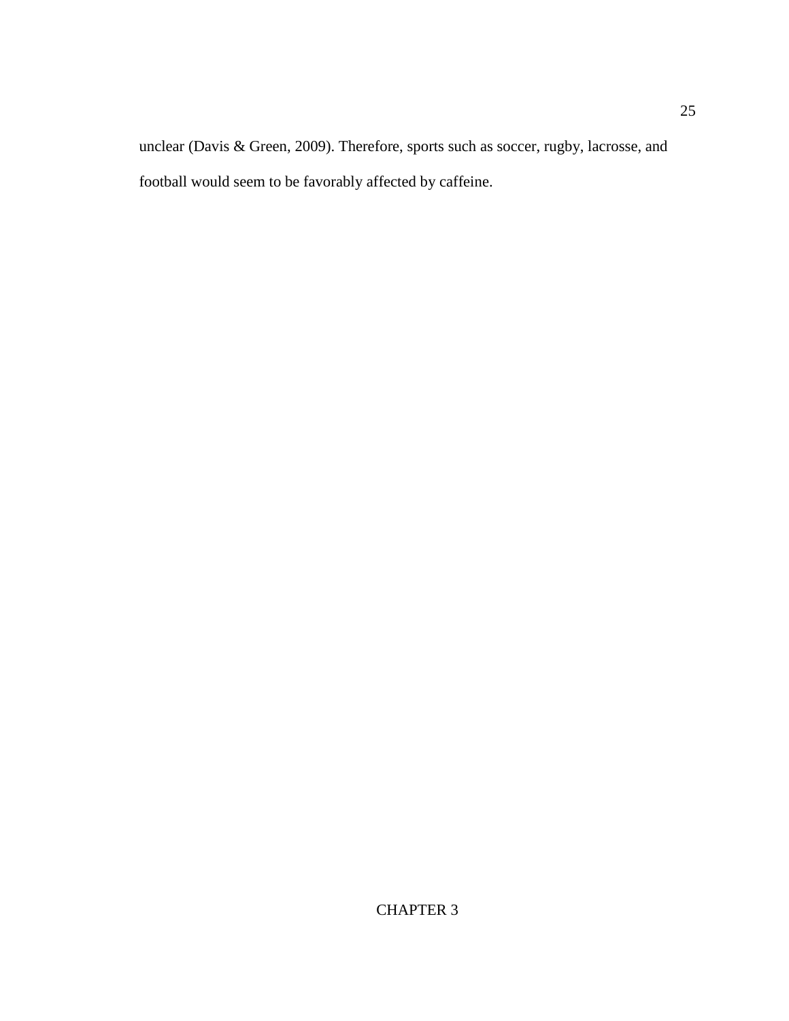unclear (Davis & Green, 2009). Therefore, sports such as soccer, rugby, lacrosse, and football would seem to be favorably affected by caffeine.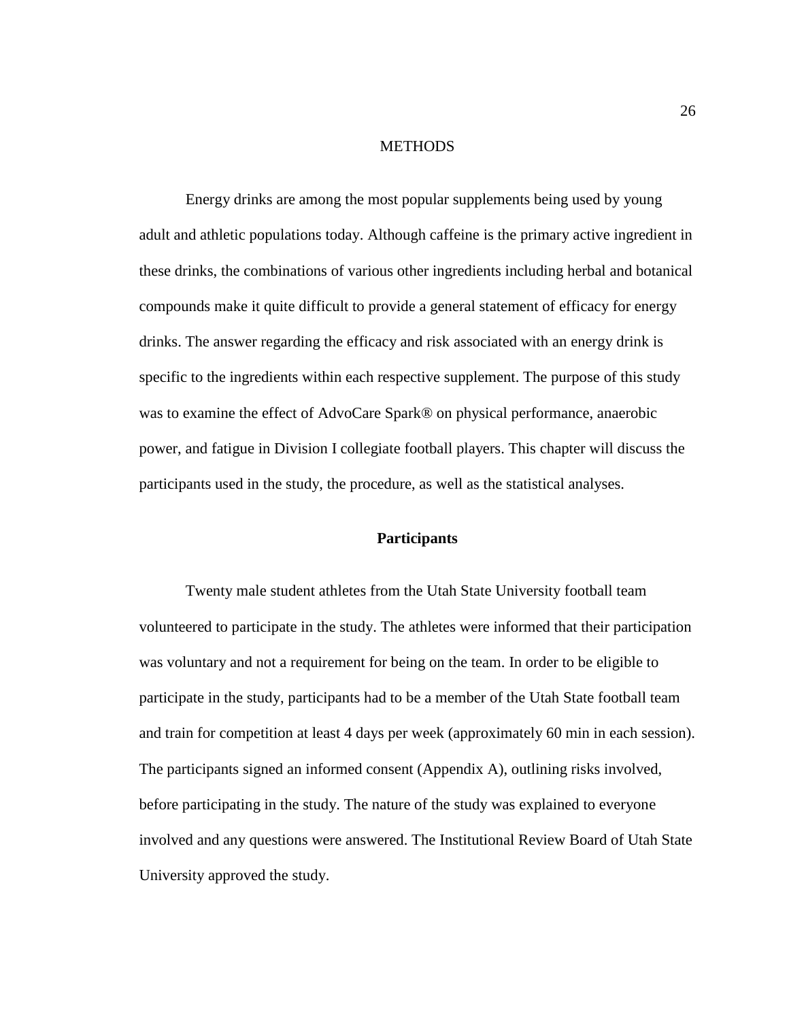# **METHODS**

Energy drinks are among the most popular supplements being used by young adult and athletic populations today. Although caffeine is the primary active ingredient in these drinks, the combinations of various other ingredients including herbal and botanical compounds make it quite difficult to provide a general statement of efficacy for energy drinks. The answer regarding the efficacy and risk associated with an energy drink is specific to the ingredients within each respective supplement. The purpose of this study was to examine the effect of AdvoCare Spark® on physical performance, anaerobic power, and fatigue in Division I collegiate football players. This chapter will discuss the participants used in the study, the procedure, as well as the statistical analyses.

# **Participants**

Twenty male student athletes from the Utah State University football team volunteered to participate in the study. The athletes were informed that their participation was voluntary and not a requirement for being on the team. In order to be eligible to participate in the study, participants had to be a member of the Utah State football team and train for competition at least 4 days per week (approximately 60 min in each session). The participants signed an informed consent (Appendix A), outlining risks involved, before participating in the study. The nature of the study was explained to everyone involved and any questions were answered. The Institutional Review Board of Utah State University approved the study.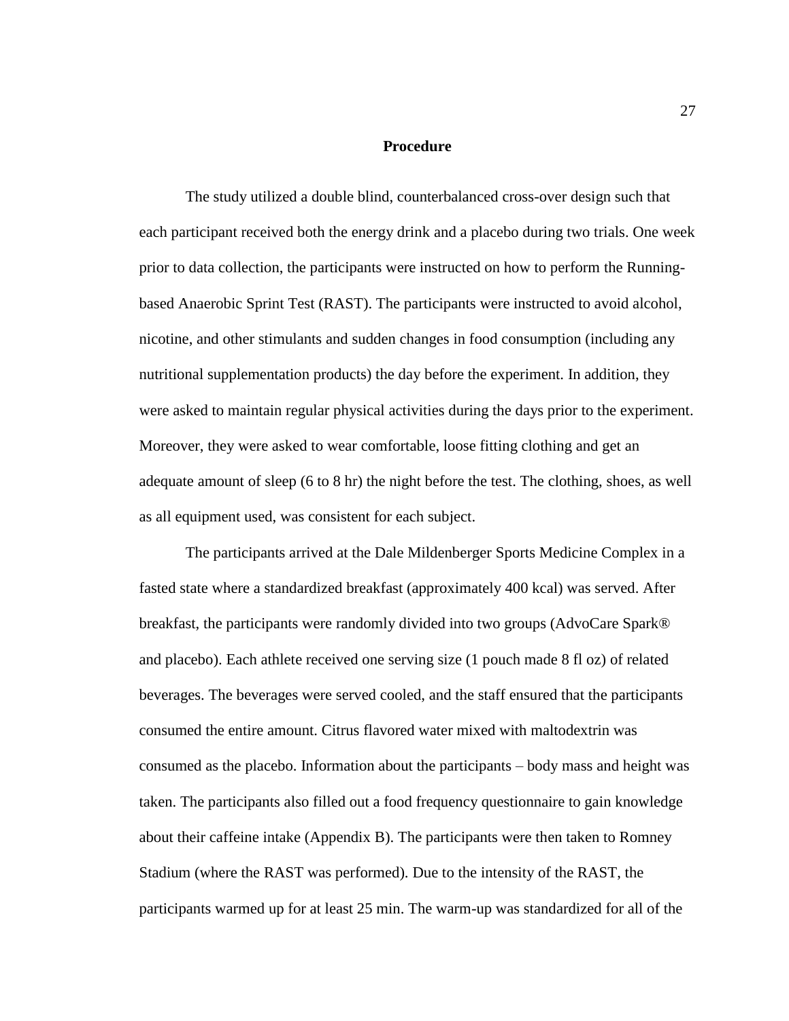#### **Procedure**

The study utilized a double blind, counterbalanced cross-over design such that each participant received both the energy drink and a placebo during two trials. One week prior to data collection, the participants were instructed on how to perform the Runningbased Anaerobic Sprint Test (RAST). The participants were instructed to avoid alcohol, nicotine, and other stimulants and sudden changes in food consumption (including any nutritional supplementation products) the day before the experiment. In addition, they were asked to maintain regular physical activities during the days prior to the experiment. Moreover, they were asked to wear comfortable, loose fitting clothing and get an adequate amount of sleep (6 to 8 hr) the night before the test. The clothing, shoes, as well as all equipment used, was consistent for each subject.

The participants arrived at the Dale Mildenberger Sports Medicine Complex in a fasted state where a standardized breakfast (approximately 400 kcal) was served. After breakfast, the participants were randomly divided into two groups (AdvoCare Spark® and placebo). Each athlete received one serving size (1 pouch made 8 fl oz) of related beverages. The beverages were served cooled, and the staff ensured that the participants consumed the entire amount. Citrus flavored water mixed with maltodextrin was consumed as the placebo. Information about the participants – body mass and height was taken. The participants also filled out a food frequency questionnaire to gain knowledge about their caffeine intake (Appendix B). The participants were then taken to Romney Stadium (where the RAST was performed). Due to the intensity of the RAST, the participants warmed up for at least 25 min. The warm-up was standardized for all of the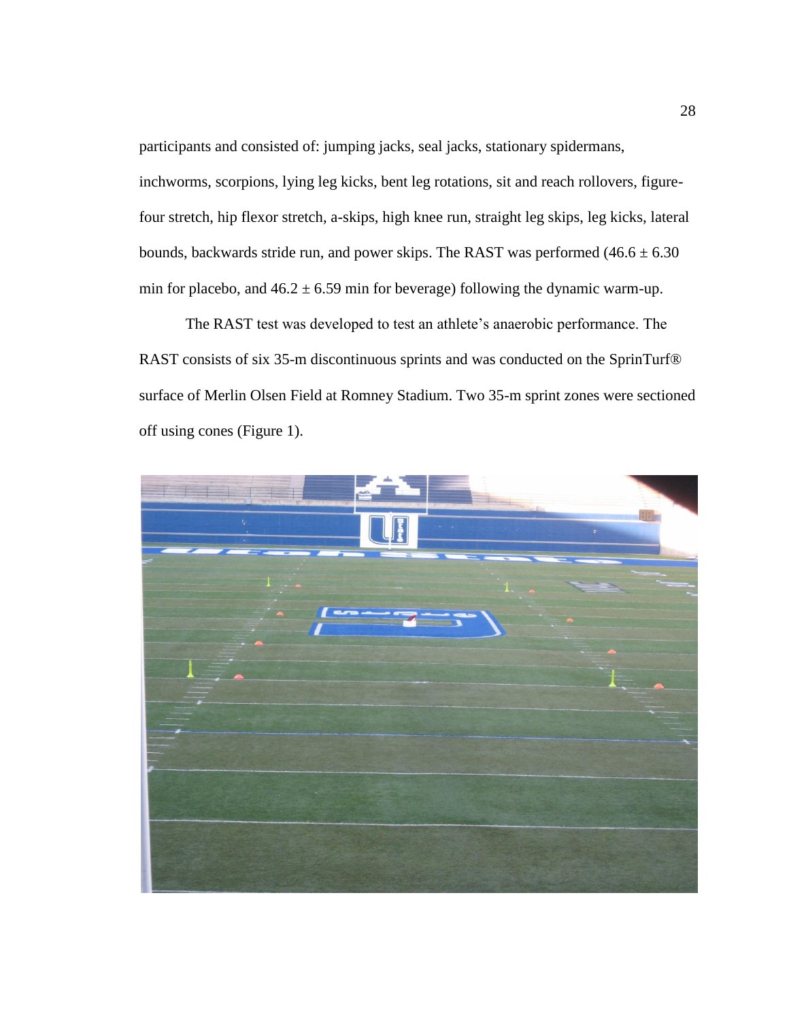participants and consisted of: jumping jacks, seal jacks, stationary spidermans,

inchworms, scorpions, lying leg kicks, bent leg rotations, sit and reach rollovers, figurefour stretch, hip flexor stretch, a-skips, high knee run, straight leg skips, leg kicks, lateral bounds, backwards stride run, and power skips. The RAST was performed  $(46.6 \pm 6.30)$ min for placebo, and  $46.2 \pm 6.59$  min for beverage) following the dynamic warm-up.

The RAST test was developed to test an athlete's anaerobic performance. The RAST consists of six 35-m discontinuous sprints and was conducted on the SprinTurf® surface of Merlin Olsen Field at Romney Stadium. Two 35-m sprint zones were sectioned off using cones (Figure 1).

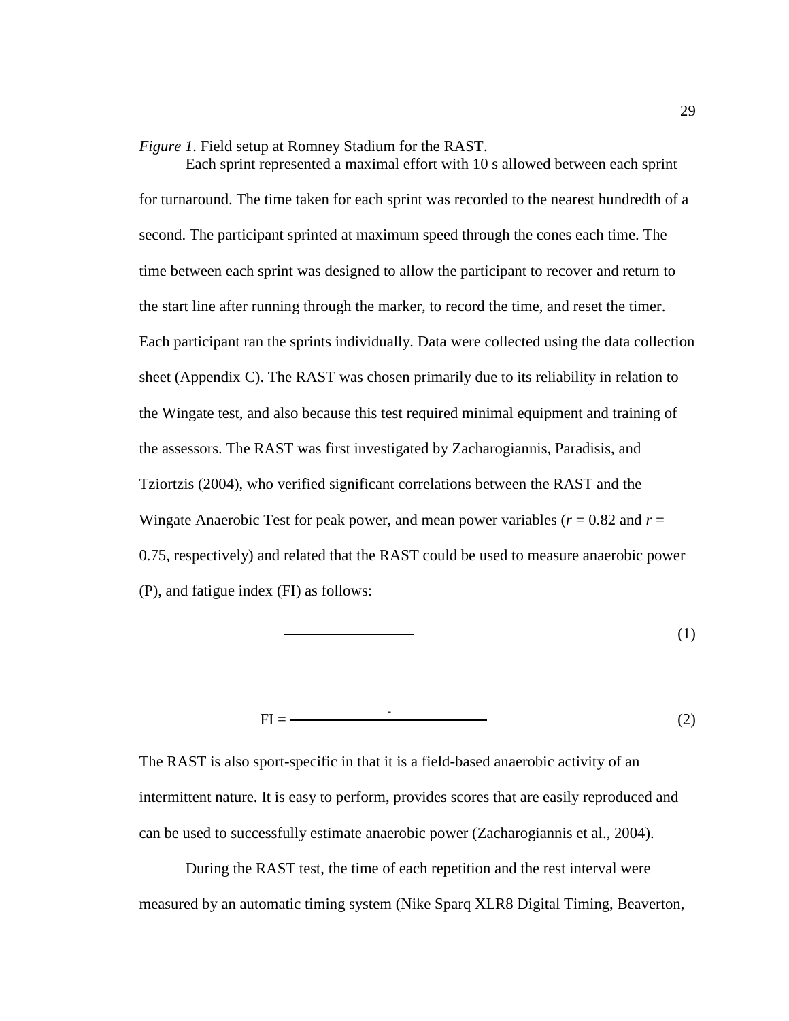*Figure 1*. Field setup at Romney Stadium for the RAST.

Each sprint represented a maximal effort with 10 s allowed between each sprint for turnaround. The time taken for each sprint was recorded to the nearest hundredth of a second. The participant sprinted at maximum speed through the cones each time. The time between each sprint was designed to allow the participant to recover and return to the start line after running through the marker, to record the time, and reset the timer. Each participant ran the sprints individually. Data were collected using the data collection sheet (Appendix C). The RAST was chosen primarily due to its reliability in relation to the Wingate test, and also because this test required minimal equipment and training of the assessors. The RAST was first investigated by Zacharogiannis, Paradisis, and Tziortzis (2004), who verified significant correlations between the RAST and the Wingate Anaerobic Test for peak power, and mean power variables  $(r = 0.82$  and  $r =$ 0.75, respectively) and related that the RAST could be used to measure anaerobic power (P), and fatigue index (FI) as follows:

$$
\overline{\qquad \qquad }(1)
$$

$$
FI = \n\tag{2}
$$

The RAST is also sport-specific in that it is a field-based anaerobic activity of an intermittent nature. It is easy to perform, provides scores that are easily reproduced and can be used to successfully estimate anaerobic power (Zacharogiannis et al., 2004).

During the RAST test, the time of each repetition and the rest interval were measured by an automatic timing system (Nike Sparq XLR8 Digital Timing, Beaverton,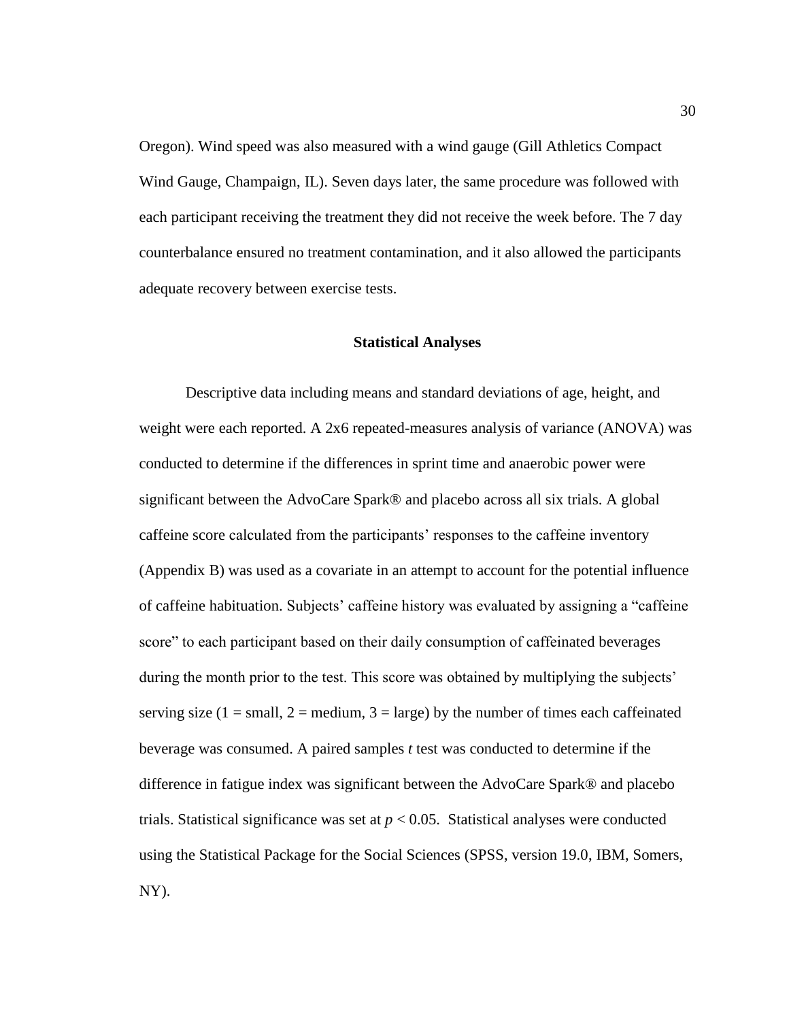Oregon). Wind speed was also measured with a wind gauge (Gill Athletics Compact Wind Gauge, Champaign, IL). Seven days later, the same procedure was followed with each participant receiving the treatment they did not receive the week before. The 7 day counterbalance ensured no treatment contamination, and it also allowed the participants adequate recovery between exercise tests.

## **Statistical Analyses**

Descriptive data including means and standard deviations of age, height, and weight were each reported. A 2x6 repeated-measures analysis of variance (ANOVA) was conducted to determine if the differences in sprint time and anaerobic power were significant between the AdvoCare Spark® and placebo across all six trials. A global caffeine score calculated from the participants' responses to the caffeine inventory (Appendix B) was used as a covariate in an attempt to account for the potential influence of caffeine habituation. Subjects' caffeine history was evaluated by assigning a "caffeine score" to each participant based on their daily consumption of caffeinated beverages during the month prior to the test. This score was obtained by multiplying the subjects' serving size (1 = small, 2 = medium, 3 = large) by the number of times each caffeinated beverage was consumed. A paired samples *t* test was conducted to determine if the difference in fatigue index was significant between the AdvoCare Spark® and placebo trials. Statistical significance was set at  $p < 0.05$ . Statistical analyses were conducted using the Statistical Package for the Social Sciences (SPSS, version 19.0, IBM, Somers, NY).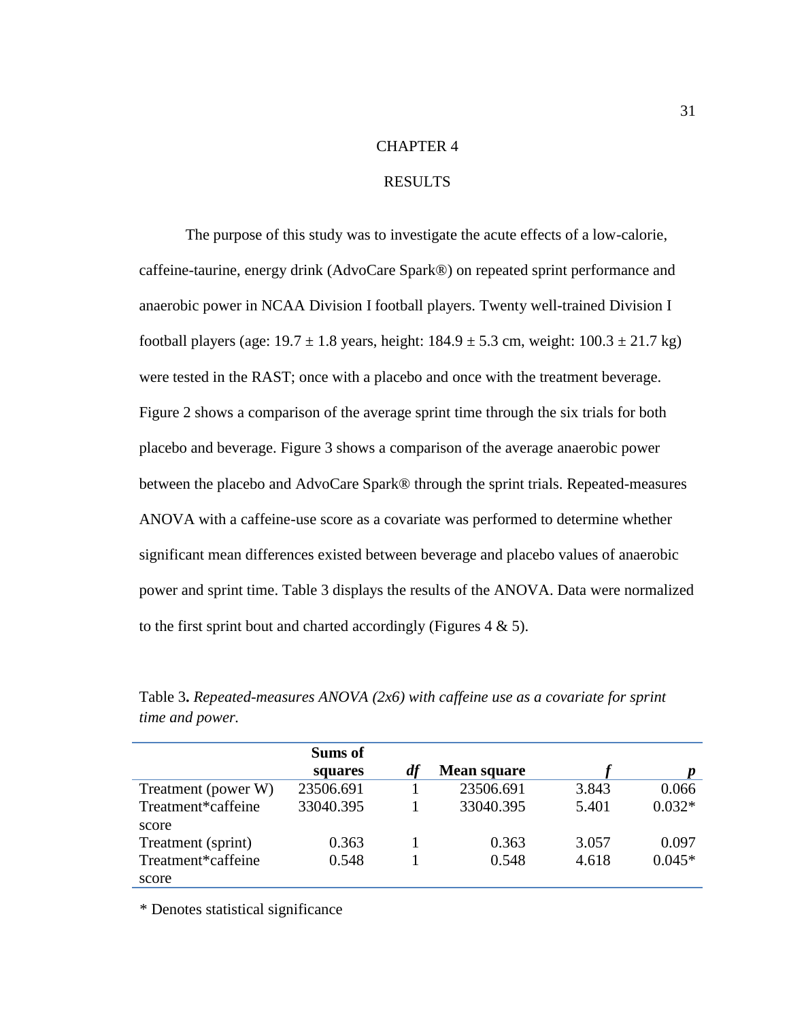# CHAPTER 4

# RESULTS

The purpose of this study was to investigate the acute effects of a low-calorie, caffeine-taurine, energy drink (AdvoCare Spark®) on repeated sprint performance and anaerobic power in NCAA Division I football players. Twenty well-trained Division I football players (age:  $19.7 \pm 1.8$  years, height:  $184.9 \pm 5.3$  cm, weight:  $100.3 \pm 21.7$  kg) were tested in the RAST; once with a placebo and once with the treatment beverage. Figure 2 shows a comparison of the average sprint time through the six trials for both placebo and beverage. Figure 3 shows a comparison of the average anaerobic power between the placebo and AdvoCare Spark® through the sprint trials. Repeated-measures ANOVA with a caffeine-use score as a covariate was performed to determine whether significant mean differences existed between beverage and placebo values of anaerobic power and sprint time. Table 3 displays the results of the ANOVA. Data were normalized to the first sprint bout and charted accordingly (Figures  $4 \& 5$ ).

|                     | <b>Sums of</b> |    |                    |       |          |
|---------------------|----------------|----|--------------------|-------|----------|
|                     | squares        | df | <b>Mean square</b> |       |          |
| Treatment (power W) | 23506.691      |    | 23506.691          | 3.843 | 0.066    |
| Treatment*caffeine  | 33040.395      |    | 33040.395          | 5.401 | $0.032*$ |
| score               |                |    |                    |       |          |
| Treatment (sprint)  | 0.363          |    | 0.363              | 3.057 | 0.097    |
| Treatment*caffeine  | 0.548          |    | 0.548              | 4.618 | $0.045*$ |
| score               |                |    |                    |       |          |

Table 3**.** *Repeated-measures ANOVA (2x6) with caffeine use as a covariate for sprint time and power.*

\* Denotes statistical significance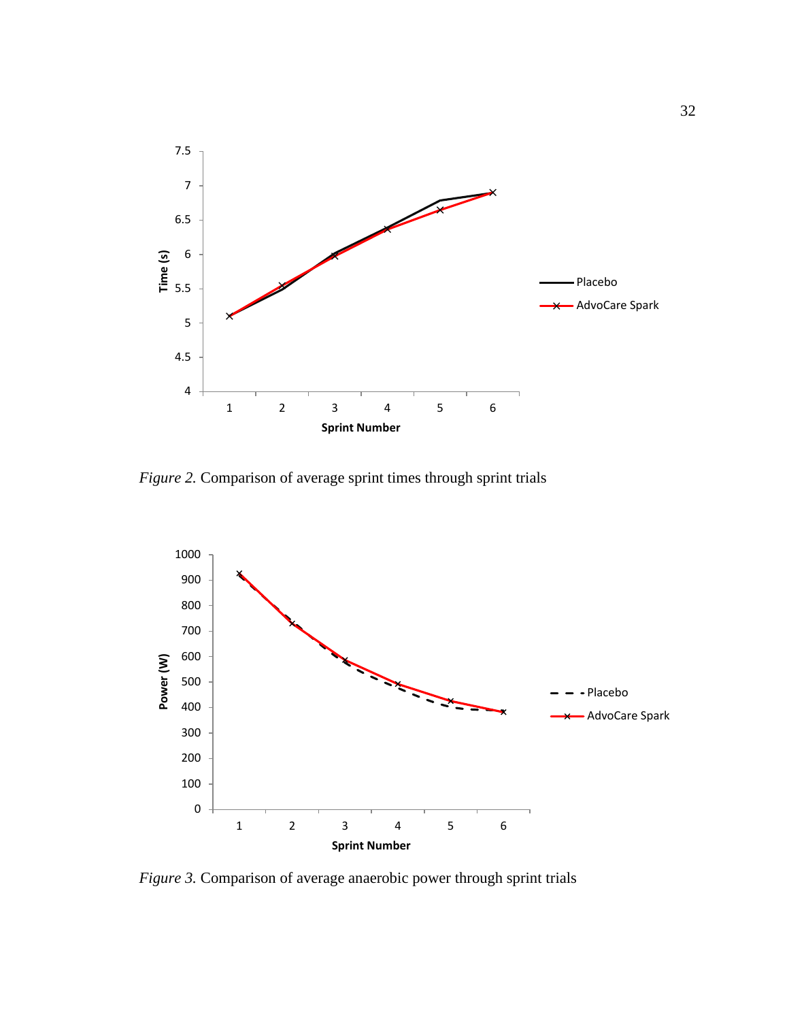

*Figure 2.* Comparison of average sprint times through sprint trials



*Figure 3.* Comparison of average anaerobic power through sprint trials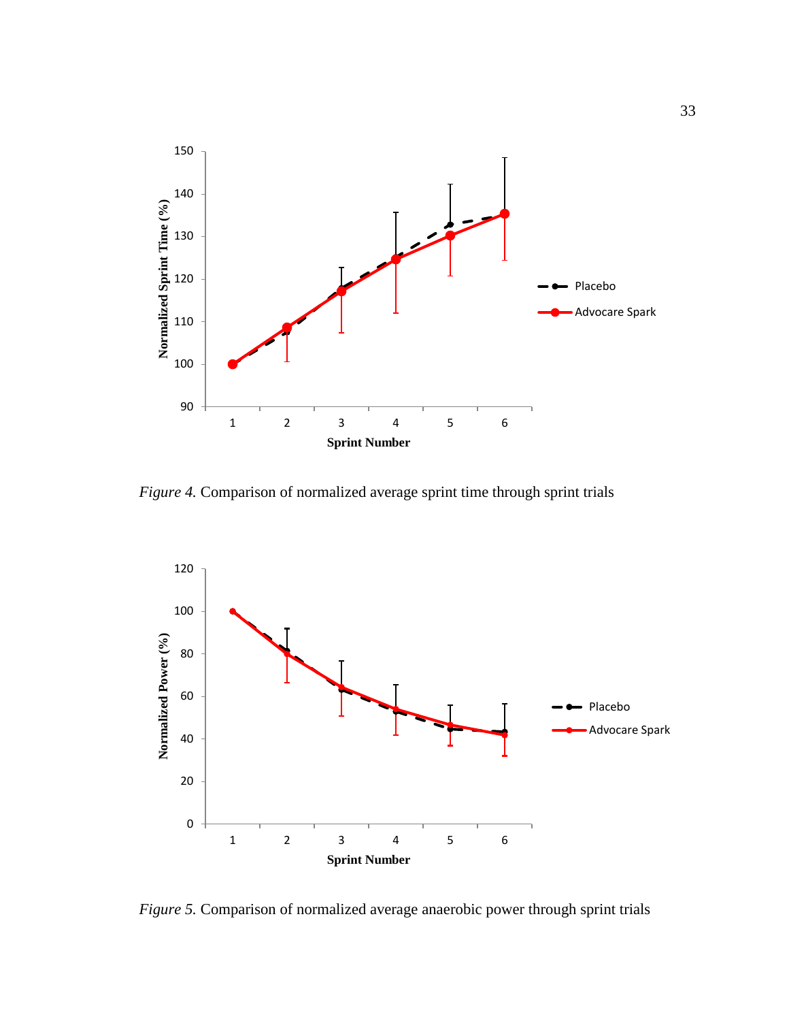

*Figure 4.* Comparison of normalized average sprint time through sprint trials



*Figure 5.* Comparison of normalized average anaerobic power through sprint trials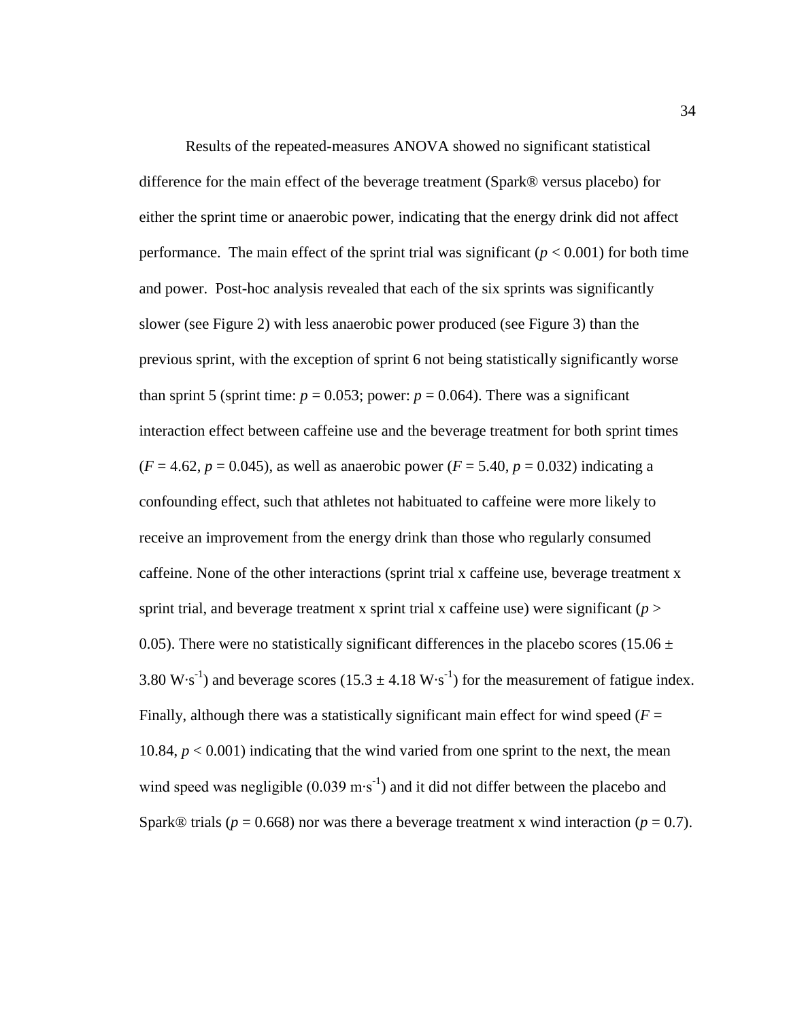Results of the repeated-measures ANOVA showed no significant statistical difference for the main effect of the beverage treatment (Spark® versus placebo) for either the sprint time or anaerobic power, indicating that the energy drink did not affect performance. The main effect of the sprint trial was significant  $(p < 0.001)$  for both time and power. Post-hoc analysis revealed that each of the six sprints was significantly slower (see Figure 2) with less anaerobic power produced (see Figure 3) than the previous sprint, with the exception of sprint 6 not being statistically significantly worse than sprint 5 (sprint time:  $p = 0.053$ ; power:  $p = 0.064$ ). There was a significant interaction effect between caffeine use and the beverage treatment for both sprint times  $(F = 4.62, p = 0.045)$ , as well as anaerobic power  $(F = 5.40, p = 0.032)$  indicating a confounding effect, such that athletes not habituated to caffeine were more likely to receive an improvement from the energy drink than those who regularly consumed caffeine. None of the other interactions (sprint trial x caffeine use, beverage treatment x sprint trial, and beverage treatment x sprint trial x caffeine use) were significant ( $p >$ 0.05). There were no statistically significant differences in the placebo scores (15.06  $\pm$ 3.80 W·s<sup>-1</sup>) and beverage scores (15.3  $\pm$  4.18 W·s<sup>-1</sup>) for the measurement of fatigue index. Finally, although there was a statistically significant main effect for wind speed  $(F =$ 10.84, *p* < 0.001) indicating that the wind varied from one sprint to the next, the mean wind speed was negligible  $(0.039 \text{ m} \cdot \text{s}^{-1})$  and it did not differ between the placebo and Spark<sup>®</sup> trials ( $p = 0.668$ ) nor was there a beverage treatment x wind interaction ( $p = 0.7$ ).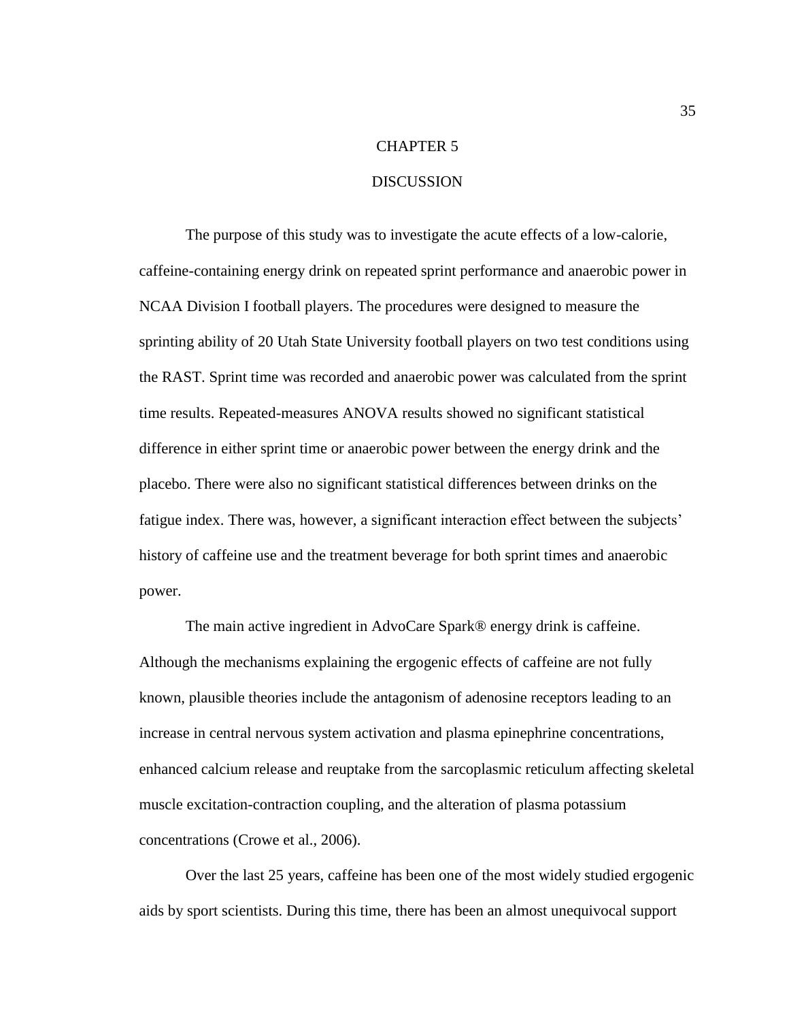# CHAPTER 5

# **DISCUSSION**

The purpose of this study was to investigate the acute effects of a low-calorie, caffeine-containing energy drink on repeated sprint performance and anaerobic power in NCAA Division I football players. The procedures were designed to measure the sprinting ability of 20 Utah State University football players on two test conditions using the RAST. Sprint time was recorded and anaerobic power was calculated from the sprint time results. Repeated-measures ANOVA results showed no significant statistical difference in either sprint time or anaerobic power between the energy drink and the placebo. There were also no significant statistical differences between drinks on the fatigue index. There was, however, a significant interaction effect between the subjects' history of caffeine use and the treatment beverage for both sprint times and anaerobic power.

The main active ingredient in AdvoCare Spark® energy drink is caffeine. Although the mechanisms explaining the ergogenic effects of caffeine are not fully known, plausible theories include the antagonism of adenosine receptors leading to an increase in central nervous system activation and plasma epinephrine concentrations, enhanced calcium release and reuptake from the sarcoplasmic reticulum affecting skeletal muscle excitation-contraction coupling, and the alteration of plasma potassium concentrations (Crowe et al., 2006).

Over the last 25 years, caffeine has been one of the most widely studied ergogenic aids by sport scientists. During this time, there has been an almost unequivocal support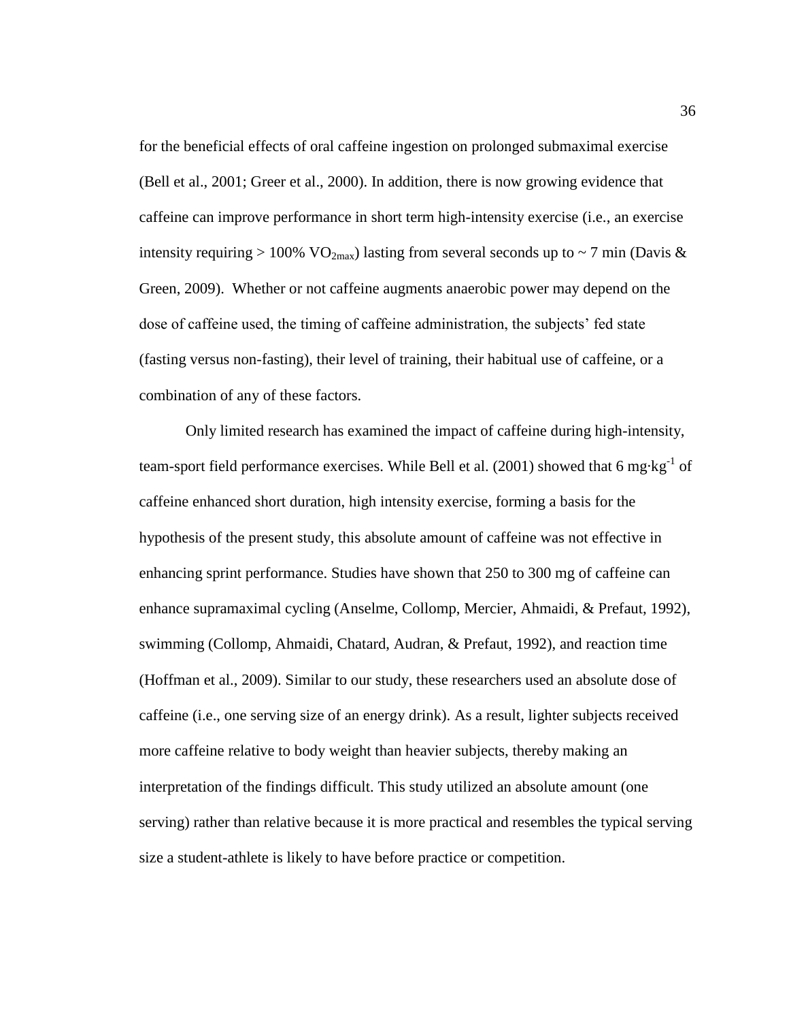for the beneficial effects of oral caffeine ingestion on prolonged submaximal exercise (Bell et al., 2001; Greer et al., 2000). In addition, there is now growing evidence that caffeine can improve performance in short term high-intensity exercise (i.e., an exercise intensity requiring > 100% VO<sub>2max</sub>) lasting from several seconds up to ~ 7 min (Davis & Green, 2009). Whether or not caffeine augments anaerobic power may depend on the dose of caffeine used, the timing of caffeine administration, the subjects' fed state (fasting versus non-fasting), their level of training, their habitual use of caffeine, or a combination of any of these factors.

Only limited research has examined the impact of caffeine during high-intensity, team-sport field performance exercises. While Bell et al. (2001) showed that 6 mg·kg<sup>-1</sup> of caffeine enhanced short duration, high intensity exercise, forming a basis for the hypothesis of the present study, this absolute amount of caffeine was not effective in enhancing sprint performance. Studies have shown that 250 to 300 mg of caffeine can enhance supramaximal cycling (Anselme, Collomp, Mercier, Ahmaidi, & Prefaut, 1992), swimming (Collomp, Ahmaidi, Chatard, Audran, & Prefaut, 1992), and reaction time (Hoffman et al., 2009). Similar to our study, these researchers used an absolute dose of caffeine (i.e., one serving size of an energy drink). As a result, lighter subjects received more caffeine relative to body weight than heavier subjects, thereby making an interpretation of the findings difficult. This study utilized an absolute amount (one serving) rather than relative because it is more practical and resembles the typical serving size a student-athlete is likely to have before practice or competition.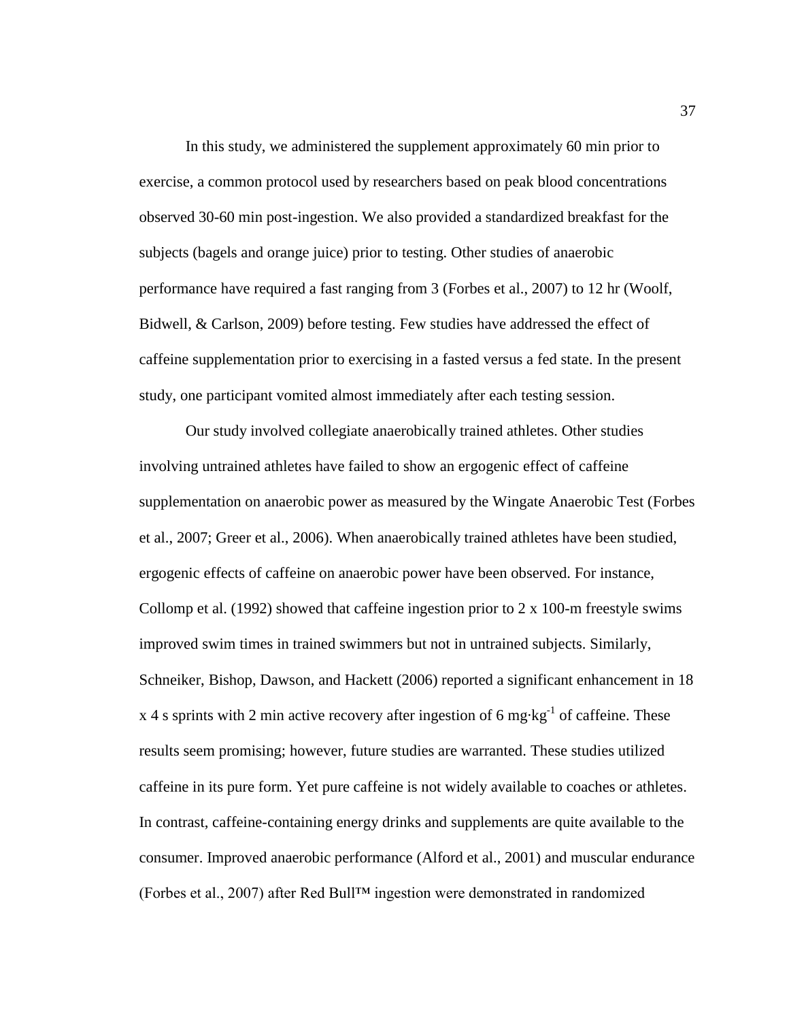In this study, we administered the supplement approximately 60 min prior to exercise, a common protocol used by researchers based on peak blood concentrations observed 30-60 min post-ingestion. We also provided a standardized breakfast for the subjects (bagels and orange juice) prior to testing. Other studies of anaerobic performance have required a fast ranging from 3 (Forbes et al., 2007) to 12 hr (Woolf, Bidwell, & Carlson, 2009) before testing. Few studies have addressed the effect of caffeine supplementation prior to exercising in a fasted versus a fed state. In the present study, one participant vomited almost immediately after each testing session.

Our study involved collegiate anaerobically trained athletes. Other studies involving untrained athletes have failed to show an ergogenic effect of caffeine supplementation on anaerobic power as measured by the Wingate Anaerobic Test (Forbes et al., 2007; Greer et al., 2006). When anaerobically trained athletes have been studied, ergogenic effects of caffeine on anaerobic power have been observed. For instance, Collomp et al. (1992) showed that caffeine ingestion prior to 2 x 100-m freestyle swims improved swim times in trained swimmers but not in untrained subjects. Similarly, Schneiker, Bishop, Dawson, and Hackett (2006) reported a significant enhancement in 18 x 4 s sprints with 2 min active recovery after ingestion of 6 mg $\cdot$ kg<sup>-1</sup> of caffeine. These results seem promising; however, future studies are warranted. These studies utilized caffeine in its pure form. Yet pure caffeine is not widely available to coaches or athletes. In contrast, caffeine-containing energy drinks and supplements are quite available to the consumer. Improved anaerobic performance (Alford et al., 2001) and muscular endurance (Forbes et al., 2007) after Red Bull™ ingestion were demonstrated in randomized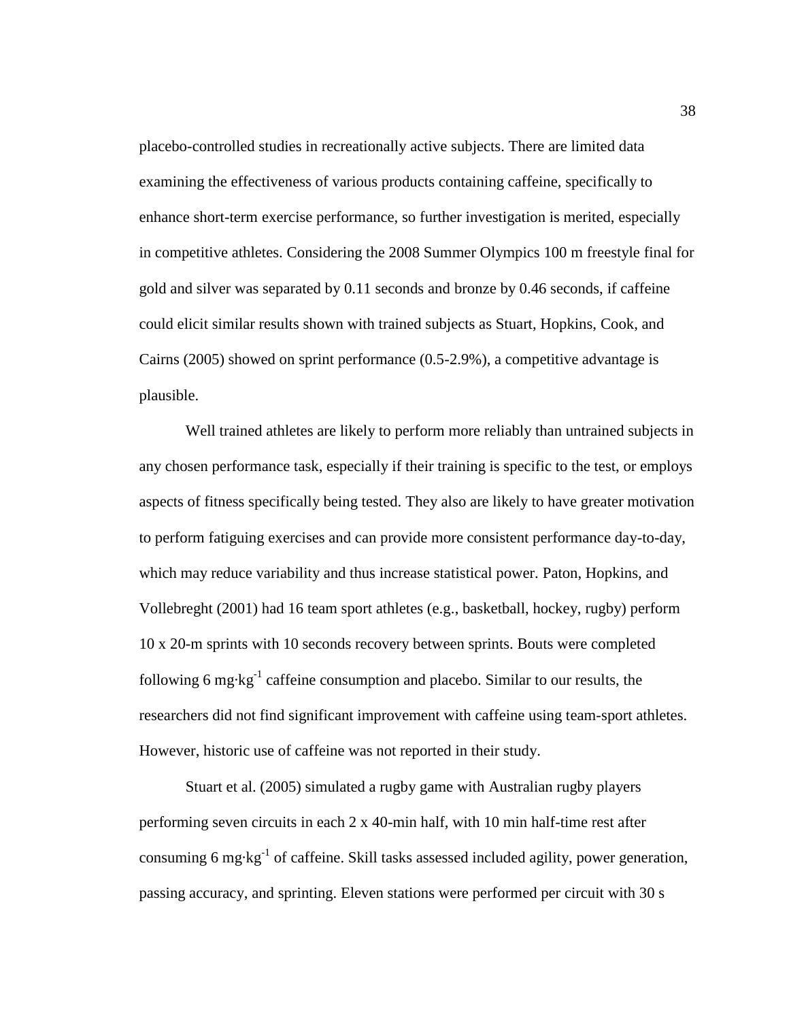placebo-controlled studies in recreationally active subjects. There are limited data examining the effectiveness of various products containing caffeine, specifically to enhance short-term exercise performance, so further investigation is merited, especially in competitive athletes. Considering the 2008 Summer Olympics 100 m freestyle final for gold and silver was separated by 0.11 seconds and bronze by 0.46 seconds, if caffeine could elicit similar results shown with trained subjects as Stuart, Hopkins, Cook, and Cairns (2005) showed on sprint performance (0.5-2.9%), a competitive advantage is plausible.

Well trained athletes are likely to perform more reliably than untrained subjects in any chosen performance task, especially if their training is specific to the test, or employs aspects of fitness specifically being tested. They also are likely to have greater motivation to perform fatiguing exercises and can provide more consistent performance day-to-day, which may reduce variability and thus increase statistical power. Paton, Hopkins, and Vollebreght (2001) had 16 team sport athletes (e.g., basketball, hockey, rugby) perform 10 x 20-m sprints with 10 seconds recovery between sprints. Bouts were completed following 6 mg $\cdot$ kg<sup>-1</sup> caffeine consumption and placebo. Similar to our results, the researchers did not find significant improvement with caffeine using team-sport athletes. However, historic use of caffeine was not reported in their study.

Stuart et al. (2005) simulated a rugby game with Australian rugby players performing seven circuits in each 2 x 40-min half, with 10 min half-time rest after consuming 6 mg·kg<sup>-1</sup> of caffeine. Skill tasks assessed included agility, power generation, passing accuracy, and sprinting. Eleven stations were performed per circuit with 30 s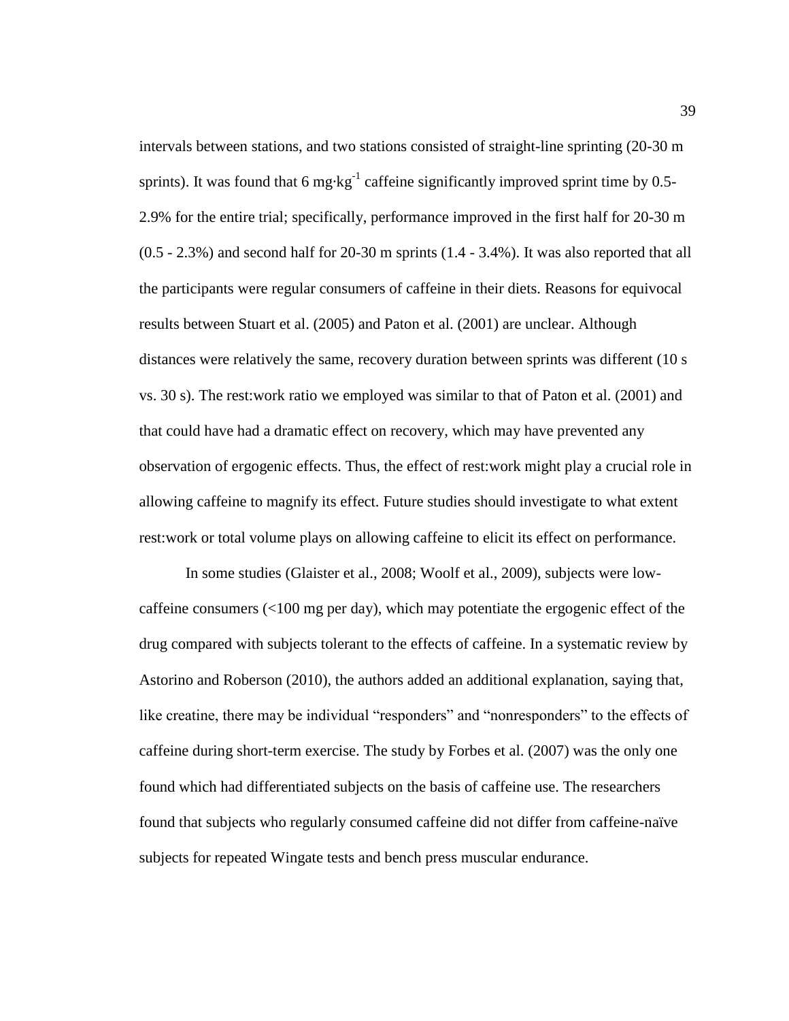intervals between stations, and two stations consisted of straight-line sprinting (20-30 m sprints). It was found that 6 mg $\text{kg}^{-1}$  caffeine significantly improved sprint time by 0.5-2.9% for the entire trial; specifically, performance improved in the first half for 20-30 m (0.5 - 2.3%) and second half for 20-30 m sprints (1.4 - 3.4%). It was also reported that all the participants were regular consumers of caffeine in their diets. Reasons for equivocal results between Stuart et al. (2005) and Paton et al. (2001) are unclear. Although distances were relatively the same, recovery duration between sprints was different (10 s vs. 30 s). The rest:work ratio we employed was similar to that of Paton et al. (2001) and that could have had a dramatic effect on recovery, which may have prevented any observation of ergogenic effects. Thus, the effect of rest:work might play a crucial role in allowing caffeine to magnify its effect. Future studies should investigate to what extent rest:work or total volume plays on allowing caffeine to elicit its effect on performance.

In some studies (Glaister et al., 2008; Woolf et al., 2009), subjects were lowcaffeine consumers  $\ll 100$  mg per day), which may potentiate the ergogenic effect of the drug compared with subjects tolerant to the effects of caffeine. In a systematic review by Astorino and Roberson (2010), the authors added an additional explanation, saying that, like creatine, there may be individual "responders" and "nonresponders" to the effects of caffeine during short-term exercise. The study by Forbes et al. (2007) was the only one found which had differentiated subjects on the basis of caffeine use. The researchers found that subjects who regularly consumed caffeine did not differ from caffeine-naïve subjects for repeated Wingate tests and bench press muscular endurance.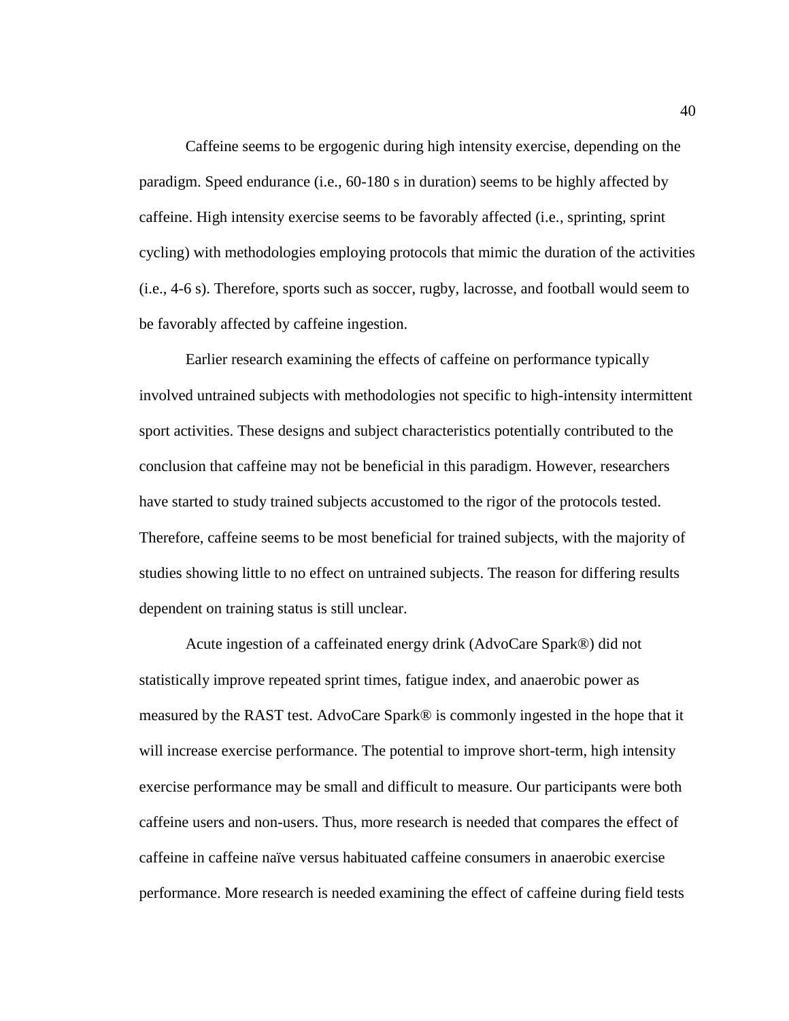Caffeine seems to be ergogenic during high intensity exercise, depending on the paradigm. Speed endurance (i.e., 60-180 s in duration) seems to be highly affected by caffeine. High intensity exercise seems to be favorably affected (i.e., sprinting, sprint cycling) with methodologies employing protocols that mimic the duration of the activities (i.e., 4-6 s). Therefore, sports such as soccer, rugby, lacrosse, and football would seem to be favorably affected by caffeine ingestion.

Earlier research examining the effects of caffeine on performance typically involved untrained subjects with methodologies not specific to high-intensity intermittent sport activities. These designs and subject characteristics potentially contributed to the conclusion that caffeine may not be beneficial in this paradigm. However, researchers have started to study trained subjects accustomed to the rigor of the protocols tested. Therefore, caffeine seems to be most beneficial for trained subjects, with the majority of studies showing little to no effect on untrained subjects. The reason for differing results dependent on training status is still unclear.

Acute ingestion of a caffeinated energy drink (AdvoCare Spark®) did not statistically improve repeated sprint times, fatigue index, and anaerobic power as measured by the RAST test. AdvoCare Spark® is commonly ingested in the hope that it will increase exercise performance. The potential to improve short-term, high intensity exercise performance may be small and difficult to measure. Our participants were both caffeine users and non-users. Thus, more research is needed that compares the effect of caffeine in caffeine naïve versus habituated caffeine consumers in anaerobic exercise performance. More research is needed examining the effect of caffeine during field tests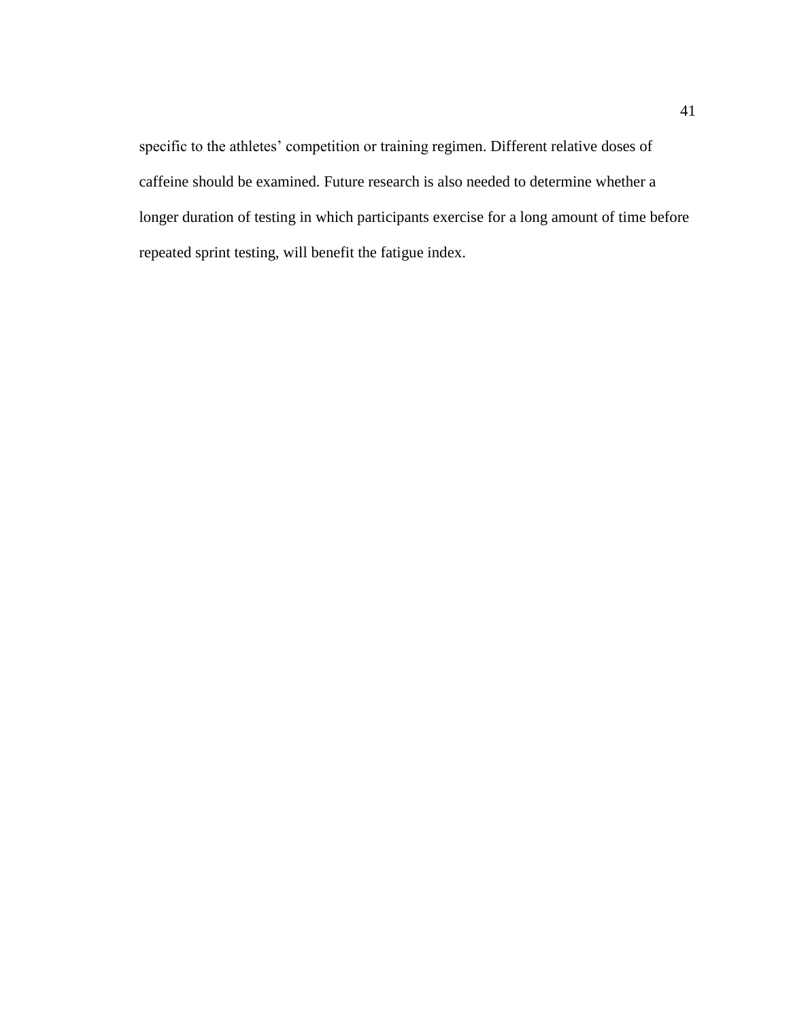specific to the athletes' competition or training regimen. Different relative doses of caffeine should be examined. Future research is also needed to determine whether a longer duration of testing in which participants exercise for a long amount of time before repeated sprint testing, will benefit the fatigue index.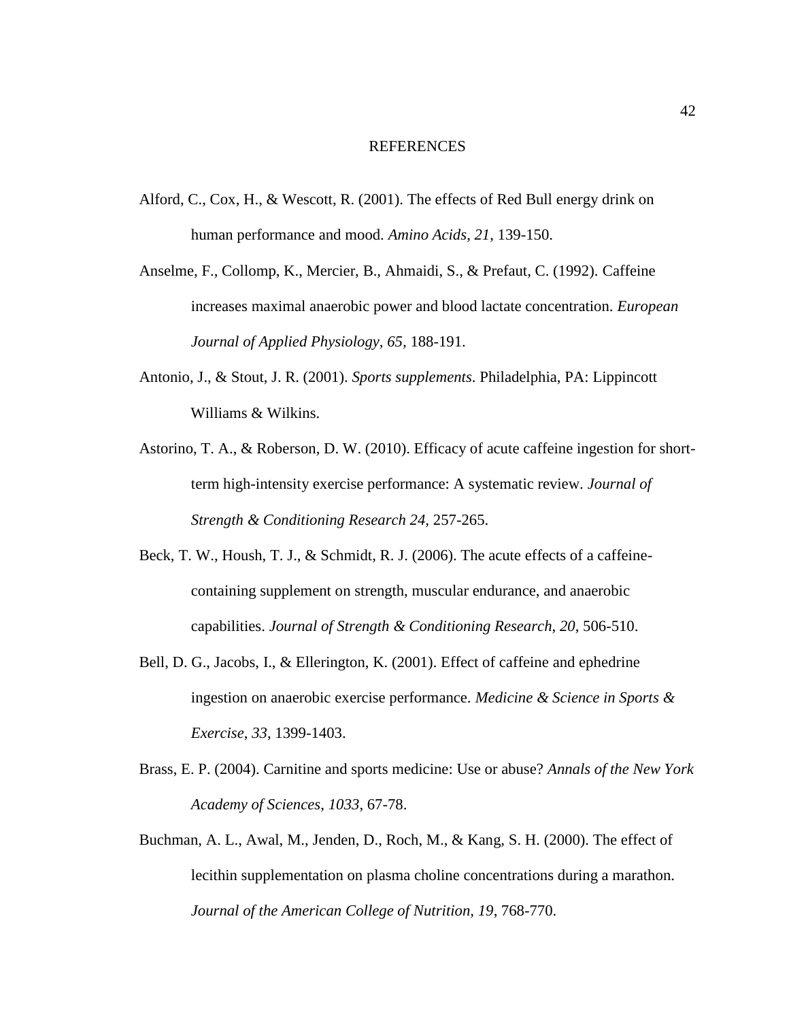#### REFERENCES

- Alford, C., Cox, H., & Wescott, R. (2001). The effects of Red Bull energy drink on human performance and mood. *Amino Acids*, *21*, 139-150.
- Anselme, F., Collomp, K., Mercier, B., Ahmaidi, S., & Prefaut, C. (1992). Caffeine increases maximal anaerobic power and blood lactate concentration. *European Journal of Applied Physiology, 65,* 188-191.
- Antonio, J., & Stout, J. R. (2001). *Sports supplements*. Philadelphia, PA: Lippincott Williams & Wilkins.
- Astorino, T. A., & Roberson, D. W. (2010). Efficacy of acute caffeine ingestion for shortterm high-intensity exercise performance: A systematic review. *Journal of Strength & Conditioning Research 24,* 257-265.
- Beck, T. W., Housh, T. J., & Schmidt, R. J. (2006). The acute effects of a caffeinecontaining supplement on strength, muscular endurance, and anaerobic capabilities. *Journal of Strength & Conditioning Research*, *20*, 506-510.
- Bell, D. G., Jacobs, I., & Ellerington, K. (2001). Effect of caffeine and ephedrine ingestion on anaerobic exercise performance. *Medicine & Science in Sports & Exercise*, *33*, 1399-1403.
- Brass, E. P. (2004). Carnitine and sports medicine: Use or abuse? *Annals of the New York Academy of Sciences*, *1033*, 67-78.
- Buchman, A. L., Awal, M., Jenden, D., Roch, M., & Kang, S. H. (2000). The effect of lecithin supplementation on plasma choline concentrations during a marathon. *Journal of the American College of Nutrition, 19*, 768-770.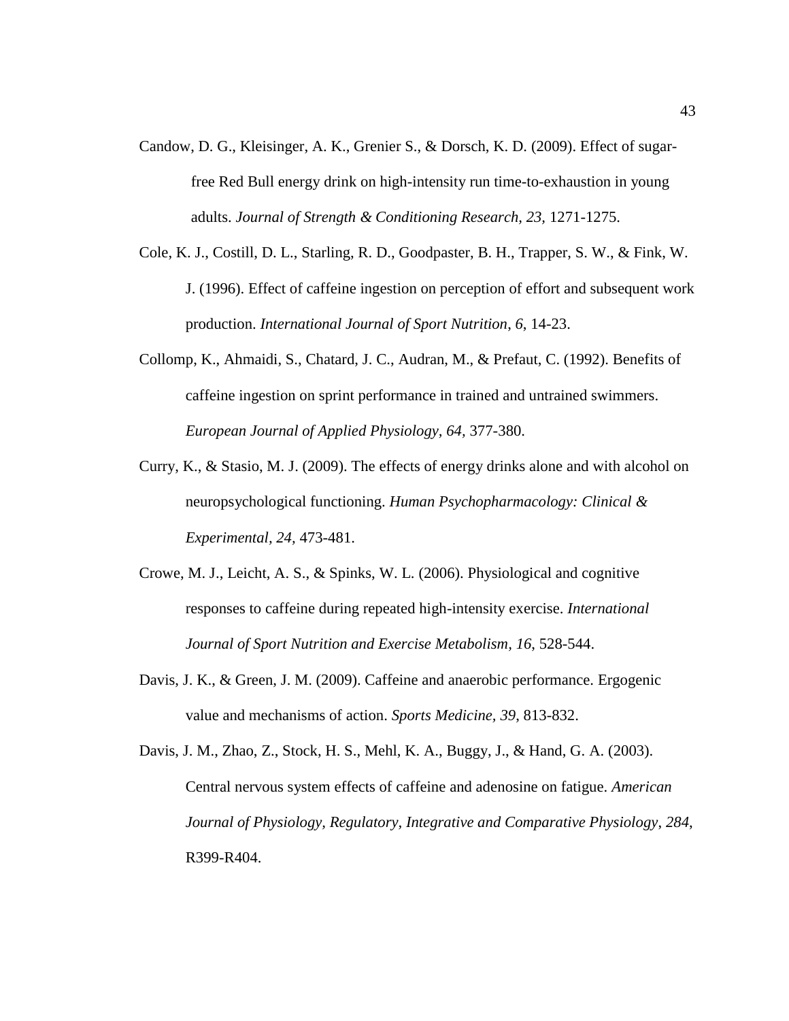- Candow, D. G., Kleisinger, A. K., Grenier S., & Dorsch, K. D. (2009). Effect of sugarfree Red Bull energy drink on high-intensity run time-to-exhaustion in young adults. *Journal of Strength & Conditioning Research, 23,* 1271-1275.
- Cole, K. J., Costill, D. L., Starling, R. D., Goodpaster, B. H., Trapper, S. W., & Fink, W. J. (1996). Effect of caffeine ingestion on perception of effort and subsequent work production. *International Journal of Sport Nutrition*, *6*, 14-23.
- Collomp, K., Ahmaidi, S., Chatard, J. C., Audran, M., & Prefaut, C. (1992). Benefits of caffeine ingestion on sprint performance in trained and untrained swimmers. *European Journal of Applied Physiology, 64,* 377-380.
- Curry, K., & Stasio, M. J. (2009). The effects of energy drinks alone and with alcohol on neuropsychological functioning. *Human Psychopharmacology: Clinical & Experimental, 24,* 473-481.
- Crowe, M. J., Leicht, A. S., & Spinks, W. L. (2006). Physiological and cognitive responses to caffeine during repeated high-intensity exercise. *International Journal of Sport Nutrition and Exercise Metabolism, 16*, 528-544.
- Davis, J. K., & Green, J. M. (2009). Caffeine and anaerobic performance. Ergogenic value and mechanisms of action. *Sports Medicine, 39*, 813-832.

Davis, J. M., Zhao, Z., Stock, H. S., Mehl, K. A., Buggy, J., & Hand, G. A. (2003). Central nervous system effects of caffeine and adenosine on fatigue. *American Journal of Physiology, Regulatory, Integrative and Comparative Physiology*, *284*, R399-R404.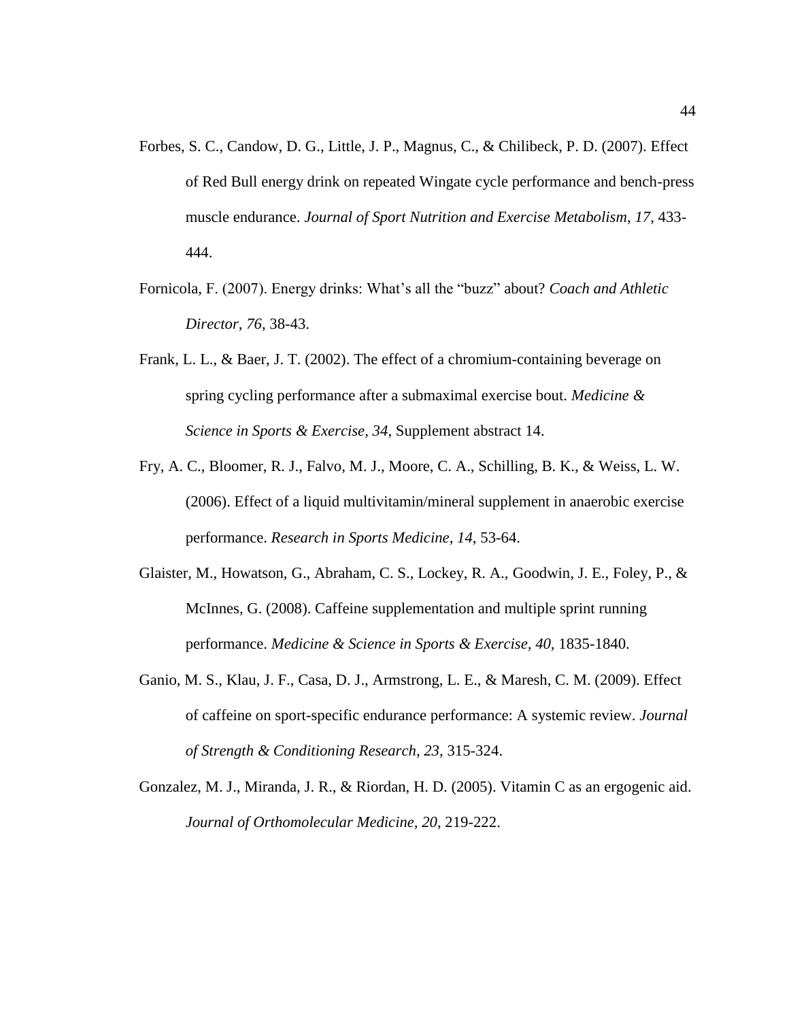- Forbes, S. C., Candow, D. G., Little, J. P., Magnus, C., & Chilibeck, P. D. (2007). Effect of Red Bull energy drink on repeated Wingate cycle performance and bench-press muscle endurance. *Journal of Sport Nutrition and Exercise Metabolism*, *17*, 433- 444.
- Fornicola, F. (2007). Energy drinks: What's all the "buzz" about? *Coach and Athletic Director*, *76*, 38-43.
- Frank, L. L., & Baer, J. T. (2002). The effect of a chromium-containing beverage on spring cycling performance after a submaximal exercise bout. *Medicine & Science in Sports & Exercise, 34*, Supplement abstract 14.
- Fry, A. C., Bloomer, R. J., Falvo, M. J., Moore, C. A., Schilling, B. K., & Weiss, L. W. (2006). Effect of a liquid multivitamin/mineral supplement in anaerobic exercise performance. *Research in Sports Medicine*, *14*, 53-64.
- Glaister, M., Howatson, G., Abraham, C. S., Lockey, R. A., Goodwin, J. E., Foley, P., & McInnes, G. (2008). Caffeine supplementation and multiple sprint running performance. *Medicine & Science in Sports & Exercise, 40,* 1835-1840.
- Ganio, M. S., Klau, J. F., Casa, D. J., Armstrong, L. E., & Maresh, C. M. (2009). Effect of caffeine on sport-specific endurance performance: A systemic review. *Journal of Strength & Conditioning Research, 23*, 315-324.
- Gonzalez, M. J., Miranda, J. R., & Riordan, H. D. (2005). Vitamin C as an ergogenic aid. *Journal of Orthomolecular Medicine, 20*, 219-222.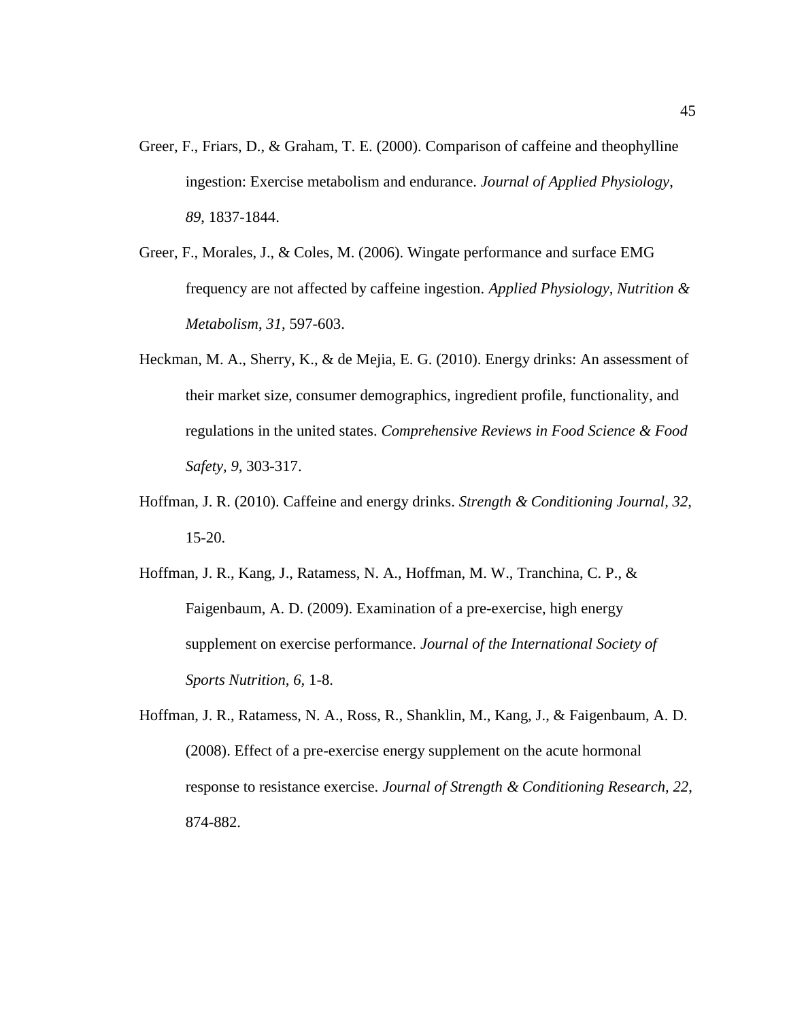- Greer, F., Friars, D., & Graham, T. E. (2000). Comparison of caffeine and theophylline ingestion: Exercise metabolism and endurance. *Journal of Applied Physiology*, *89*, 1837-1844.
- Greer, F., Morales, J., & Coles, M. (2006). Wingate performance and surface EMG frequency are not affected by caffeine ingestion. *Applied Physiology, Nutrition & Metabolism*, *31,* 597-603.
- Heckman, M. A., Sherry, K., & de Mejia, E. G. (2010). Energy drinks: An assessment of their market size, consumer demographics, ingredient profile, functionality, and regulations in the united states. *Comprehensive Reviews in Food Science & Food Safety, 9,* 303-317.
- Hoffman, J. R. (2010). Caffeine and energy drinks. *Strength & Conditioning Journal, 32,*  15-20.
- Hoffman, J. R., Kang, J., Ratamess, N. A., Hoffman, M. W., Tranchina, C. P., & Faigenbaum, A. D. (2009). Examination of a pre-exercise, high energy supplement on exercise performance. *Journal of the International Society of Sports Nutrition, 6,* 1-8.
- Hoffman, J. R., Ratamess, N. A., Ross, R., Shanklin, M., Kang, J., & Faigenbaum, A. D. (2008). Effect of a pre-exercise energy supplement on the acute hormonal response to resistance exercise. *Journal of Strength & Conditioning Research, 22*, 874-882.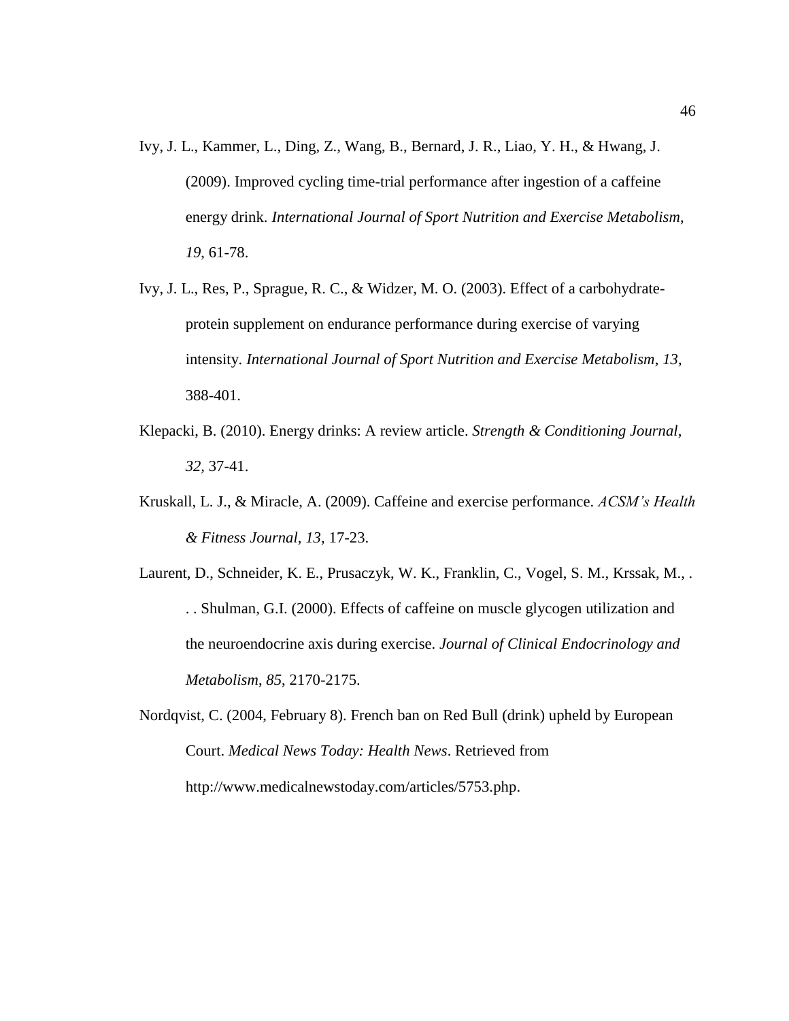- Ivy, J. L., Kammer, L., Ding, Z., Wang, B., Bernard, J. R., Liao, Y. H., & Hwang, J. (2009). Improved cycling time-trial performance after ingestion of a caffeine energy drink. *International Journal of Sport Nutrition and Exercise Metabolism*, *19*, 61-78.
- Ivy, J. L., Res, P., Sprague, R. C., & Widzer, M. O. (2003). Effect of a carbohydrateprotein supplement on endurance performance during exercise of varying intensity. *International Journal of Sport Nutrition and Exercise Metabolism*, *13*, 388-401.
- Klepacki, B. (2010). Energy drinks: A review article. *Strength & Conditioning Journal, 32,* 37-41.
- Kruskall, L. J., & Miracle, A. (2009). Caffeine and exercise performance. *ACSM's Health & Fitness Journal, 13,* 17-23.
- Laurent, D., Schneider, K. E., Prusaczyk, W. K., Franklin, C., Vogel, S. M., Krssak, M., . . . Shulman, G.I. (2000). Effects of caffeine on muscle glycogen utilization and the neuroendocrine axis during exercise. *Journal of Clinical Endocrinology and Metabolism*, *85*, 2170-2175.
- Nordqvist, C. (2004, February 8). French ban on Red Bull (drink) upheld by European Court. *Medical News Today: Health News*. Retrieved from http://www.medicalnewstoday.com/articles/5753.php.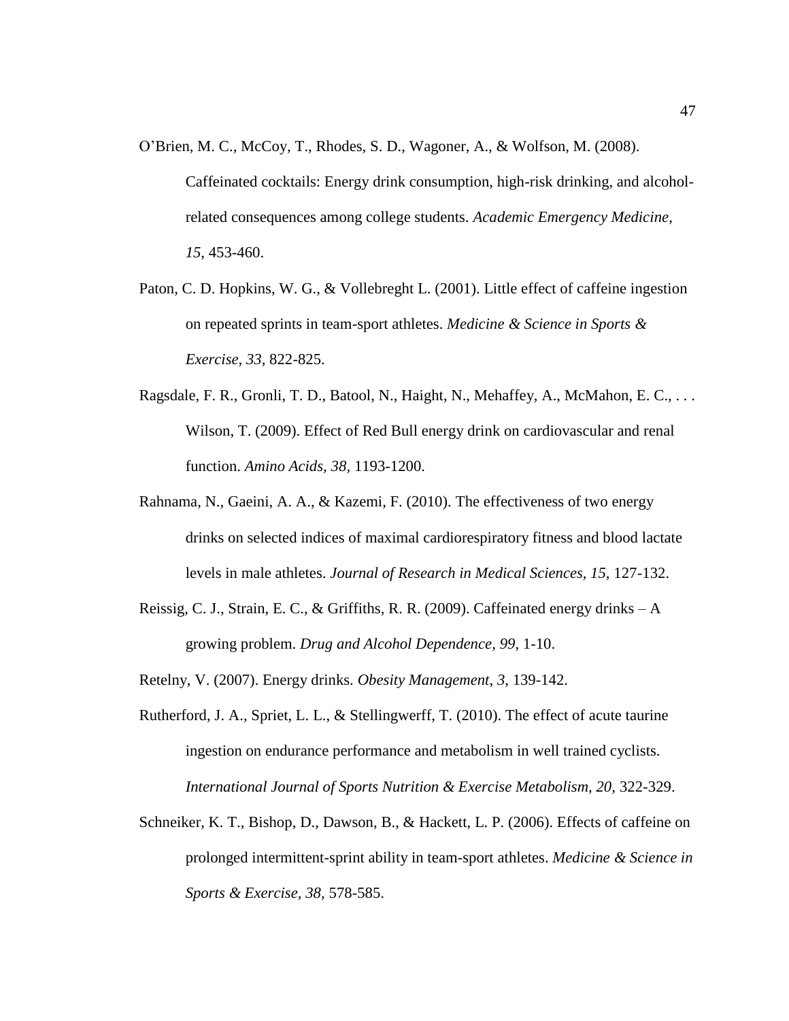- O'Brien, M. C., McCoy, T., Rhodes, S. D., Wagoner, A., & Wolfson, M. (2008). Caffeinated cocktails: Energy drink consumption, high-risk drinking, and alcoholrelated consequences among college students. *Academic Emergency Medicine*, *15*, 453-460.
- Paton, C. D. Hopkins, W. G., & Vollebreght L. (2001). Little effect of caffeine ingestion on repeated sprints in team-sport athletes. *Medicine & Science in Sports & Exercise, 33,* 822-825.
- Ragsdale, F. R., Gronli, T. D., Batool, N., Haight, N., Mehaffey, A., McMahon, E. C., ... Wilson, T. (2009). Effect of Red Bull energy drink on cardiovascular and renal function. *Amino Acids, 38,* 1193-1200.
- Rahnama, N., Gaeini, A. A., & Kazemi, F. (2010). The effectiveness of two energy drinks on selected indices of maximal cardiorespiratory fitness and blood lactate levels in male athletes. *Journal of Research in Medical Sciences, 15,* 127-132.
- Reissig, C. J., Strain, E. C., & Griffiths, R. R. (2009). Caffeinated energy drinks A growing problem. *Drug and Alcohol Dependence, 99,* 1-10.

Retelny, V. (2007). Energy drinks. *Obesity Management*, *3*, 139-142.

- Rutherford, J. A., Spriet, L. L., & Stellingwerff, T. (2010). The effect of acute taurine ingestion on endurance performance and metabolism in well trained cyclists. *International Journal of Sports Nutrition & Exercise Metabolism, 20,* 322-329.
- Schneiker, K. T., Bishop, D., Dawson, B., & Hackett, L. P. (2006). Effects of caffeine on prolonged intermittent-sprint ability in team-sport athletes. *Medicine & Science in Sports & Exercise, 38,* 578-585.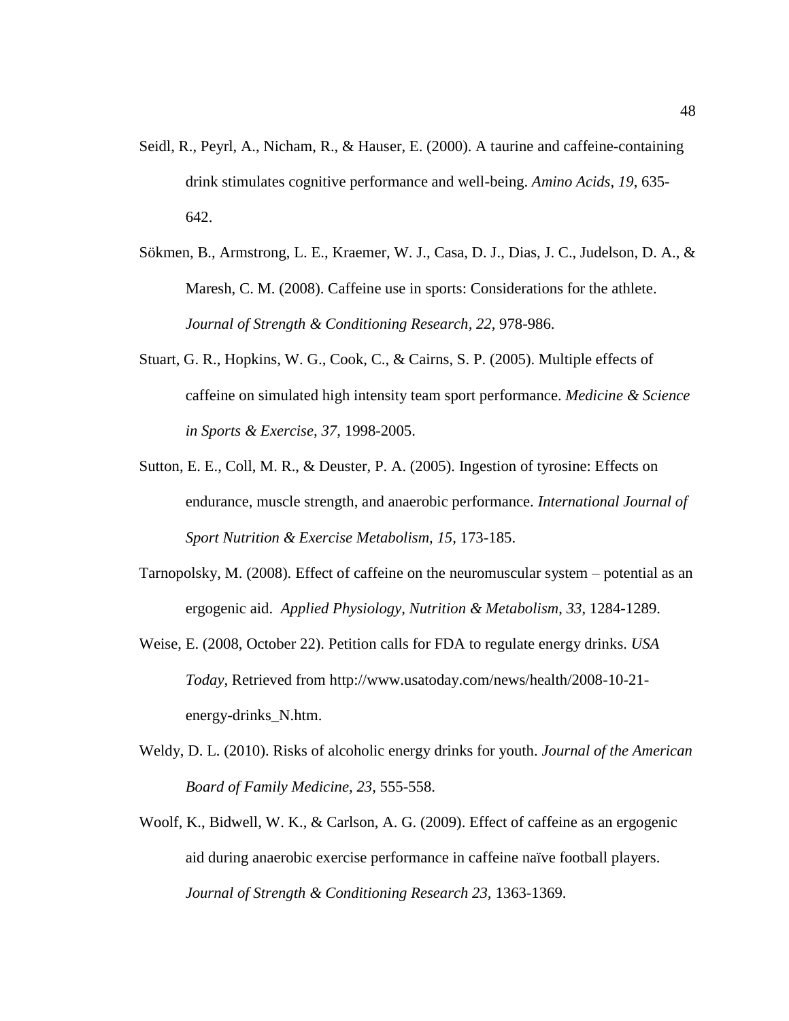- Seidl, R., Peyrl, A., Nicham, R., & Hauser, E. (2000). A taurine and caffeine-containing drink stimulates cognitive performance and well-being. *Amino Acids*, *19*, 635- 642.
- Sökmen, B., Armstrong, L. E., Kraemer, W. J., Casa, D. J., Dias, J. C., Judelson, D. A., & Maresh, C. M. (2008). Caffeine use in sports: Considerations for the athlete. *Journal of Strength & Conditioning Research, 22*, 978-986.
- Stuart, G. R., Hopkins, W. G., Cook, C., & Cairns, S. P. (2005). Multiple effects of caffeine on simulated high intensity team sport performance. *Medicine & Science in Sports & Exercise, 37,* 1998-2005.
- Sutton, E. E., Coll, M. R., & Deuster, P. A. (2005). Ingestion of tyrosine: Effects on endurance, muscle strength, and anaerobic performance. *International Journal of Sport Nutrition & Exercise Metabolism, 15,* 173-185.
- Tarnopolsky, M. (2008). Effect of caffeine on the neuromuscular system potential as an ergogenic aid. *Applied Physiology, Nutrition & Metabolism*, *33*, 1284-1289.
- Weise, E. (2008, October 22). Petition calls for FDA to regulate energy drinks. *USA Today*, Retrieved from http://www.usatoday.com/news/health/2008-10-21 energy-drinks\_N.htm.
- Weldy, D. L. (2010). Risks of alcoholic energy drinks for youth. *Journal of the American Board of Family Medicine, 23,* 555-558.
- Woolf, K., Bidwell, W. K., & Carlson, A. G. (2009). Effect of caffeine as an ergogenic aid during anaerobic exercise performance in caffeine naïve football players. *Journal of Strength & Conditioning Research 23,* 1363-1369.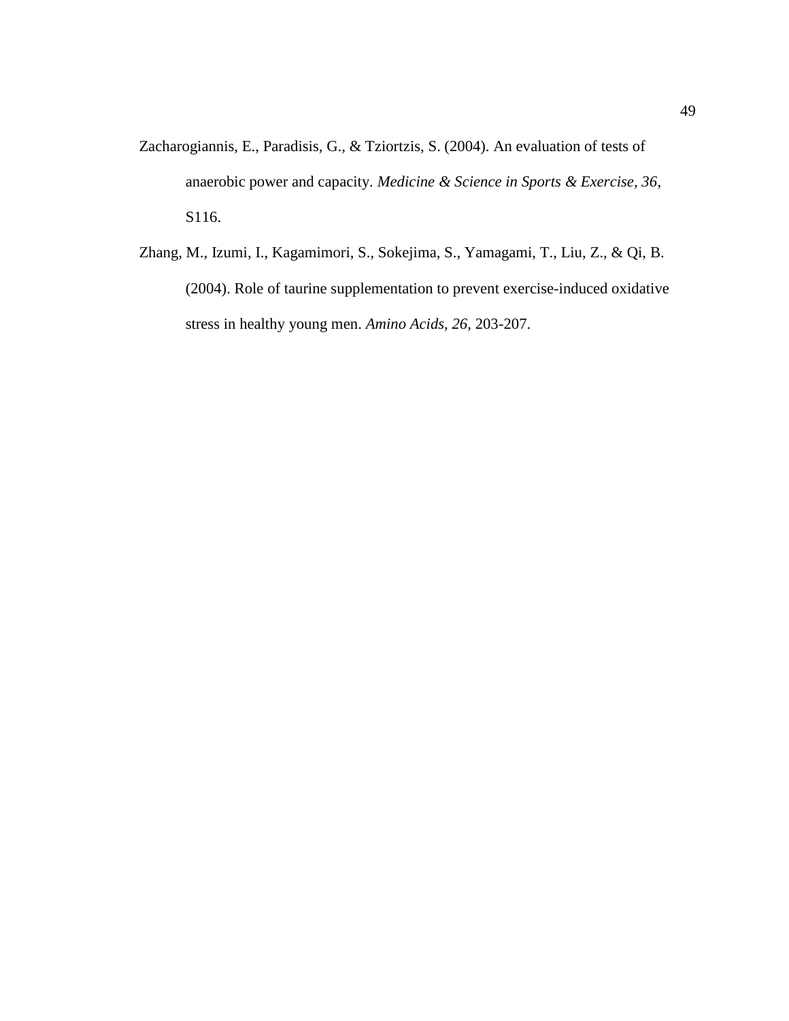- Zacharogiannis, E., Paradisis, G., & Tziortzis, S. (2004). An evaluation of tests of anaerobic power and capacity. *Medicine & Science in Sports & Exercise, 36,* S116.
- Zhang, M., Izumi, I., Kagamimori, S., Sokejima, S., Yamagami, T., Liu, Z., & Qi, B. (2004). Role of taurine supplementation to prevent exercise-induced oxidative stress in healthy young men. *Amino Acids, 26,* 203-207.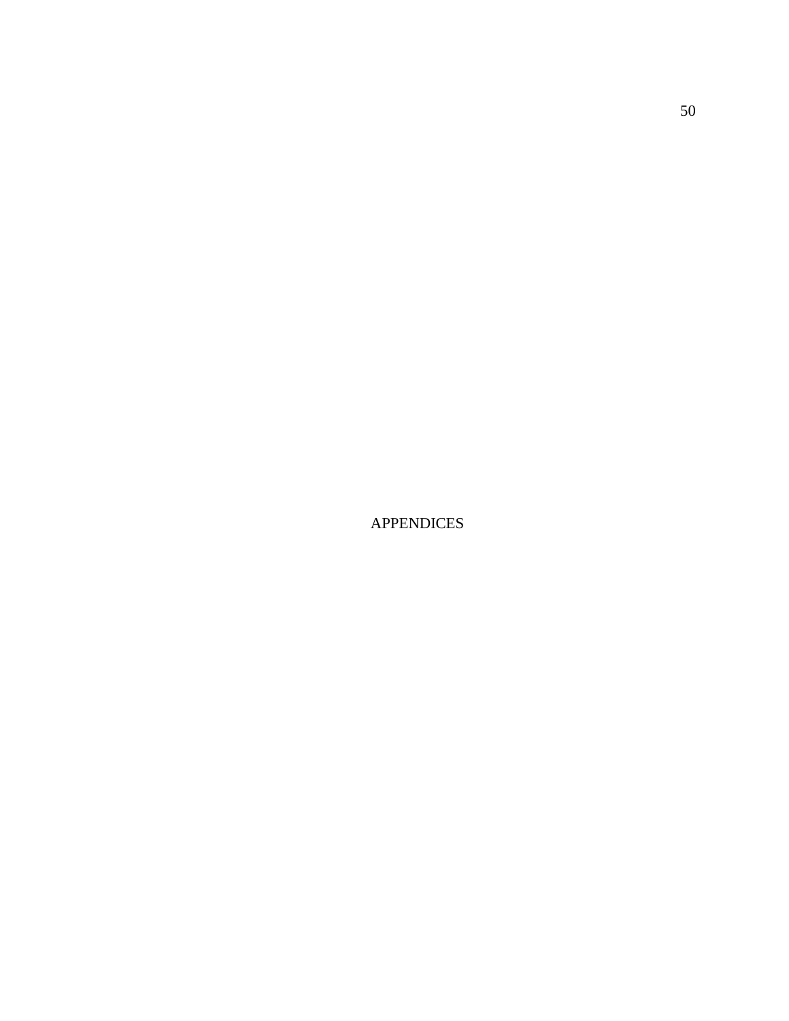APPENDICES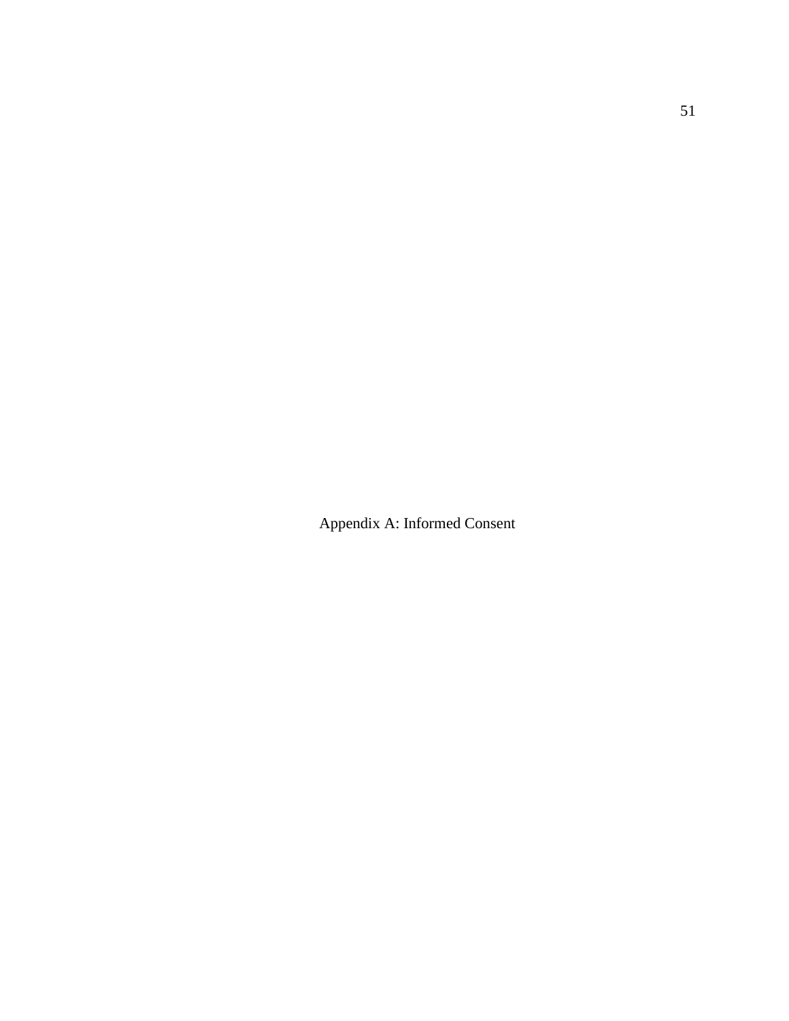Appendix A: Informed Consent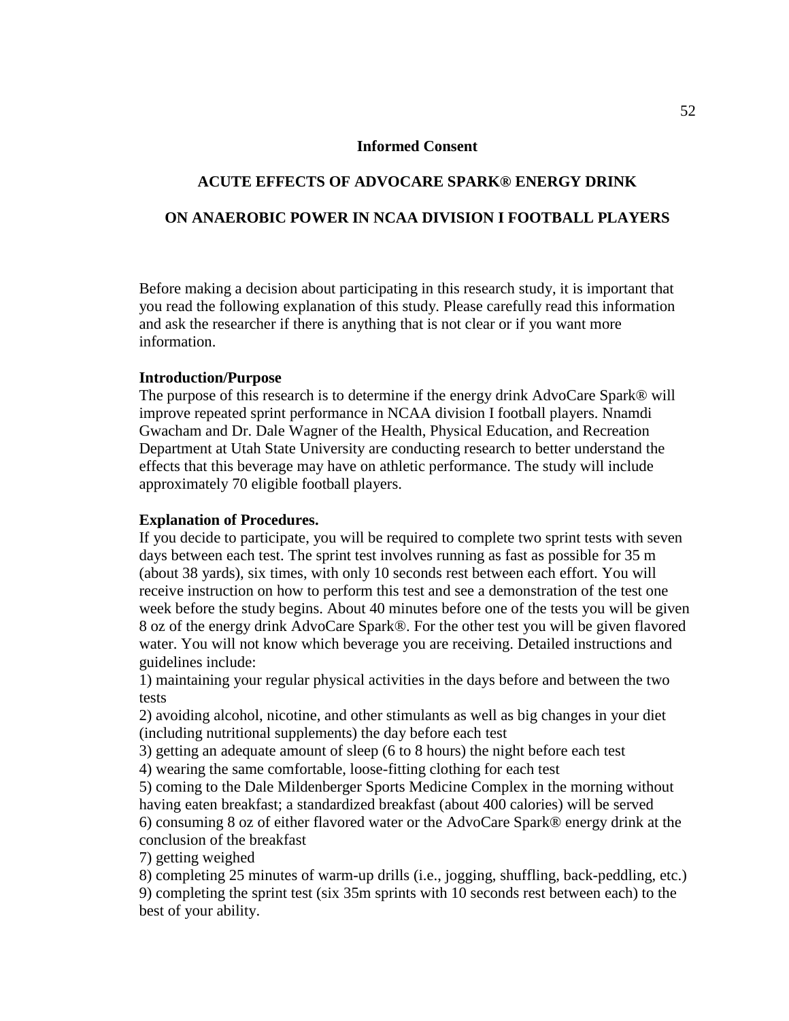# **Informed Consent**

# **ACUTE EFFECTS OF ADVOCARE SPARK® ENERGY DRINK ON ANAEROBIC POWER IN NCAA DIVISION I FOOTBALL PLAYERS**

Before making a decision about participating in this research study, it is important that you read the following explanation of this study. Please carefully read this information and ask the researcher if there is anything that is not clear or if you want more information.

# **Introduction/Purpose**

The purpose of this research is to determine if the energy drink AdvoCare Spark® will improve repeated sprint performance in NCAA division I football players. Nnamdi Gwacham and Dr. Dale Wagner of the Health, Physical Education, and Recreation Department at Utah State University are conducting research to better understand the effects that this beverage may have on athletic performance. The study will include approximately 70 eligible football players.

# **Explanation of Procedures.**

If you decide to participate, you will be required to complete two sprint tests with seven days between each test. The sprint test involves running as fast as possible for 35 m (about 38 yards), six times, with only 10 seconds rest between each effort. You will receive instruction on how to perform this test and see a demonstration of the test one week before the study begins. About 40 minutes before one of the tests you will be given 8 oz of the energy drink AdvoCare Spark®. For the other test you will be given flavored water. You will not know which beverage you are receiving. Detailed instructions and guidelines include:

1) maintaining your regular physical activities in the days before and between the two tests

2) avoiding alcohol, nicotine, and other stimulants as well as big changes in your diet (including nutritional supplements) the day before each test

3) getting an adequate amount of sleep (6 to 8 hours) the night before each test

4) wearing the same comfortable, loose-fitting clothing for each test

5) coming to the Dale Mildenberger Sports Medicine Complex in the morning without having eaten breakfast; a standardized breakfast (about 400 calories) will be served 6) consuming 8 oz of either flavored water or the AdvoCare Spark® energy drink at the conclusion of the breakfast

7) getting weighed

8) completing 25 minutes of warm-up drills (i.e., jogging, shuffling, back-peddling, etc.) 9) completing the sprint test (six 35m sprints with 10 seconds rest between each) to the best of your ability.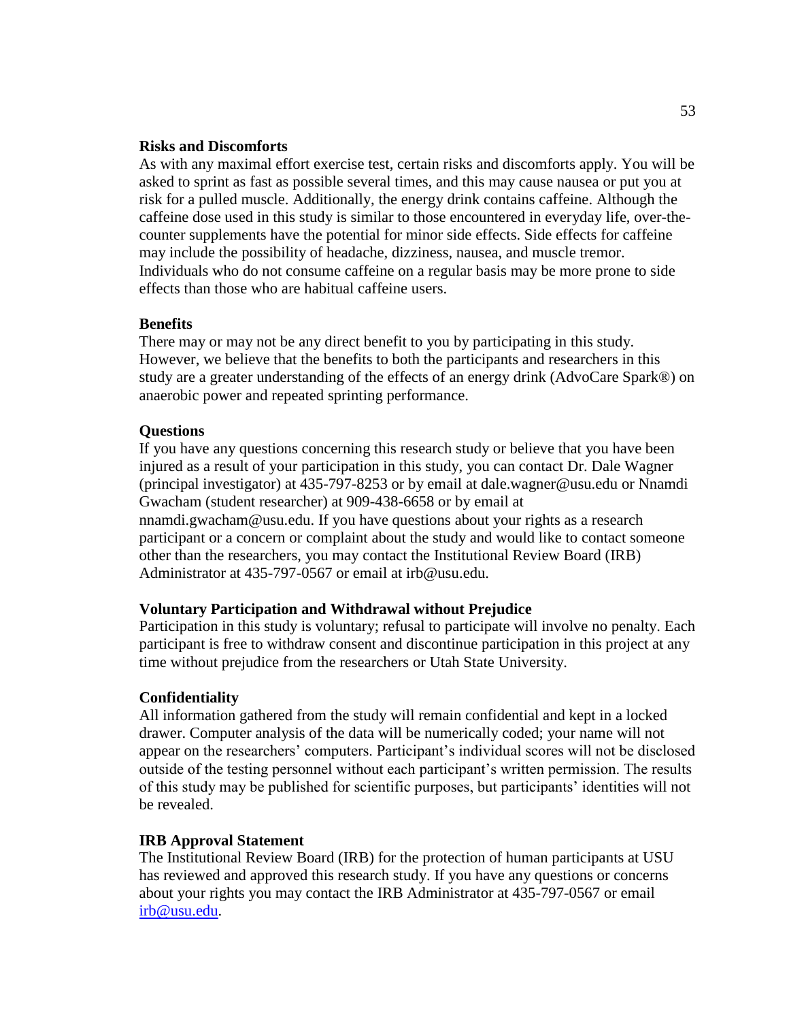## **Risks and Discomforts**

As with any maximal effort exercise test, certain risks and discomforts apply. You will be asked to sprint as fast as possible several times, and this may cause nausea or put you at risk for a pulled muscle. Additionally, the energy drink contains caffeine. Although the caffeine dose used in this study is similar to those encountered in everyday life, over-thecounter supplements have the potential for minor side effects. Side effects for caffeine may include the possibility of headache, dizziness, nausea, and muscle tremor. Individuals who do not consume caffeine on a regular basis may be more prone to side effects than those who are habitual caffeine users.

# **Benefits**

There may or may not be any direct benefit to you by participating in this study. However, we believe that the benefits to both the participants and researchers in this study are a greater understanding of the effects of an energy drink (AdvoCare Spark®) on anaerobic power and repeated sprinting performance.

# **Questions**

If you have any questions concerning this research study or believe that you have been injured as a result of your participation in this study, you can contact Dr. Dale Wagner (principal investigator) at 435-797-8253 or by email at dale.wagner@usu.edu or Nnamdi Gwacham (student researcher) at 909-438-6658 or by email at nnamdi.gwacham@usu.edu. If you have questions about your rights as a research participant or a concern or complaint about the study and would like to contact someone other than the researchers, you may contact the Institutional Review Board (IRB) Administrator at 435-797-0567 or email at irb@usu.edu.

## **Voluntary Participation and Withdrawal without Prejudice**

Participation in this study is voluntary; refusal to participate will involve no penalty. Each participant is free to withdraw consent and discontinue participation in this project at any time without prejudice from the researchers or Utah State University.

# **Confidentiality**

All information gathered from the study will remain confidential and kept in a locked drawer. Computer analysis of the data will be numerically coded; your name will not appear on the researchers' computers. Participant's individual scores will not be disclosed outside of the testing personnel without each participant's written permission. The results of this study may be published for scientific purposes, but participants' identities will not be revealed.

# **IRB Approval Statement**

The Institutional Review Board (IRB) for the protection of human participants at USU has reviewed and approved this research study. If you have any questions or concerns about your rights you may contact the IRB Administrator at 435-797-0567 or email [irb@usu.edu.](mailto:irb@usu.edu)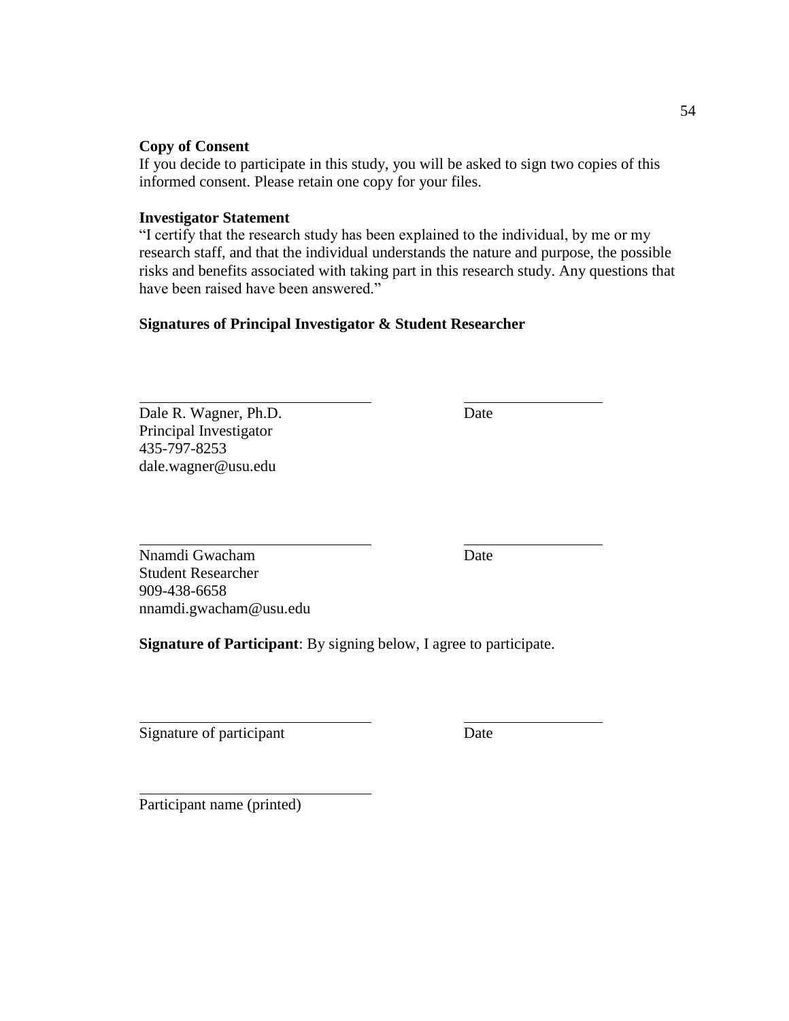# **Copy of Consent**

If you decide to participate in this study, you will be asked to sign two copies of this informed consent. Please retain one copy for your files.

# **Investigator Statement**

"I certify that the research study has been explained to the individual, by me or my research staff, and that the individual understands the nature and purpose, the possible risks and benefits associated with taking part in this research study. Any questions that have been raised have been answered."

# **Signatures of Principal Investigator & Student Researcher**

Dale R. Wagner, Ph.D. Date Principal Investigator 435-797-8253 dale.wagner@usu.edu

Nnamdi Gwacham Date Student Researcher 909-438-6658 nnamdi.gwacham@usu.edu

**Signature of Participant**: By signing below, I agree to participate.

Signature of participant Date

Participant name (printed)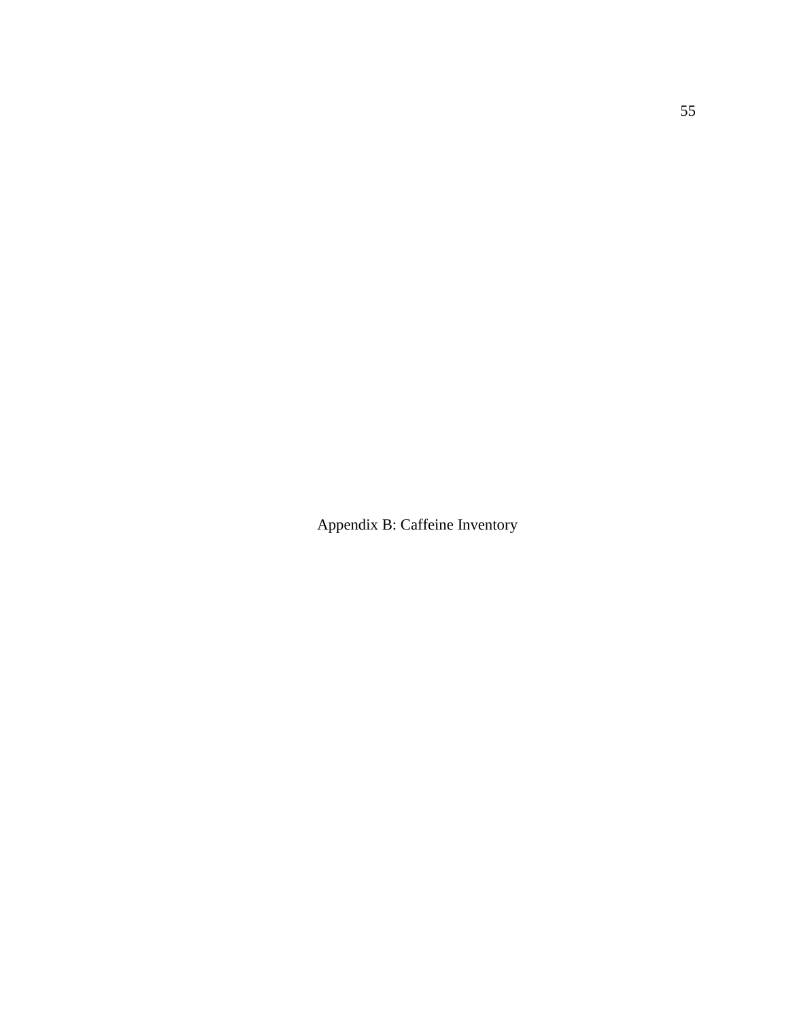Appendix B: Caffeine Inventory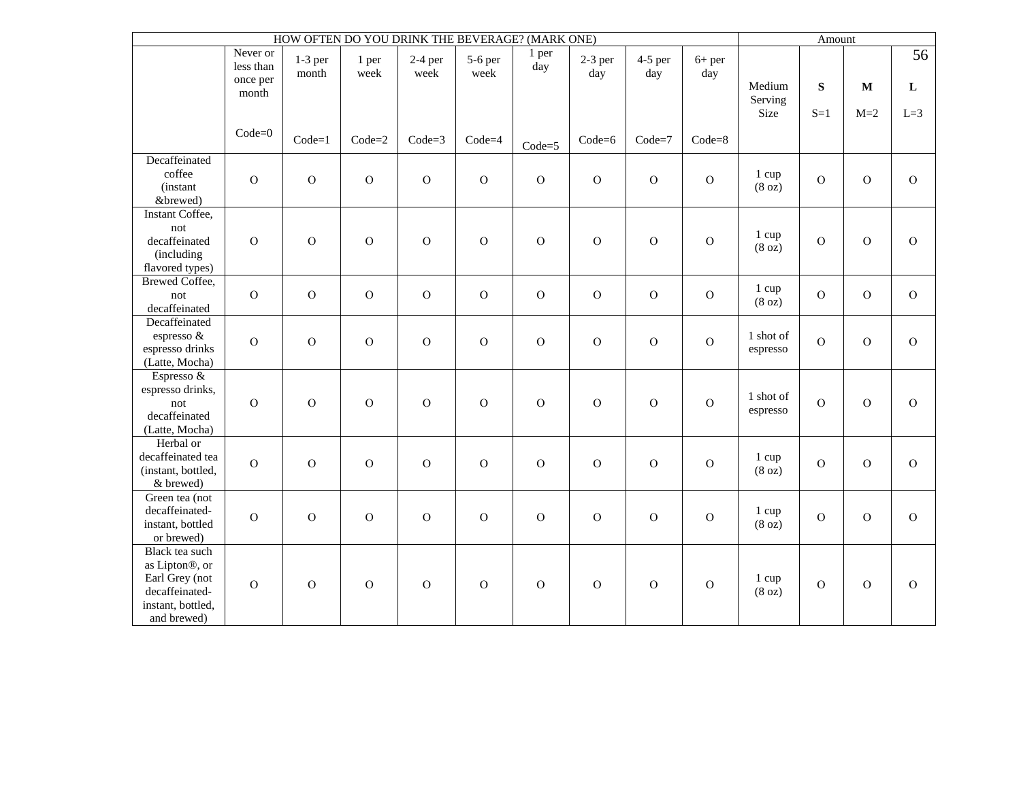| HOW OFTEN DO YOU DRINK THE BEVERAGE? (MARK ONE)                                                          |                                            |                    |                |                   |                 |                |                  | Amount           |                 |                       |                |              |                    |
|----------------------------------------------------------------------------------------------------------|--------------------------------------------|--------------------|----------------|-------------------|-----------------|----------------|------------------|------------------|-----------------|-----------------------|----------------|--------------|--------------------|
|                                                                                                          | Never or<br>less than<br>once per<br>month | $1-3$ per<br>month | 1 per<br>week  | $2-4$ per<br>week | 5-6 per<br>week | 1 per<br>day   | $2-3$ per<br>day | $4-5$ per<br>day | $6+$ per<br>day | Medium<br>Serving     | S              | $\mathbf{M}$ | 56<br>$\mathbf{L}$ |
|                                                                                                          | $Code=0$                                   | $Code=1$           | $Code=2$       | $Code=3$          | $Code=4$        | $Code=5$       | $Code=6$         | $Code=7$         | $Code = 8$      | Size                  | $S=1$          | $M=2$        | $L=3$              |
| Decaffeinated<br>coffee<br>(instant<br>&brewed)                                                          | $\overline{O}$                             | $\overline{O}$     | $\mathbf O$    | $\overline{O}$    | $\overline{O}$  | $\mathcal O$   | $\overline{O}$   | $\overline{O}$   | $\mathcal{O}$   | 1 cup<br>(8 oz)       | $\mathbf O$    | $\mathbf O$  | $\overline{O}$     |
| Instant Coffee,<br>not<br>decaffeinated<br>(including<br>flavored types)                                 | $\mathbf O$                                | $\overline{O}$     | $\overline{O}$ | $\mathbf O$       | $\overline{O}$  | $\overline{O}$ | $\overline{O}$   | $\overline{O}$   | $\overline{O}$  | 1 cup<br>(8 oz)       | $\overline{O}$ | $\mathbf O$  | $\mathbf{O}$       |
| <b>Brewed Coffee,</b><br>not<br>decaffeinated                                                            | $\mathbf{O}$                               | $\overline{O}$     | $\mathbf O$    | $\overline{O}$    | $\overline{O}$  | $\overline{O}$ | $\overline{O}$   | $\overline{O}$   | $\mathbf O$     | 1 cup<br>(8 oz)       | $\mathbf{O}$   | $\mathbf{O}$ | $\overline{O}$     |
| Decaffeinated<br>espresso &<br>espresso drinks<br>(Latte, Mocha)                                         | $\overline{O}$                             | $\overline{O}$     | $\mathcal{O}$  | $\mathbf{O}$      | $\mathbf{O}$    | $\mathcal O$   | $\overline{O}$   | $\mathcal{O}$    | $\mathcal{O}$   | 1 shot of<br>espresso | $\mathbf O$    | $\mathbf O$  | $\mathbf{O}$       |
| Espresso &<br>espresso drinks,<br>not<br>decaffeinated<br>(Latte, Mocha)                                 | $\overline{O}$                             | $\overline{O}$     | $\overline{O}$ | $\overline{O}$    | $\mathcal{O}$   | $\overline{O}$ | $\overline{O}$   | $\overline{O}$   | $\overline{O}$  | 1 shot of<br>espresso | $\overline{O}$ | $\mathbf O$  | $\overline{O}$     |
| Herbal or<br>decaffeinated tea<br>(instant, bottled,<br>& brewed)                                        | $\overline{O}$                             | $\mathbf O$        | $\mathbf O$    | $\mathbf O$       | $\mathbf O$     | ${\rm O}$      | $\overline{O}$   | $\mathbf O$      | $\overline{O}$  | 1 cup<br>(8 oz)       | $\mathbf O$    | $\mathbf O$  | $\overline{O}$     |
| Green tea (not<br>decaffeinated-<br>instant, bottled<br>or brewed)                                       | $\overline{O}$                             | $\overline{O}$     | $\mathbf O$    | $\overline{O}$    | $\overline{O}$  | $\mathcal O$   | $\overline{O}$   | $\mathbf O$      | $\mathbf O$     | 1 cup<br>(8 oz)       | $\overline{O}$ | $\mathbf O$  | $\overline{O}$     |
| Black tea such<br>as Lipton®, or<br>Earl Grey (not<br>decaffeinated-<br>instant, bottled,<br>and brewed) | $\mathcal O$                               | $\mathbf O$        | ${\cal O}$     | $\mathbf O$       | $\mathbf{O}$    | ${\rm O}$      | $\mathbf O$      | $\mathbf O$      | $\mathcal{O}$   | 1 cup<br>(8 oz)       | $\mathcal O$   | $\mathbf O$  | $\mathbf{O}$       |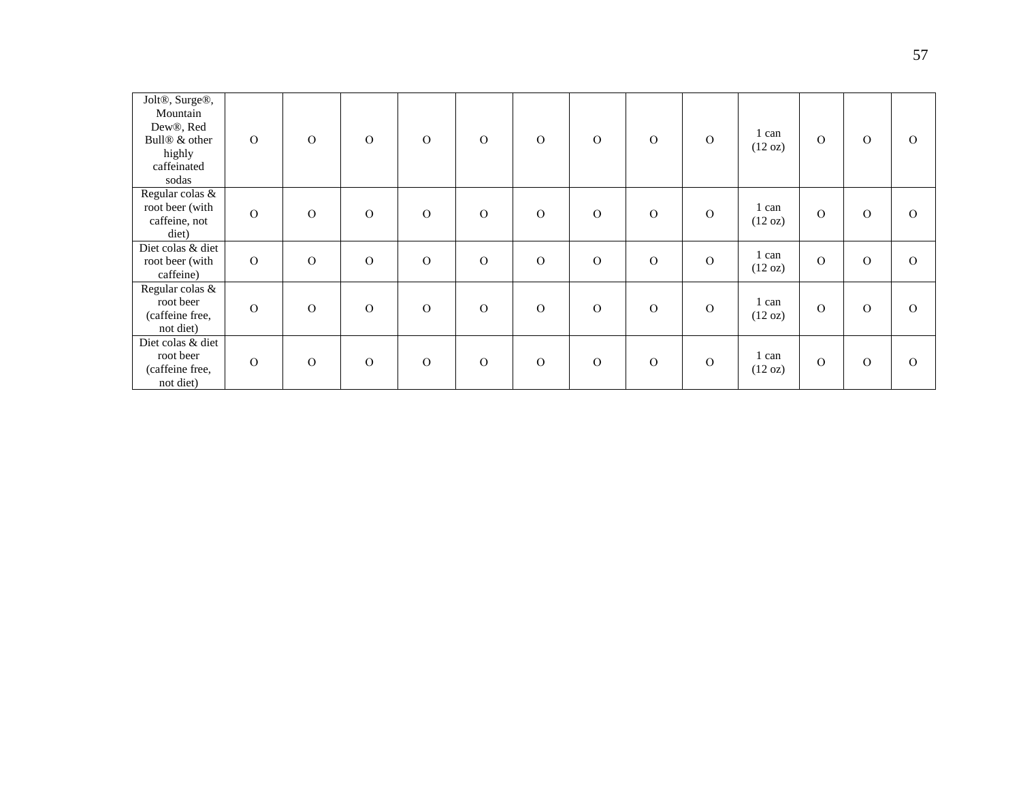| Jolt <sup>®</sup> , Surge <sup>®</sup> ,<br>Mountain<br>Dew®, Red<br>Bull <sup>®</sup> & other<br>highly<br>caffeinated<br>sodas | $\Omega$       | $\Omega$ | $\Omega$      | $\mathbf{O}$  | $\Omega$       | $\Omega$      | $\Omega$       | $\Omega$ | $\mathcal{O}$ | 1 can<br>(12 oz) | $\mathbf{O}$  | $\Omega$ | $\Omega$ |
|----------------------------------------------------------------------------------------------------------------------------------|----------------|----------|---------------|---------------|----------------|---------------|----------------|----------|---------------|------------------|---------------|----------|----------|
| Regular colas &<br>root beer (with<br>caffeine, not<br>diet)                                                                     | $\overline{O}$ | $\Omega$ | $\mathcal{O}$ | $\mathbf{O}$  | $\Omega$       | $\Omega$      | $\Omega$       | $\Omega$ | $\mathcal{O}$ | 1 can<br>(12 oz) | $\Omega$      | $\Omega$ | $\Omega$ |
| Diet colas & diet<br>root beer (with<br>caffeine)                                                                                | $\Omega$       | $\Omega$ | $\mathcal{O}$ | $\mathbf{O}$  | $\overline{O}$ | $\Omega$      | $\overline{O}$ | $\Omega$ | $\mathcal{O}$ | 1 can<br>(12 oz) | $\mathbf{O}$  | $\Omega$ | $\Omega$ |
| Regular colas &<br>root beer<br>(caffeine free,<br>not diet)                                                                     | $\overline{O}$ | $\Omega$ | $\Omega$      | $\mathcal{O}$ | $\Omega$       | $\Omega$      | $\Omega$       | $\Omega$ | $\mathcal{O}$ | 1 can<br>(12 oz) | $\mathbf{O}$  | $\Omega$ | $\Omega$ |
| Diet colas & diet<br>root beer<br>(caffeine free,<br>not diet)                                                                   | $\overline{O}$ | $\Omega$ | $\mathcal{O}$ | $\mathcal{O}$ | $\Omega$       | $\mathcal{O}$ | $\mathcal{O}$  | $\Omega$ | $\mathcal{O}$ | 1 can<br>(12 oz) | $\mathcal{O}$ | $\Omega$ | $\Omega$ |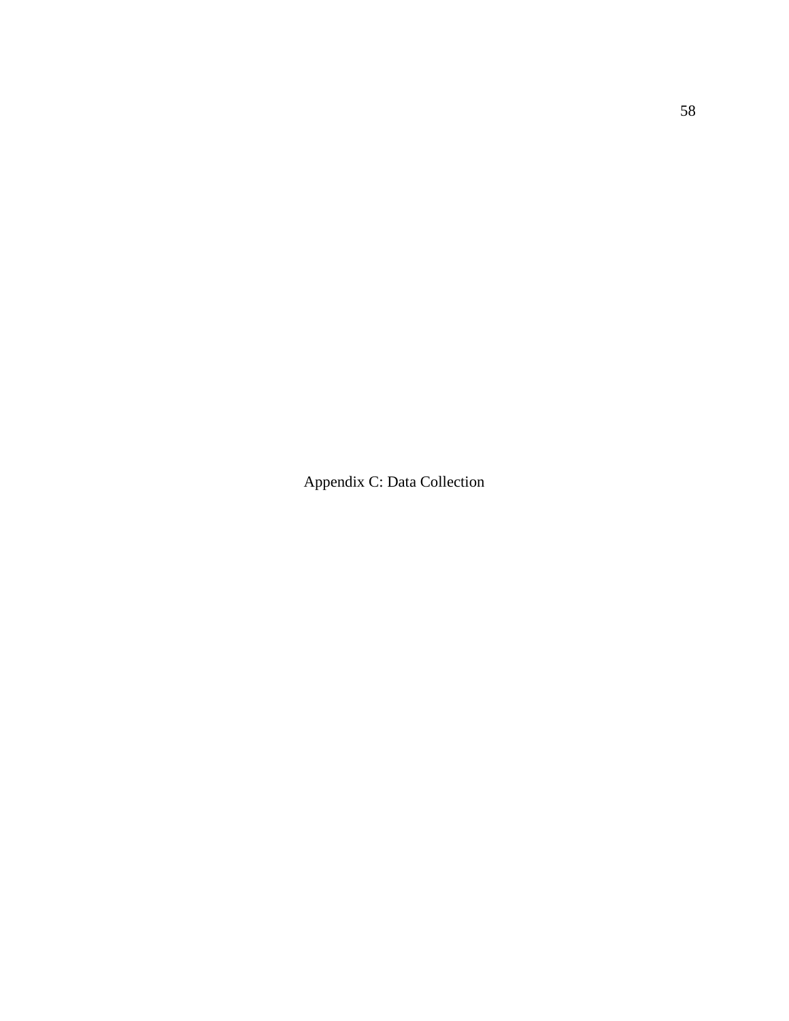Appendix C: Data Collection